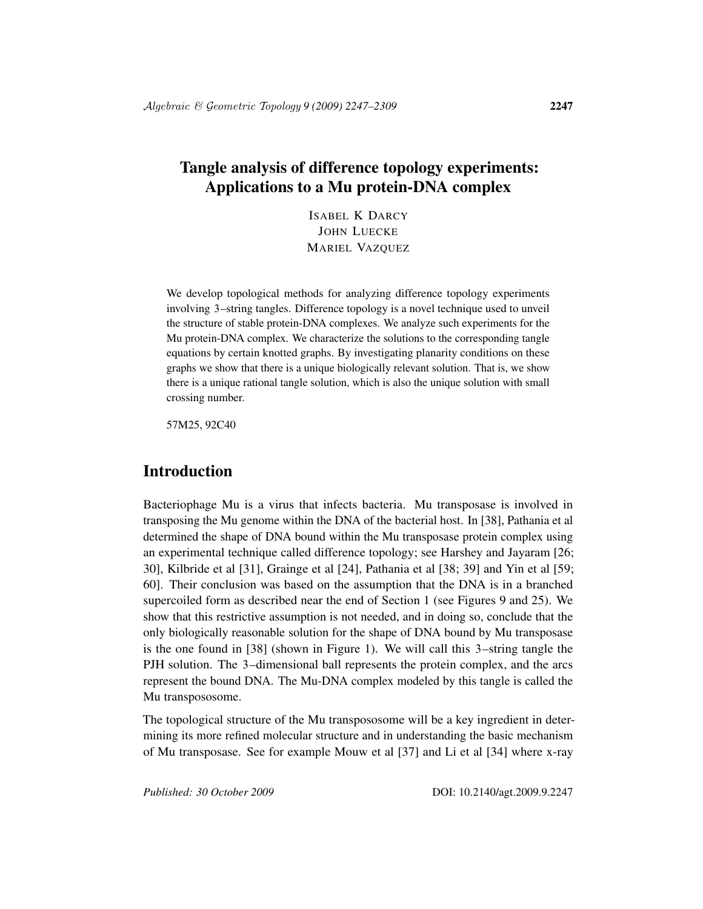# Tangle analysis of difference topology experiments: Applications to a Mu protein-DNA complex

ISABEL K DARCY JOHN LUECKE MARIEL VAZQUEZ

We develop topological methods for analyzing difference topology experiments involving 3–string tangles. Difference topology is a novel technique used to unveil the structure of stable protein-DNA complexes. We analyze such experiments for the Mu protein-DNA complex. We characterize the solutions to the corresponding tangle equations by certain knotted graphs. By investigating planarity conditions on these graphs we show that there is a unique biologically relevant solution. That is, we show there is a unique rational tangle solution, which is also the unique solution with small crossing number.

57M25, 92C40

### Introduction

Bacteriophage Mu is a virus that infects bacteria. Mu transposase is involved in transposing the Mu genome within the DNA of the bacterial host. In [38], Pathania et al determined the shape of DNA bound within the Mu transposase protein complex using an experimental technique called difference topology; see Harshey and Jayaram [26; 30], Kilbride et al [31], Grainge et al [24], Pathania et al [38; 39] and Yin et al [59; 60]. Their conclusion was based on the assumption that the DNA is in a branched supercoiled form as described near the end of Section 1 (see Figures 9 and 25). We show that this restrictive assumption is not needed, and in doing so, conclude that the only biologically reasonable solution for the shape of DNA bound by Mu transposase is the one found in [38] (shown in Figure 1). We will call this 3–string tangle the PJH solution. The 3–dimensional ball represents the protein complex, and the arcs represent the bound DNA. The Mu-DNA complex modeled by this tangle is called the Mu transpososome.

The topological structure of the Mu transpososome will be a key ingredient in determining its more refined molecular structure and in understanding the basic mechanism of Mu transposase. See for example Mouw et al [37] and Li et al [34] where x-ray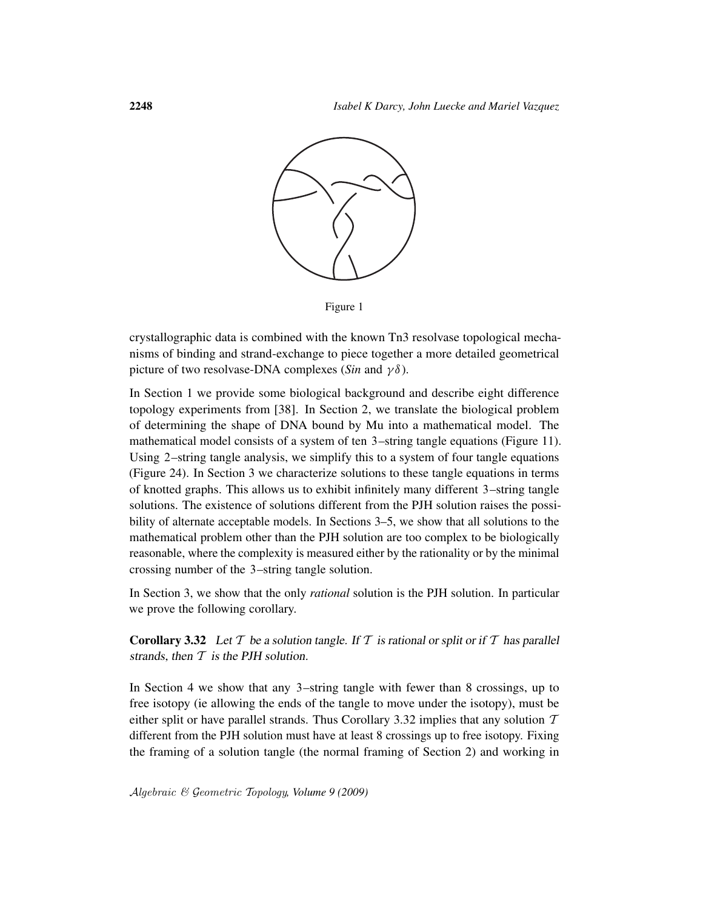

Figure 1

crystallographic data is combined with the known Tn3 resolvase topological mechanisms of binding and strand-exchange to piece together a more detailed geometrical picture of two resolvase-DNA complexes (*Sin* and  $\gamma \delta$ ).

In Section 1 we provide some biological background and describe eight difference topology experiments from [38]. In Section 2, we translate the biological problem of determining the shape of DNA bound by Mu into a mathematical model. The mathematical model consists of a system of ten 3–string tangle equations (Figure 11). Using 2–string tangle analysis, we simplify this to a system of four tangle equations (Figure 24). In Section 3 we characterize solutions to these tangle equations in terms of knotted graphs. This allows us to exhibit infinitely many different 3–string tangle solutions. The existence of solutions different from the PJH solution raises the possibility of alternate acceptable models. In Sections 3–5, we show that all solutions to the mathematical problem other than the PJH solution are too complex to be biologically reasonable, where the complexity is measured either by the rationality or by the minimal crossing number of the 3–string tangle solution.

In Section 3, we show that the only *rational* solution is the PJH solution. In particular we prove the following corollary.

**Corollary 3.32** Let T be a solution tangle. If T is rational or split or if T has parallel strands, then  $T$  is the PJH solution.

In Section 4 we show that any 3–string tangle with fewer than 8 crossings, up to free isotopy (ie allowing the ends of the tangle to move under the isotopy), must be either split or have parallel strands. Thus Corollary 3.32 implies that any solution  $T$ different from the PJH solution must have at least 8 crossings up to free isotopy. Fixing the framing of a solution tangle (the normal framing of Section 2) and working in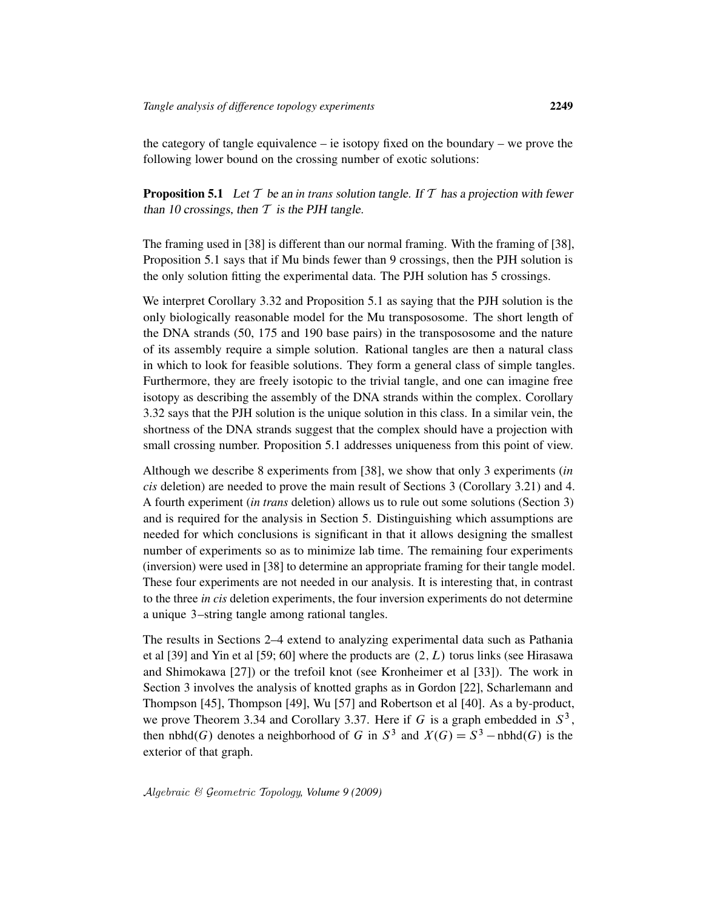the category of tangle equivalence – ie isotopy fixed on the boundary – we prove the following lower bound on the crossing number of exotic solutions:

**Proposition 5.1** Let  $T$  be an *in trans* solution tangle. If  $T$  has a projection with fewer than 10 crossings, then  $T$  is the PJH tangle.

The framing used in [38] is different than our normal framing. With the framing of [38], Proposition 5.1 says that if Mu binds fewer than 9 crossings, then the PJH solution is the only solution fitting the experimental data. The PJH solution has 5 crossings.

We interpret Corollary 3.32 and Proposition 5.1 as saying that the PJH solution is the only biologically reasonable model for the Mu transpososome. The short length of the DNA strands (50, 175 and 190 base pairs) in the transpososome and the nature of its assembly require a simple solution. Rational tangles are then a natural class in which to look for feasible solutions. They form a general class of simple tangles. Furthermore, they are freely isotopic to the trivial tangle, and one can imagine free isotopy as describing the assembly of the DNA strands within the complex. Corollary 3.32 says that the PJH solution is the unique solution in this class. In a similar vein, the shortness of the DNA strands suggest that the complex should have a projection with small crossing number. Proposition 5.1 addresses uniqueness from this point of view.

Although we describe 8 experiments from [38], we show that only 3 experiments (*in cis* deletion) are needed to prove the main result of Sections 3 (Corollary 3.21) and 4. A fourth experiment (*in trans* deletion) allows us to rule out some solutions (Section 3) and is required for the analysis in Section 5. Distinguishing which assumptions are needed for which conclusions is significant in that it allows designing the smallest number of experiments so as to minimize lab time. The remaining four experiments (inversion) were used in [38] to determine an appropriate framing for their tangle model. These four experiments are not needed in our analysis. It is interesting that, in contrast to the three *in cis* deletion experiments, the four inversion experiments do not determine a unique 3–string tangle among rational tangles.

The results in Sections 2–4 extend to analyzing experimental data such as Pathania et al [39] and Yin et al [59; 60] where the products are  $(2, L)$  torus links (see Hirasawa and Shimokawa [27]) or the trefoil knot (see Kronheimer et al [33]). The work in Section 3 involves the analysis of knotted graphs as in Gordon [22], Scharlemann and Thompson [45], Thompson [49], Wu [57] and Robertson et al [40]. As a by-product, we prove Theorem 3.34 and Corollary 3.37. Here if G is a graph embedded in  $S^3$ , then nbhd $(G)$  denotes a neighborhood of G in  $S^3$  and  $X(G) = S^3$  – nbhd $(G)$  is the exterior of that graph.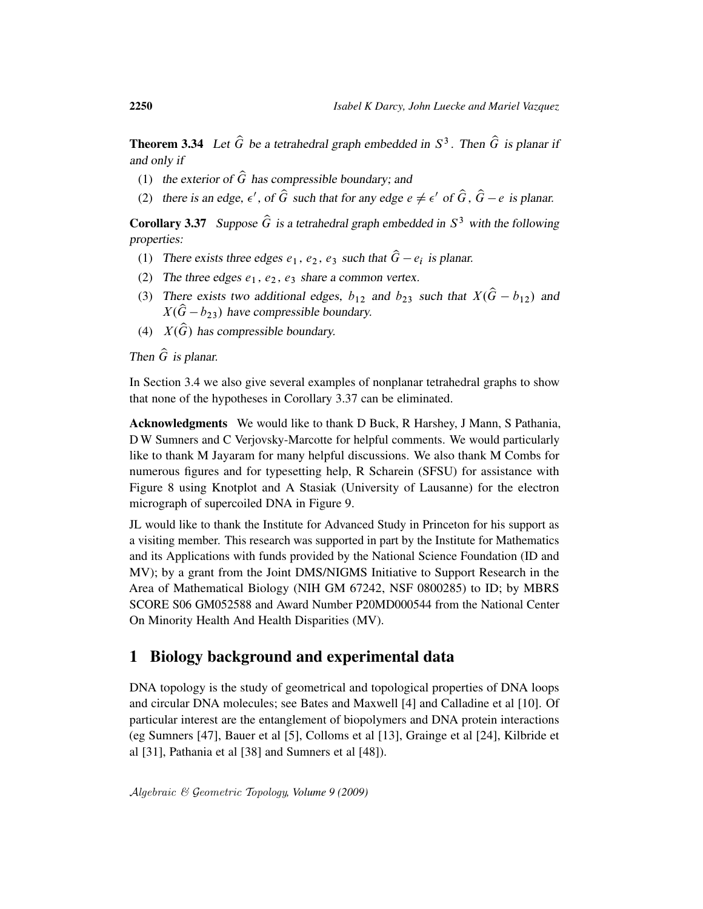**Theorem 3.34** Let  $\widehat{G}$  be a tetrahedral graph embedded in  $S^3$ . Then  $\widehat{G}$  is planar if and only if

- (1) the exterior of  $\hat{G}$  has compressible boundary; and
- (2) there is an edge,  $\epsilon'$ , of  $\hat{G}$  such that for any edge  $e \neq \epsilon'$  of  $\hat{G}$ ,  $\hat{G} e$  is planar.

**Corollary 3.37** Suppose  $\hat{G}$  is a tetrahedral graph embedded in  $S^3$  with the following properties:

- (1) There exists three edges  $e_1, e_2, e_3$  such that  $\hat{G} e_i$  is planar.
- (2) The three edges  $e_1, e_2, e_3$  share a common vertex.
- (3) There exists two additional edges,  $b_{12}$  and  $b_{23}$  such that  $X(\hat{G} b_{12})$  and  $X(\hat{G}-b_{23})$  have compressible boundary.
- (4)  $X(\hat{G})$  has compressible boundary.

Then  $\hat{G}$  is planar.

In Section 3.4 we also give several examples of nonplanar tetrahedral graphs to show that none of the hypotheses in Corollary 3.37 can be eliminated.

Acknowledgments We would like to thank D Buck, R Harshey, J Mann, S Pathania, D W Sumners and C Verjovsky-Marcotte for helpful comments. We would particularly like to thank M Jayaram for many helpful discussions. We also thank M Combs for numerous figures and for typesetting help, R Scharein (SFSU) for assistance with Figure 8 using Knotplot and A Stasiak (University of Lausanne) for the electron micrograph of supercoiled DNA in Figure 9.

JL would like to thank the Institute for Advanced Study in Princeton for his support as a visiting member. This research was supported in part by the Institute for Mathematics and its Applications with funds provided by the National Science Foundation (ID and MV); by a grant from the Joint DMS/NIGMS Initiative to Support Research in the Area of Mathematical Biology (NIH GM 67242, NSF 0800285) to ID; by MBRS SCORE S06 GM052588 and Award Number P20MD000544 from the National Center On Minority Health And Health Disparities (MV).

### 1 Biology background and experimental data

DNA topology is the study of geometrical and topological properties of DNA loops and circular DNA molecules; see Bates and Maxwell [4] and Calladine et al [10]. Of particular interest are the entanglement of biopolymers and DNA protein interactions (eg Sumners [47], Bauer et al [5], Colloms et al [13], Grainge et al [24], Kilbride et al [31], Pathania et al [38] and Sumners et al [48]).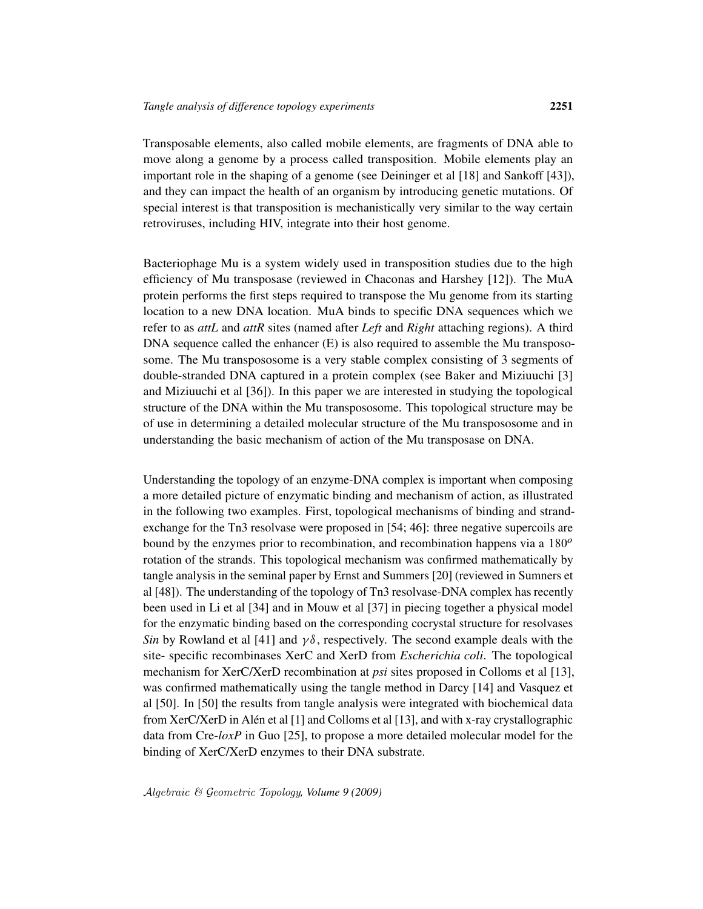Transposable elements, also called mobile elements, are fragments of DNA able to move along a genome by a process called transposition. Mobile elements play an important role in the shaping of a genome (see Deininger et al [18] and Sankoff [43]), and they can impact the health of an organism by introducing genetic mutations. Of special interest is that transposition is mechanistically very similar to the way certain retroviruses, including HIV, integrate into their host genome.

Bacteriophage Mu is a system widely used in transposition studies due to the high efficiency of Mu transposase (reviewed in Chaconas and Harshey [12]). The MuA protein performs the first steps required to transpose the Mu genome from its starting location to a new DNA location. MuA binds to specific DNA sequences which we refer to as *attL* and *attR* sites (named after *Left* and *Right* attaching regions). A third DNA sequence called the enhancer (E) is also required to assemble the Mu transpososome. The Mu transpososome is a very stable complex consisting of 3 segments of double-stranded DNA captured in a protein complex (see Baker and Miziuuchi [3] and Miziuuchi et al [36]). In this paper we are interested in studying the topological structure of the DNA within the Mu transpososome. This topological structure may be of use in determining a detailed molecular structure of the Mu transpososome and in understanding the basic mechanism of action of the Mu transposase on DNA.

Understanding the topology of an enzyme-DNA complex is important when composing a more detailed picture of enzymatic binding and mechanism of action, as illustrated in the following two examples. First, topological mechanisms of binding and strandexchange for the Tn3 resolvase were proposed in [54; 46]: three negative supercoils are bound by the enzymes prior to recombination, and recombination happens via a  $180^{\circ}$ rotation of the strands. This topological mechanism was confirmed mathematically by tangle analysis in the seminal paper by Ernst and Summers [20] (reviewed in Sumners et al [48]). The understanding of the topology of Tn3 resolvase-DNA complex has recently been used in Li et al [34] and in Mouw et al [37] in piecing together a physical model for the enzymatic binding based on the corresponding cocrystal structure for resolvases *Sin* by Rowland et al [41] and  $\gamma\delta$ , respectively. The second example deals with the site- specific recombinases XerC and XerD from *Escherichia coli*. The topological mechanism for XerC/XerD recombination at *psi* sites proposed in Colloms et al [13], was confirmed mathematically using the tangle method in Darcy [14] and Vasquez et al [50]. In [50] the results from tangle analysis were integrated with biochemical data from XerC/XerD in Alén et al [1] and Colloms et al [13], and with x-ray crystallographic data from Cre-*loxP* in Guo [25], to propose a more detailed molecular model for the binding of XerC/XerD enzymes to their DNA substrate.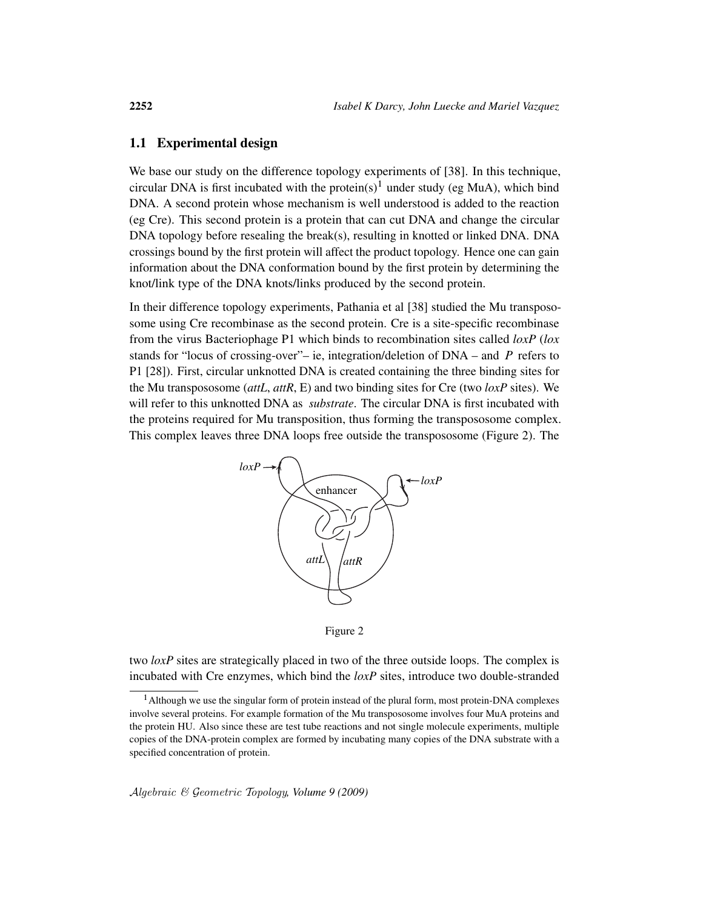### 1.1 Experimental design

We base our study on the difference topology experiments of [38]. In this technique, circular DNA is first incubated with the protein(s)<sup>1</sup> under study (eg MuA), which bind DNA. A second protein whose mechanism is well understood is added to the reaction (eg Cre). This second protein is a protein that can cut DNA and change the circular DNA topology before resealing the break(s), resulting in knotted or linked DNA. DNA crossings bound by the first protein will affect the product topology. Hence one can gain information about the DNA conformation bound by the first protein by determining the knot/link type of the DNA knots/links produced by the second protein.

In their difference topology experiments, Pathania et al [38] studied the Mu transpososome using Cre recombinase as the second protein. Cre is a site-specific recombinase from the virus Bacteriophage P1 which binds to recombination sites called *loxP* (*lox* stands for "locus of crossing-over"– ie, integration/deletion of  $DNA - and P$  refers to P1 [28]). First, circular unknotted DNA is created containing the three binding sites for the Mu transpososome (*attL*, *attR*, E) and two binding sites for Cre (two *loxP* sites). We will refer to this unknotted DNA as *substrate*. The circular DNA is first incubated with the proteins required for Mu transposition, thus forming the transpososome complex. This complex leaves three DNA loops free outside the transpososome (Figure 2). The



Figure 2

two *loxP* sites are strategically placed in two of the three outside loops. The complex is incubated with Cre enzymes, which bind the *loxP* sites, introduce two double-stranded

<sup>1</sup>Although we use the singular form of protein instead of the plural form, most protein-DNA complexes involve several proteins. For example formation of the Mu transpososome involves four MuA proteins and the protein HU. Also since these are test tube reactions and not single molecule experiments, multiple copies of the DNA-protein complex are formed by incubating many copies of the DNA substrate with a specified concentration of protein.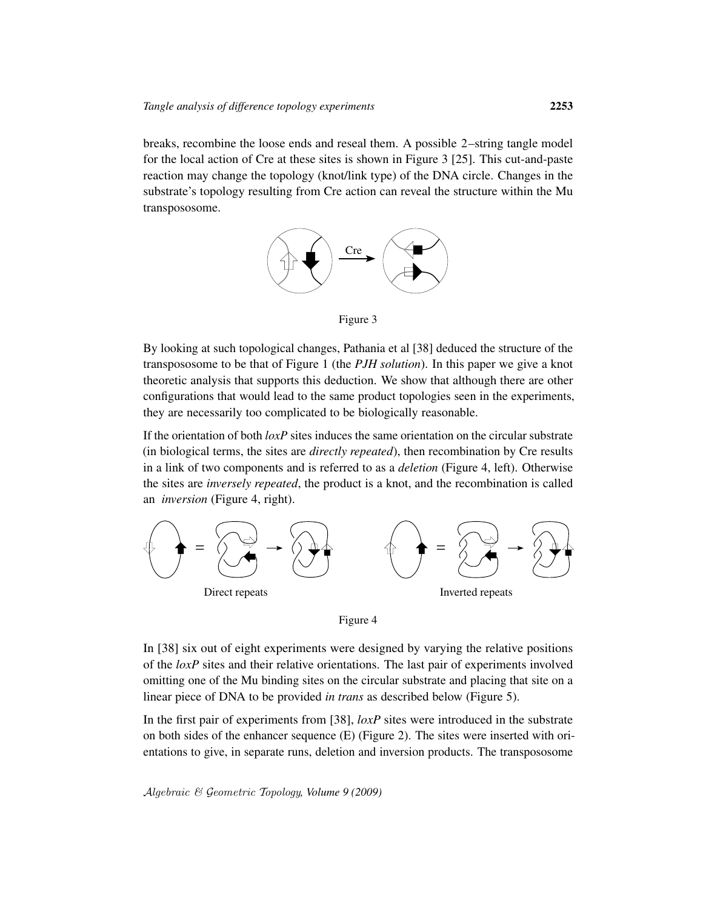breaks, recombine the loose ends and reseal them. A possible 2–string tangle model for the local action of Cre at these sites is shown in Figure 3 [25]. This cut-and-paste reaction may change the topology (knot/link type) of the DNA circle. Changes in the substrate's topology resulting from Cre action can reveal the structure within the Mu transpososome.



Figure 3

By looking at such topological changes, Pathania et al [38] deduced the structure of the transpososome to be that of Figure 1 (the *PJH solution*). In this paper we give a knot theoretic analysis that supports this deduction. We show that although there are other configurations that would lead to the same product topologies seen in the experiments, they are necessarily too complicated to be biologically reasonable.

If the orientation of both *loxP* sites induces the same orientation on the circular substrate (in biological terms, the sites are *directly repeated*), then recombination by Cre results in a link of two components and is referred to as a *deletion* (Figure 4, left). Otherwise the sites are *inversely repeated*, the product is a knot, and the recombination is called an *inversion* (Figure 4, right).





In [38] six out of eight experiments were designed by varying the relative positions of the *loxP* sites and their relative orientations. The last pair of experiments involved omitting one of the Mu binding sites on the circular substrate and placing that site on a linear piece of DNA to be provided *in trans* as described below (Figure 5).

In the first pair of experiments from [38], *loxP* sites were introduced in the substrate on both sides of the enhancer sequence  $(E)$  (Figure 2). The sites were inserted with orientations to give, in separate runs, deletion and inversion products. The transpososome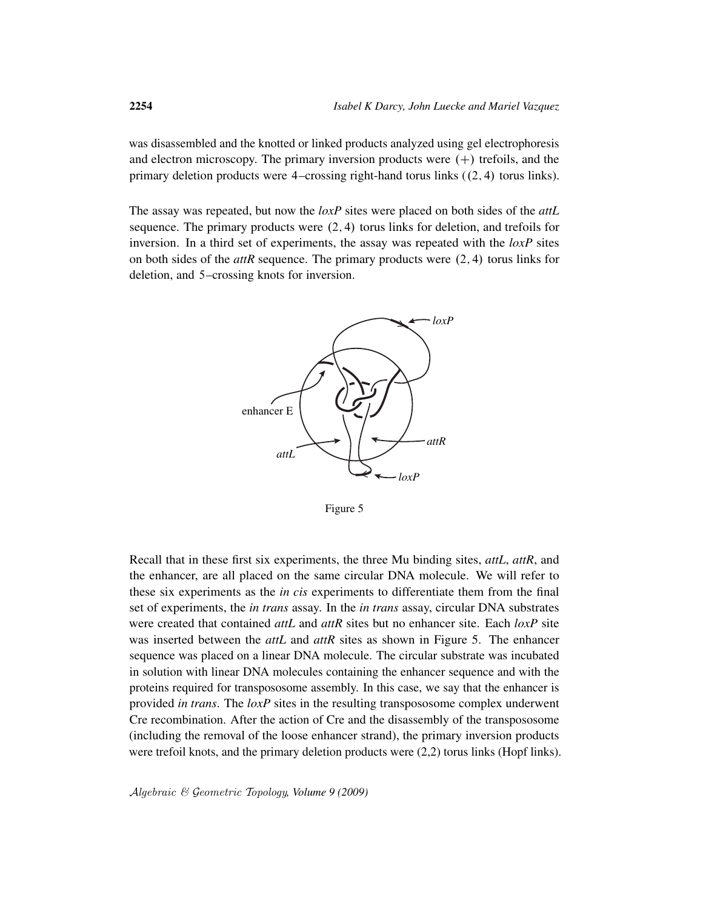was disassembled and the knotted or linked products analyzed using gel electrophoresis and electron microscopy. The primary inversion products were  $(+)$  trefoils, and the primary deletion products were  $4$ -crossing right-hand torus links  $((2, 4)$  torus links).

The assay was repeated, but now the *loxP* sites were placed on both sides of the *attL* sequence. The primary products were  $(2, 4)$  torus links for deletion, and trefoils for inversion. In a third set of experiments, the assay was repeated with the *loxP* sites on both sides of the  $attR$  sequence. The primary products were  $(2, 4)$  torus links for deletion, and 5–crossing knots for inversion.



Figure 5

Recall that in these first six experiments, the three Mu binding sites, *attL*, *attR*, and the enhancer, are all placed on the same circular DNA molecule. We will refer to these six experiments as the *in cis* experiments to differentiate them from the final set of experiments, the *in trans* assay. In the *in trans* assay, circular DNA substrates were created that contained *attL* and *attR* sites but no enhancer site. Each *loxP* site was inserted between the *attL* and *attR* sites as shown in Figure 5. The enhancer sequence was placed on a linear DNA molecule. The circular substrate was incubated in solution with linear DNA molecules containing the enhancer sequence and with the proteins required for transpososome assembly. In this case, we say that the enhancer is provided *in trans*. The *loxP* sites in the resulting transpososome complex underwent Cre recombination. After the action of Cre and the disassembly of the transpososome (including the removal of the loose enhancer strand), the primary inversion products were trefoil knots, and the primary deletion products were  $(2,2)$  torus links (Hopf links).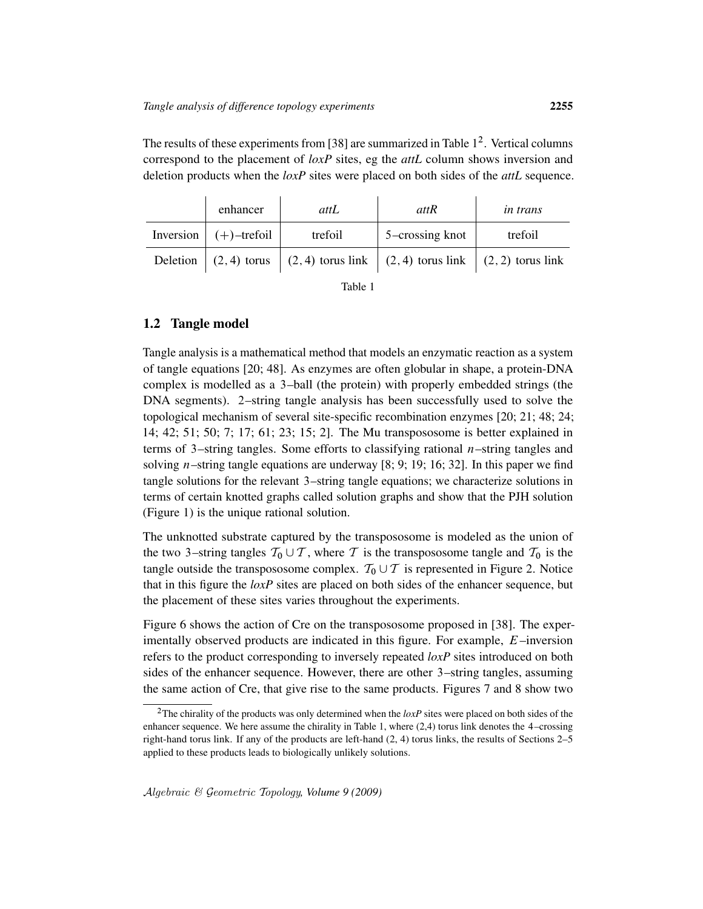The results of these experiments from [38] are summarized in Table  $1<sup>2</sup>$ . Vertical columns correspond to the placement of *loxP* sites, eg the *attL* column shows inversion and deletion products when the *loxP* sites were placed on both sides of the *attL* sequence.

| enhancer                       | attL    | attR                                                                                | <i>in trans</i> |
|--------------------------------|---------|-------------------------------------------------------------------------------------|-----------------|
| Inversion $  (+)$ -trefoil $ $ | trefoil | 5-crossing knot                                                                     | trefoil         |
|                                |         | Deletion $(2, 4)$ torus $(2, 4)$ torus link $(2, 4)$ torus link $(2, 2)$ torus link |                 |

| ۰,<br>٧<br>I |  |
|--------------|--|
|--------------|--|

### 1.2 Tangle model

Tangle analysis is a mathematical method that models an enzymatic reaction as a system of tangle equations [20; 48]. As enzymes are often globular in shape, a protein-DNA complex is modelled as a 3–ball (the protein) with properly embedded strings (the DNA segments). 2–string tangle analysis has been successfully used to solve the topological mechanism of several site-specific recombination enzymes [20; 21; 48; 24; 14; 42; 51; 50; 7; 17; 61; 23; 15; 2]. The Mu transpososome is better explained in terms of 3–string tangles. Some efforts to classifying rational  $n$ –string tangles and solving *n*–string tangle equations are underway [8; 9; 19; 16; 32]. In this paper we find tangle solutions for the relevant 3–string tangle equations; we characterize solutions in terms of certain knotted graphs called solution graphs and show that the PJH solution (Figure 1) is the unique rational solution.

The unknotted substrate captured by the transpososome is modeled as the union of the two 3–string tangles  $T_0 \cup T$ , where T is the transpososome tangle and  $T_0$  is the tangle outside the transpososome complex.  $\mathcal{T}_0 \cup \mathcal{T}$  is represented in Figure 2. Notice that in this figure the *loxP* sites are placed on both sides of the enhancer sequence, but the placement of these sites varies throughout the experiments.

Figure 6 shows the action of Cre on the transpososome proposed in [38]. The experimentally observed products are indicated in this figure. For example, E–inversion refers to the product corresponding to inversely repeated *loxP* sites introduced on both sides of the enhancer sequence. However, there are other 3–string tangles, assuming the same action of Cre, that give rise to the same products. Figures 7 and 8 show two

<sup>2</sup>The chirality of the products was only determined when the *loxP* sites were placed on both sides of the enhancer sequence. We here assume the chirality in Table 1, where (2,4) torus link denotes the 4–crossing right-hand torus link. If any of the products are left-hand (2, 4) torus links, the results of Sections 2–5 applied to these products leads to biologically unlikely solutions.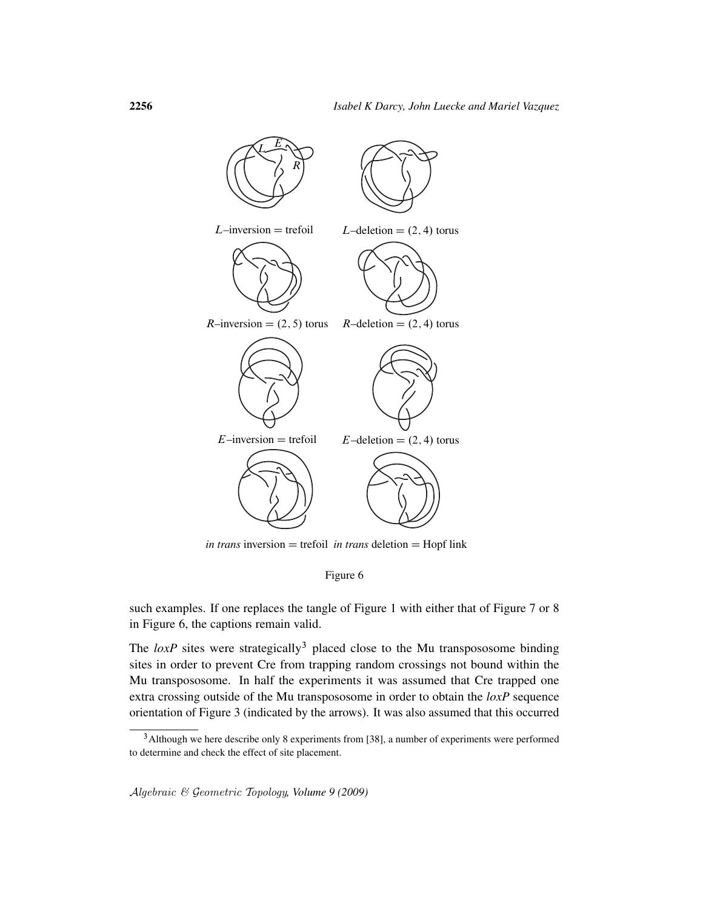

*in trans* inversion  $=$  trefoil *in trans* deletion  $=$  Hopf link

Figure 6

such examples. If one replaces the tangle of Figure 1 with either that of Figure 7 or 8 in Figure 6, the captions remain valid.

The  $loxP$  sites were strategically<sup>3</sup> placed close to the Mu transpososome binding sites in order to prevent Cre from trapping random crossings not bound within the Mu transpososome. In half the experiments it was assumed that Cre trapped one extra crossing outside of the Mu transpososome in order to obtain the *loxP* sequence orientation of Figure 3 (indicated by the arrows). It was also assumed that this occurred

<sup>&</sup>lt;sup>3</sup> Although we here describe only 8 experiments from [38], a number of experiments were performed to determine and check the effect of site placement.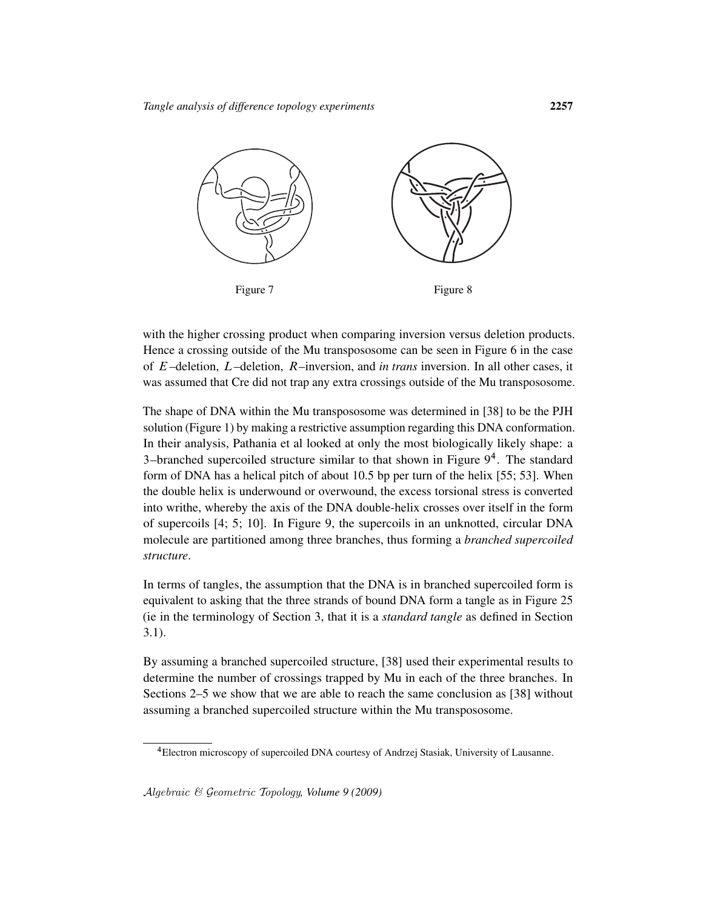

with the higher crossing product when comparing inversion versus deletion products. Hence a crossing outside of the Mu transpososome can be seen in Figure 6 in the case of E–deletion, L–deletion, R–inversion, and *in trans* inversion. In all other cases, it was assumed that Cre did not trap any extra crossings outside of the Mu transpososome.

The shape of DNA within the Mu transpososome was determined in [38] to be the PJH solution (Figure 1) by making a restrictive assumption regarding this DNA conformation. In their analysis, Pathania et al looked at only the most biologically likely shape: a 3-branched supercoiled structure similar to that shown in Figure 9<sup>4</sup>. The standard form of DNA has a helical pitch of about 10.5 bp per turn of the helix [55; 53]. When the double helix is underwound or overwound, the excess torsional stress is converted into writhe, whereby the axis of the DNA double-helix crosses over itself in the form of supercoils [4; 5; 10]. In Figure 9, the supercoils in an unknotted, circular DNA molecule are partitioned among three branches, thus forming a *branched supercoiled structure*.

In terms of tangles, the assumption that the DNA is in branched supercoiled form is equivalent to asking that the three strands of bound DNA form a tangle as in Figure 25 (ie in the terminology of Section 3, that it is a *standard tangle* as defined in Section 3.1).

By assuming a branched supercoiled structure, [38] used their experimental results to determine the number of crossings trapped by Mu in each of the three branches. In Sections 2–5 we show that we are able to reach the same conclusion as [38] without assuming a branched supercoiled structure within the Mu transpososome.

<sup>4</sup>Electron microscopy of supercoiled DNA courtesy of Andrzej Stasiak, University of Lausanne.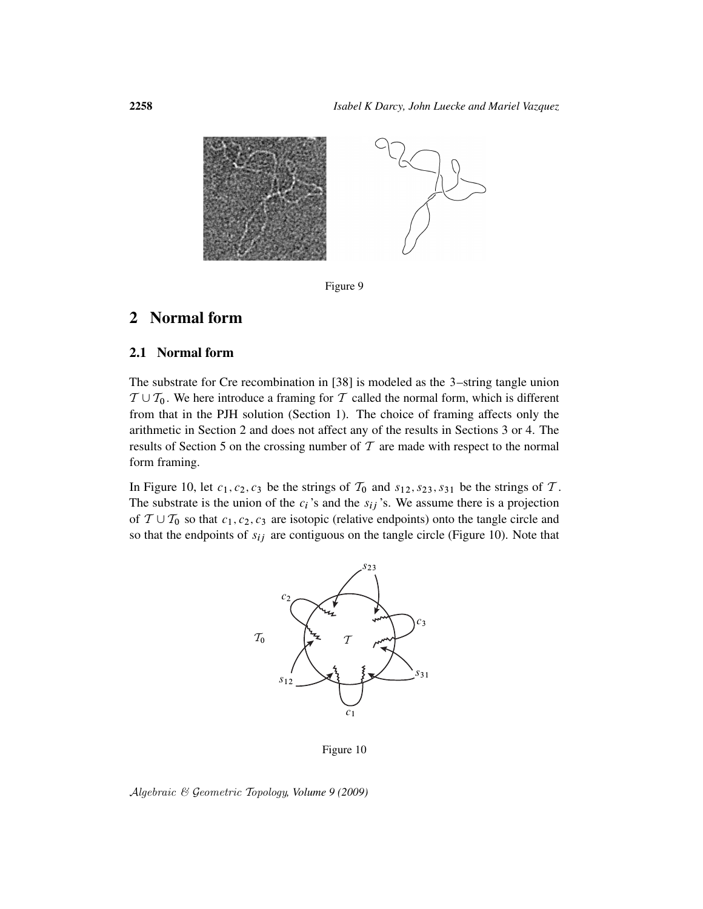

Figure 9

# 2 Normal form

### 2.1 Normal form

The substrate for Cre recombination in [38] is modeled as the 3–string tangle union  $T \cup T_0$ . We here introduce a framing for T called the normal form, which is different from that in the PJH solution (Section 1). The choice of framing affects only the arithmetic in Section 2 and does not affect any of the results in Sections 3 or 4. The results of Section 5 on the crossing number of  $T$  are made with respect to the normal form framing.

In Figure 10, let  $c_1, c_2, c_3$  be the strings of  $\mathcal{T}_0$  and  $s_{12}, s_{23}, s_{31}$  be the strings of  $\mathcal{T}$ . The substrate is the union of the  $c_i$ 's and the  $s_{ij}$ 's. We assume there is a projection of  $T \cup T_0$  so that  $c_1, c_2, c_3$  are isotopic (relative endpoints) onto the tangle circle and so that the endpoints of  $s_{ij}$  are contiguous on the tangle circle (Figure 10). Note that



Figure 10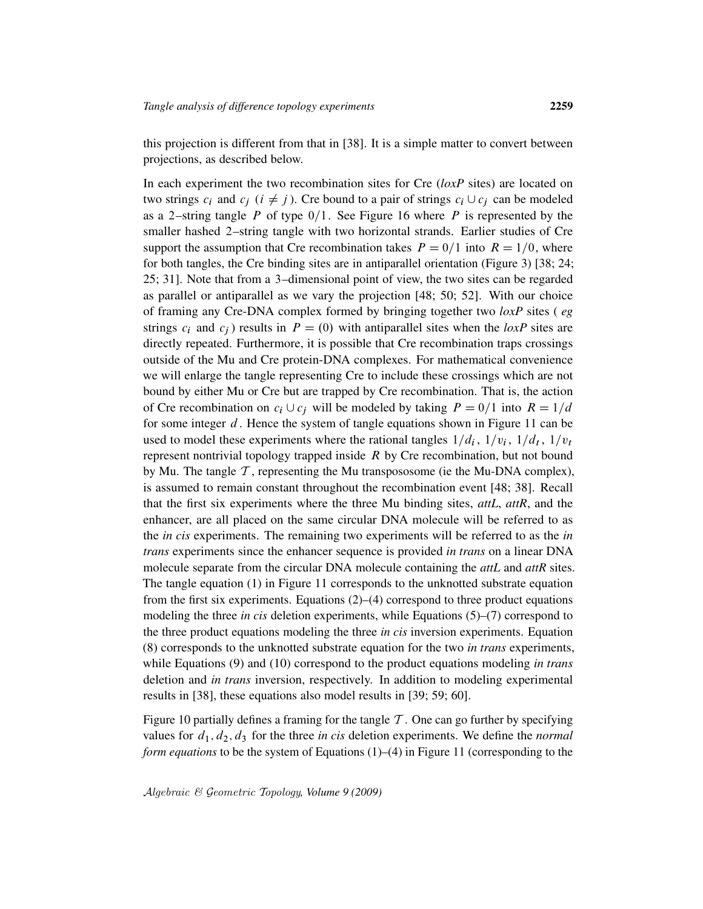this projection is different from that in [38]. It is a simple matter to convert between projections, as described below.

In each experiment the two recombination sites for Cre (*loxP* sites) are located on two strings  $c_i$  and  $c_j$  ( $i \neq j$ ). Cre bound to a pair of strings  $c_i \cup c_j$  can be modeled as a 2–string tangle P of type  $0/1$ . See Figure 16 where P is represented by the smaller hashed 2–string tangle with two horizontal strands. Earlier studies of Cre support the assumption that Cre recombination takes  $P = 0/1$  into  $R = 1/0$ , where for both tangles, the Cre binding sites are in antiparallel orientation (Figure 3) [38; 24; 25; 31]. Note that from a 3–dimensional point of view, the two sites can be regarded as parallel or antiparallel as we vary the projection [48; 50; 52]. With our choice of framing any Cre-DNA complex formed by bringing together two *loxP* sites ( *eg* strings  $c_i$  and  $c_j$ ) results in  $P = (0)$  with antiparallel sites when the *loxP* sites are directly repeated. Furthermore, it is possible that Cre recombination traps crossings outside of the Mu and Cre protein-DNA complexes. For mathematical convenience we will enlarge the tangle representing Cre to include these crossings which are not bound by either Mu or Cre but are trapped by Cre recombination. That is, the action of Cre recombination on  $c_i \cup c_j$  will be modeled by taking  $P = 0/1$  into  $R = 1/d$ for some integer  $d$ . Hence the system of tangle equations shown in Figure 11 can be used to model these experiments where the rational tangles  $1/d_i$ ,  $1/v_i$ ,  $1/d_t$ ,  $1/v_t$ represent nontrivial topology trapped inside  $R$  by Cre recombination, but not bound by Mu. The tangle  $\mathcal T$ , representing the Mu transpososome (ie the Mu-DNA complex), is assumed to remain constant throughout the recombination event [48; 38]. Recall that the first six experiments where the three Mu binding sites, *attL*, *attR*, and the enhancer, are all placed on the same circular DNA molecule will be referred to as the *in cis* experiments. The remaining two experiments will be referred to as the *in trans* experiments since the enhancer sequence is provided *in trans* on a linear DNA molecule separate from the circular DNA molecule containing the *attL* and *attR* sites. The tangle equation (1) in Figure 11 corresponds to the unknotted substrate equation from the first six experiments. Equations (2)–(4) correspond to three product equations modeling the three *in cis* deletion experiments, while Equations (5)–(7) correspond to the three product equations modeling the three *in cis* inversion experiments. Equation (8) corresponds to the unknotted substrate equation for the two *in trans* experiments, while Equations (9) and (10) correspond to the product equations modeling *in trans* deletion and *in trans* inversion, respectively. In addition to modeling experimental results in [38], these equations also model results in [39; 59; 60].

Figure 10 partially defines a framing for the tangle  $\mathcal T$ . One can go further by specifying values for  $d_1, d_2, d_3$  for the three *in cis* deletion experiments. We define the *normal form equations* to be the system of Equations (1)–(4) in Figure 11 (corresponding to the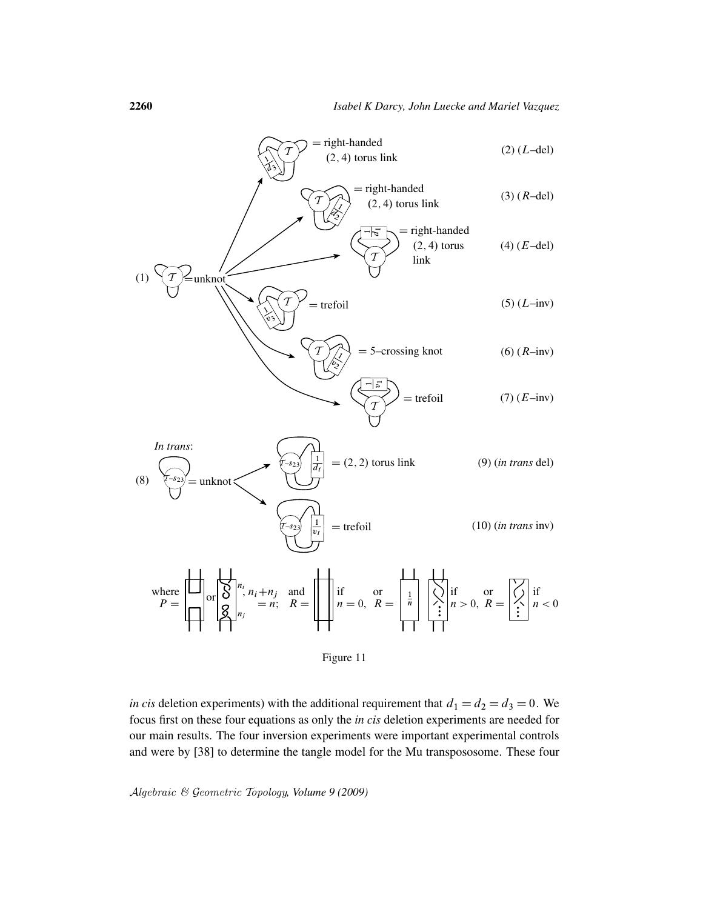



*in cis* deletion experiments) with the additional requirement that  $d_1 = d_2 = d_3 = 0$ . We focus first on these four equations as only the *in cis* deletion experiments are needed for our main results. The four inversion experiments were important experimental controls and were by [38] to determine the tangle model for the Mu transpososome. These four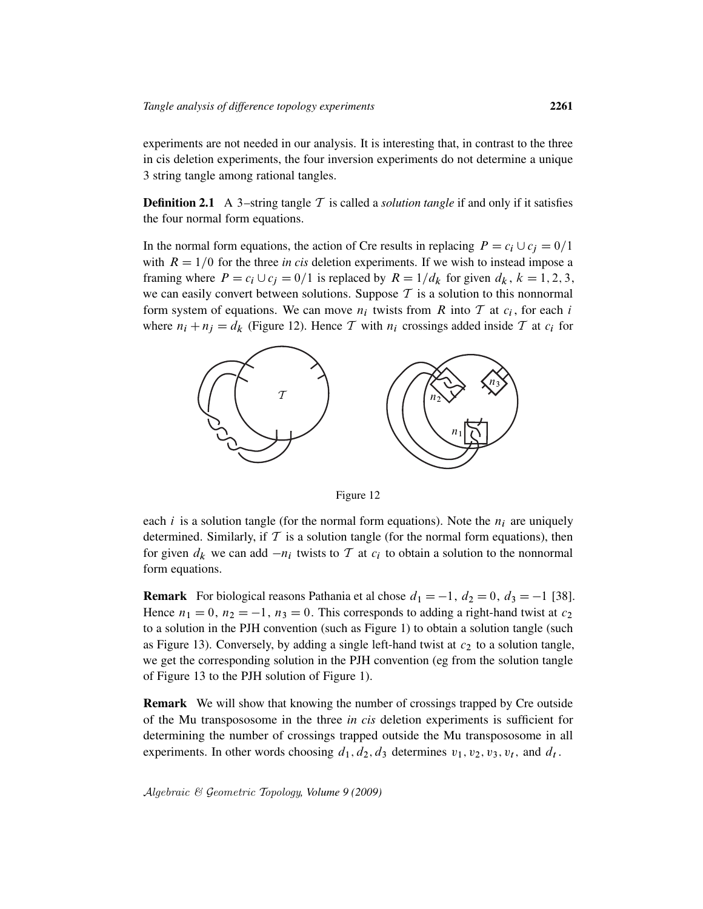experiments are not needed in our analysis. It is interesting that, in contrast to the three in cis deletion experiments, the four inversion experiments do not determine a unique 3 string tangle among rational tangles.

**Definition 2.1** A 3-string tangle  $T$  is called a *solution tangle* if and only if it satisfies the four normal form equations.

In the normal form equations, the action of Cre results in replacing  $P = c_i \cup c_j = 0/1$ with  $R = 1/0$  for the three *in cis* deletion experiments. If we wish to instead impose a framing where  $P = c_i \cup c_j = 0/1$  is replaced by  $R = 1/d_k$  for given  $d_k$ ,  $k = 1, 2, 3$ , we can easily convert between solutions. Suppose  $T$  is a solution to this nonnormal form system of equations. We can move  $n_i$  twists from R into T at  $c_i$ , for each i where  $n_i + n_j = d_k$  (Figure 12). Hence T with  $n_i$  crossings added inside T at  $c_i$  for



Figure 12

each i is a solution tangle (for the normal form equations). Note the  $n_i$  are uniquely determined. Similarly, if  $\mathcal T$  is a solution tangle (for the normal form equations), then for given  $d_k$  we can add  $-n_i$  twists to T at  $c_i$  to obtain a solution to the nonnormal form equations.

**Remark** For biological reasons Pathania et al chose  $d_1 = -1$ ,  $d_2 = 0$ ,  $d_3 = -1$  [38]. Hence  $n_1 = 0$ ,  $n_2 = -1$ ,  $n_3 = 0$ . This corresponds to adding a right-hand twist at  $c_2$ to a solution in the PJH convention (such as Figure 1) to obtain a solution tangle (such as Figure 13). Conversely, by adding a single left-hand twist at  $c_2$  to a solution tangle, we get the corresponding solution in the PJH convention (eg from the solution tangle of Figure 13 to the PJH solution of Figure 1).

**Remark** We will show that knowing the number of crossings trapped by Cre outside of the Mu transpososome in the three *in cis* deletion experiments is sufficient for determining the number of crossings trapped outside the Mu transpososome in all experiments. In other words choosing  $d_1, d_2, d_3$  determines  $v_1, v_2, v_3, v_t$ , and  $d_t$ .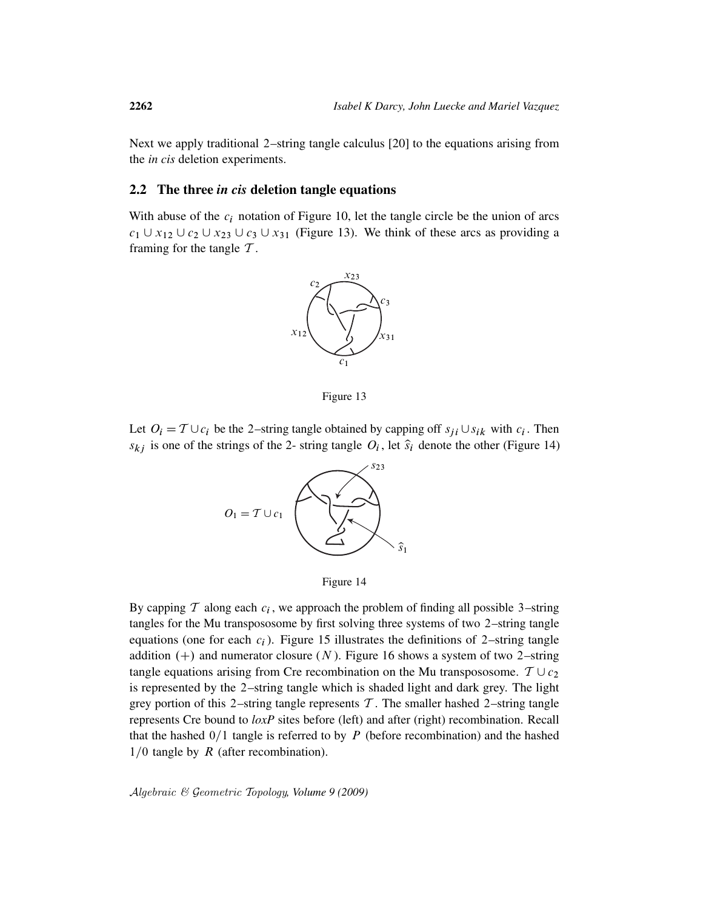Next we apply traditional 2–string tangle calculus [20] to the equations arising from the *in cis* deletion experiments.

### 2.2 The three *in cis* deletion tangle equations

With abuse of the  $c_i$  notation of Figure 10, let the tangle circle be the union of arcs  $c_1 \cup x_{12} \cup c_2 \cup x_{23} \cup c_3 \cup x_{31}$  (Figure 13). We think of these arcs as providing a framing for the tangle  $T$ .



Figure 13

Let  $O_i = T \cup c_i$  be the 2-string tangle obtained by capping off  $s_{ji} \cup s_{ik}$  with  $c_i$ . Then  $s_{kj}$  is one of the strings of the 2- string tangle  $O_i$ , let  $\hat{s}_i$  denote the other (Figure 14)





By capping  $\mathcal T$  along each  $c_i$ , we approach the problem of finding all possible 3-string tangles for the Mu transpososome by first solving three systems of two 2–string tangle equations (one for each  $c_i$ ). Figure 15 illustrates the definitions of 2–string tangle addition  $(+)$  and numerator closure  $(N)$ . Figure 16 shows a system of two 2–string tangle equations arising from Cre recombination on the Mu transpososome.  $T \cup c_2$ is represented by the 2–string tangle which is shaded light and dark grey. The light grey portion of this 2–string tangle represents  $\mathcal T$ . The smaller hashed 2–string tangle represents Cre bound to *loxP* sites before (left) and after (right) recombination. Recall that the hashed  $0/1$  tangle is referred to by P (before recombination) and the hashed  $1/0$  tangle by R (after recombination).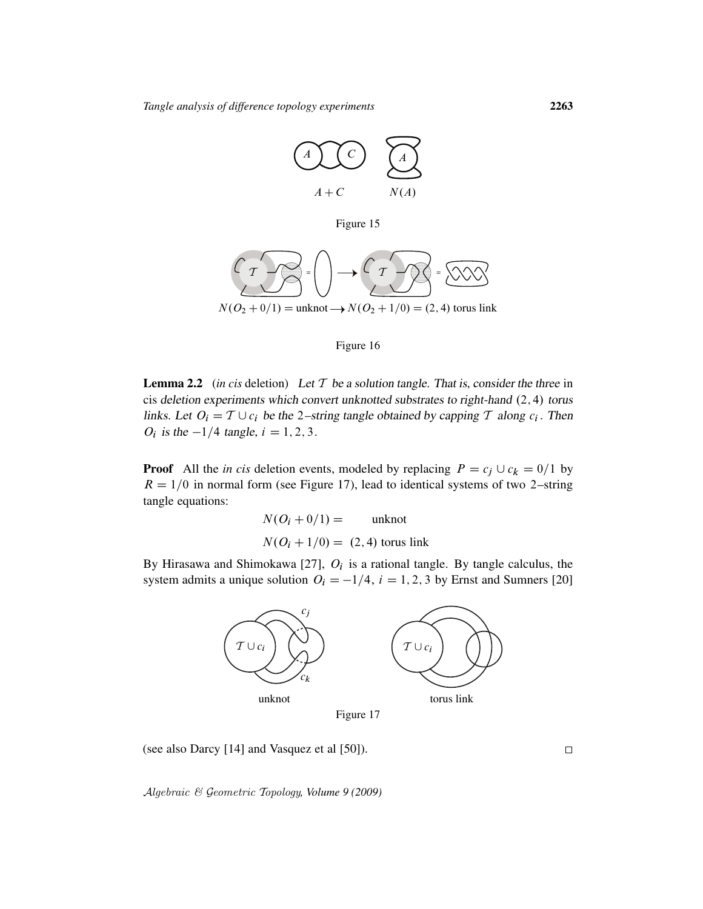

Figure 15



### Figure 16

**Lemma 2.2** (*in cis* deletion) Let  $T$  be a solution tangle. That is, consider the three in cis deletion experiments which convert unknotted substrates to right-hand  $(2, 4)$  torus links. Let  $O_i = T \cup c_i$  be the 2-string tangle obtained by capping T along  $c_i$ . Then  $O_i$  is the  $-1/4$  tangle,  $i = 1, 2, 3$ .

**Proof** All the *in cis* deletion events, modeled by replacing  $P = c_j \cup c_k = 0/1$  by  $R = 1/0$  in normal form (see Figure 17), lead to identical systems of two 2–string tangle equations:

$$
N(O_i + 0/1) = \text{unknot}
$$
  

$$
N(O_i + 1/0) = (2, 4) \text{ torus link}
$$

By Hirasawa and Shimokawa [27],  $O_i$  is a rational tangle. By tangle calculus, the system admits a unique solution  $O_i = -1/4$ ,  $i = 1, 2, 3$  by Ernst and Sumners [20]



Figure 17

(see also Darcy [14] and Vasquez et al [50]).

 $\Box$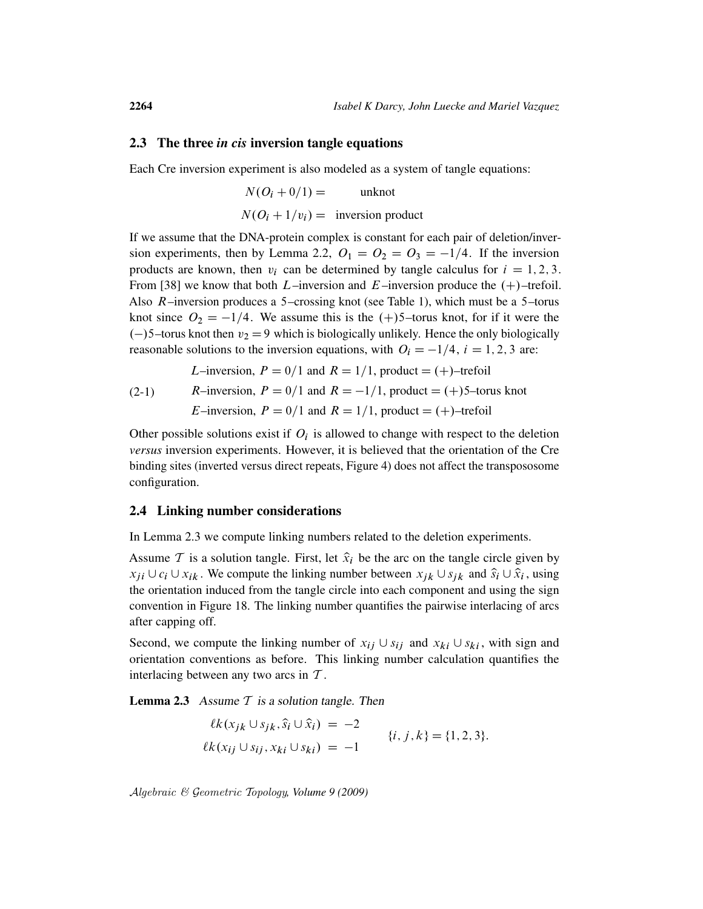#### 2.3 The three *in cis* inversion tangle equations

Each Cre inversion experiment is also modeled as a system of tangle equations:

$$
N(O_i + 0/1) =
$$
unknot  

$$
N(O_i + 1/v_i) =
$$
inversion product

If we assume that the DNA-protein complex is constant for each pair of deletion/inversion experiments, then by Lemma 2.2,  $O_1 = O_2 = O_3 = -1/4$ . If the inversion products are known, then  $v_i$  can be determined by tangle calculus for  $i = 1, 2, 3$ . From [38] we know that both L–inversion and E–inversion produce the  $(+)$ –trefoil. Also  $R$ –inversion produces a 5–crossing knot (see Table 1), which must be a 5–torus knot since  $O_2 = -1/4$ . We assume this is the  $(+)5$ –torus knot, for if it were the  $(-)$ 5–torus knot then  $v_2 = 9$  which is biologically unlikely. Hence the only biologically reasonable solutions to the inversion equations, with  $O_i = -1/4$ ,  $i = 1, 2, 3$  are:

*L*–inversion,  $P = 0/1$  and  $R = 1/1$ , product  $= (+)$ –trefoil

(2-1) *R*-inversion, 
$$
P = 0/1
$$
 and  $R = -1/1$ , product = (+)5–torus knot  
*E*-inversion,  $P = 0/1$  and  $R = 1/1$ , product = (+)-trefoil

Other possible solutions exist if  $O_i$  is allowed to change with respect to the deletion *versus* inversion experiments. However, it is believed that the orientation of the Cre binding sites (inverted versus direct repeats, Figure 4) does not affect the transpososome configuration.

### 2.4 Linking number considerations

In Lemma 2.3 we compute linking numbers related to the deletion experiments.

Assume T is a solution tangle. First, let  $\hat{x}_i$  be the arc on the tangle circle given by  $x_{ji} \cup c_i \cup x_{ik}$ . We compute the linking number between  $x_{jk} \cup s_{jk}$  and  $\hat{s}_i \cup \hat{x}_i$ , using the orientation induced from the tangle circle into each component and using the sign convention in Figure 18. The linking number quantifies the pairwise interlacing of arcs after capping off.

Second, we compute the linking number of  $x_{ij} \cup s_{ij}$  and  $x_{ki} \cup s_{ki}$ , with sign and orientation conventions as before. This linking number calculation quantifies the interlacing between any two arcs in  $T$ .

**Lemma 2.3** Assume  $T$  is a solution tangle. Then

$$
\ell k(x_{jk} \cup s_{jk}, \hat{s}_i \cup \hat{x}_i) = -2
$$
  
 
$$
\ell k(x_{ij} \cup s_{ij}, x_{ki} \cup s_{ki}) = -1
$$
  
 
$$
\{i, j, k\} = \{1, 2, 3\}.
$$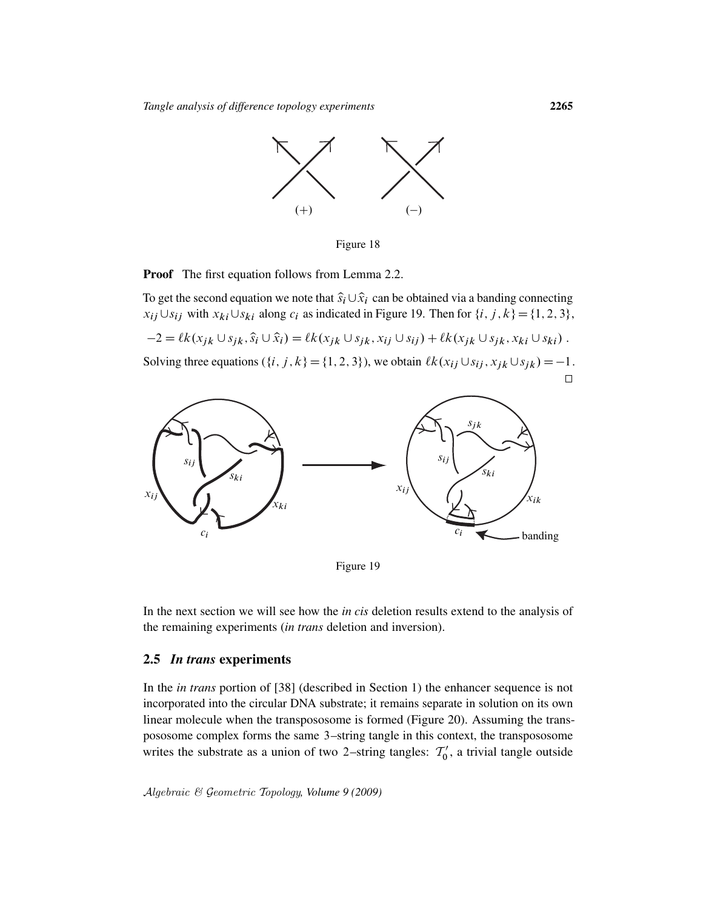

Figure 18

**Proof** The first equation follows from Lemma 2.2.

To get the second equation we note that  $\hat{s}_i \cup \hat{x}_i$  can be obtained via a banding connecting  $x_{ij} \cup s_{ij}$  with  $x_{ki} \cup s_{ki}$  along  $c_i$  as indicated in Figure 19. Then for  $\{i, j, k\} = \{1, 2, 3\}$ ,

 $-2 = \ell k(x_{jk} \cup s_{jk}, \hat{s}_i \cup \hat{x}_i) = \ell k(x_{jk} \cup s_{jk}, x_{ij} \cup s_{ij}) + \ell k(x_{jk} \cup s_{jk}, x_{ki} \cup s_{ki}).$ 

Solving three equations  $(\{i, j, k\} = \{1, 2, 3\})$ , we obtain  $\ell k(x_{ij} \cup s_{ij}, x_{jk} \cup s_{jk}) = -1$ .



Figure 19

In the next section we will see how the *in cis* deletion results extend to the analysis of the remaining experiments (*in trans* deletion and inversion).

### 2.5 *In trans* experiments

In the *in trans* portion of [38] (described in Section 1) the enhancer sequence is not incorporated into the circular DNA substrate; it remains separate in solution on its own linear molecule when the transpososome is formed (Figure 20). Assuming the transpososome complex forms the same 3–string tangle in this context, the transpososome writes the substrate as a union of two 2-string tangles:  $T_0'$  $\frac{1}{0}$ , a trivial tangle outside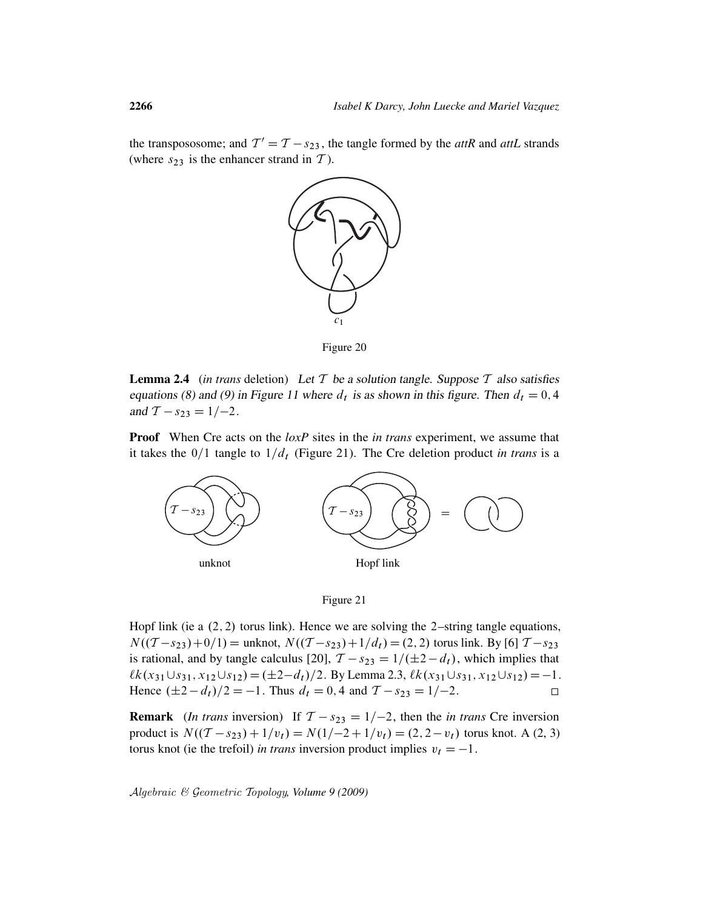the transpososome; and  $T' = T - s_{23}$ , the tangle formed by the *attR* and *attL* strands (where  $s_{23}$  is the enhancer strand in T).



Figure 20

**Lemma 2.4** (*in trans* deletion) Let  $T$  be a solution tangle. Suppose  $T$  also satisfies equations (8) and (9) in Figure 11 where  $d_t$  is as shown in this figure. Then  $d_t = 0, 4$ and  $T - s_{23} = 1/-2$ .

Proof When Cre acts on the *loxP* sites in the *in trans* experiment, we assume that it takes the  $0/1$  tangle to  $1/d_t$  (Figure 21). The Cre deletion product *in trans* is a



Figure 21

Hopf link (ie a  $(2, 2)$  torus link). Hence we are solving the 2–string tangle equations,  $N((T - s_{23}) + 0/1) =$  unknot,  $N((T - s_{23}) + 1/d_t) = (2, 2)$  torus link. By [6]  $T - s_{23}$ is rational, and by tangle calculus [20],  $T - s_{23} = 1/(\pm 2 - d_t)$ , which implies that  $\ell k(x_{31}\cup s_{31}, x_{12}\cup s_{12}) = (\pm 2-d_t)/2$ . By Lemma 2.3,  $\ell k(x_{31}\cup s_{31}, x_{12}\cup s_{12}) = -1$ . Hence  $(\pm 2 - d_t)/2 = -1$ . Thus  $d_t = 0$ , 4 and  $T - s_{23} = 1/-2$ .  $\Box$ 

**Remark** (*In trans* inversion) If  $T - s_{23} = 1/-2$ , then the *in trans* Cre inversion product is  $N((T - s_{23}) + 1/v_t) = N(1/-2 + 1/v_t) = (2, 2 - v_t)$  torus knot. A (2, 3) torus knot (ie the trefoil) *in trans* inversion product implies  $v_t = -1$ .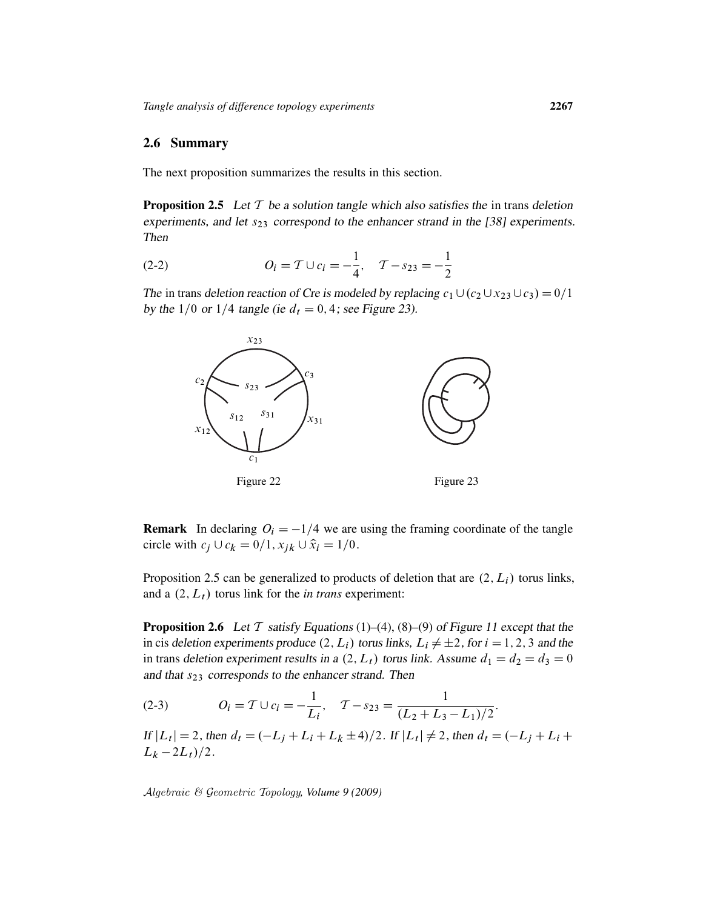### 2.6 Summary

The next proposition summarizes the results in this section.

**Proposition 2.5** Let  $T$  be a solution tangle which also satisfies the in trans deletion experiments, and let  $s_{23}$  correspond to the enhancer strand in the [38] experiments. Then

(2-2) 
$$
O_i = \mathcal{T} \cup c_i = -\frac{1}{4}, \quad \mathcal{T} - s_{23} = -\frac{1}{2}
$$

The in trans deletion reaction of Cre is modeled by replacing  $c_1\cup(c_2\cup x_{23}\cup c_3)=0/1$ by the 1/0 or 1/4 tangle (ie  $d_t = 0, 4$ ; see Figure 23).



**Remark** In declaring  $O_i = -1/4$  we are using the framing coordinate of the tangle circle with  $c_j \cup c_k = 0/1$ ,  $x_{jk} \cup \hat{x}_i = 1/0$ .

Proposition 2.5 can be generalized to products of deletion that are  $(2, L_i)$  torus links, and a  $(2, L_t)$  torus link for the *in trans* experiment:

**Proposition 2.6** Let T satisfy Equations (1)–(4), (8)–(9) of Figure 11 except that the in cis deletion experiments produce  $(2, L_i)$  torus links,  $L_i \neq \pm 2$ , for  $i = 1, 2, 3$  and the in trans deletion experiment results in a  $(2, L_t)$  torus link. Assume  $d_1 = d_2 = d_3 = 0$ and that  $s_{23}$  corresponds to the enhancer strand. Then

(2-3) 
$$
O_i = T \cup c_i = -\frac{1}{L_i}, \quad T - s_{23} = \frac{1}{(L_2 + L_3 - L_1)/2}.
$$

If  $|L_t| = 2$ , then  $d_t = (-L_j + L_i + L_k \pm 4)/2$ . If  $|L_t| \neq 2$ , then  $d_t = (-L_j + L_i +$  $L_k - 2L_t)/2$ .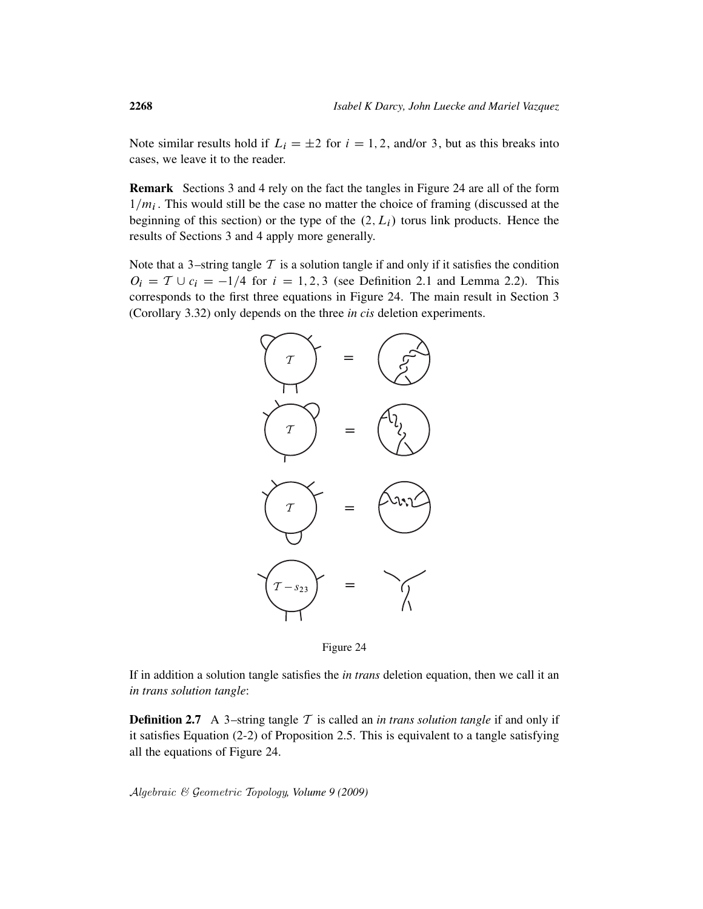Note similar results hold if  $L_i = \pm 2$  for  $i = 1, 2$ , and/or 3, but as this breaks into cases, we leave it to the reader.

Remark Sections 3 and 4 rely on the fact the tangles in Figure 24 are all of the form  $1/m_i$ . This would still be the case no matter the choice of framing (discussed at the beginning of this section) or the type of the  $(2, L_i)$  torus link products. Hence the results of Sections 3 and 4 apply more generally.

Note that a 3-string tangle  $T$  is a solution tangle if and only if it satisfies the condition  $O_i = T \cup c_i = -1/4$  for  $i = 1, 2, 3$  (see Definition 2.1 and Lemma 2.2). This corresponds to the first three equations in Figure 24. The main result in Section 3 (Corollary 3.32) only depends on the three *in cis* deletion experiments.



Figure 24

If in addition a solution tangle satisfies the *in trans* deletion equation, then we call it an *in trans solution tangle*:

**Definition 2.7** A 3-string tangle  $T$  is called an *in trans solution tangle* if and only if it satisfies Equation (2-2) of Proposition 2.5. This is equivalent to a tangle satisfying all the equations of Figure 24.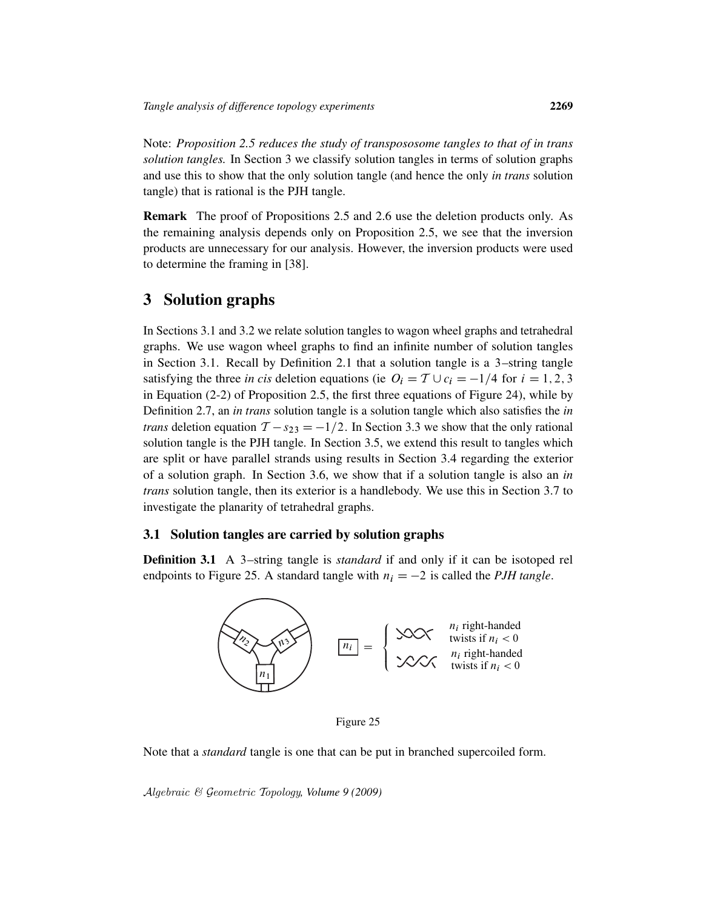Note: *Proposition 2.5 reduces the study of transpososome tangles to that of in trans solution tangles.* In Section 3 we classify solution tangles in terms of solution graphs and use this to show that the only solution tangle (and hence the only *in trans* solution tangle) that is rational is the PJH tangle.

Remark The proof of Propositions 2.5 and 2.6 use the deletion products only. As the remaining analysis depends only on Proposition 2.5, we see that the inversion products are unnecessary for our analysis. However, the inversion products were used to determine the framing in [38].

### 3 Solution graphs

In Sections 3.1 and 3.2 we relate solution tangles to wagon wheel graphs and tetrahedral graphs. We use wagon wheel graphs to find an infinite number of solution tangles in Section 3.1. Recall by Definition 2.1 that a solution tangle is a 3-string tangle satisfying the three *in cis* deletion equations (ie  $O_i = T \cup c_i = -1/4$  for  $i = 1, 2, 3$ in Equation (2-2) of Proposition 2.5, the first three equations of Figure 24), while by Definition 2.7, an *in trans* solution tangle is a solution tangle which also satisfies the *in trans* deletion equation  $T - s_{23} = -1/2$ . In Section 3.3 we show that the only rational solution tangle is the PJH tangle. In Section 3.5, we extend this result to tangles which are split or have parallel strands using results in Section 3.4 regarding the exterior of a solution graph. In Section 3.6, we show that if a solution tangle is also an *in trans* solution tangle, then its exterior is a handlebody. We use this in Section 3.7 to investigate the planarity of tetrahedral graphs.

### 3.1 Solution tangles are carried by solution graphs

**Definition 3.1** A 3-string tangle is *standard* if and only if it can be isotoped rel endpoints to Figure 25. A standard tangle with  $n_i = -2$  is called the *PJH tangle*.



Figure 25

Note that a *standard* tangle is one that can be put in branched supercoiled form.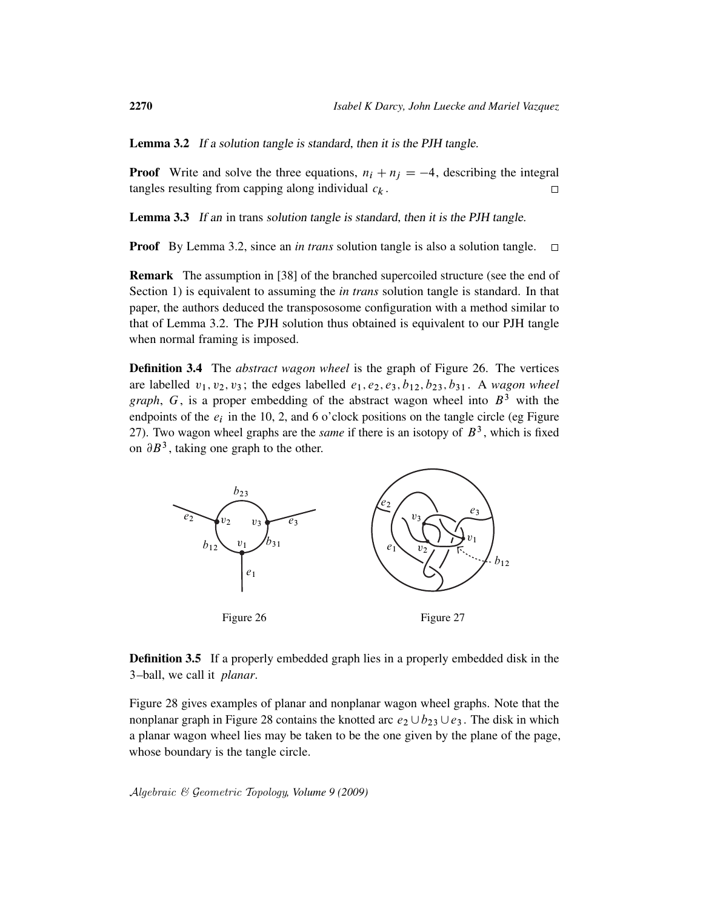Lemma 3.2 If a solution tangle is standard, then it is the PJH tangle.

**Proof** Write and solve the three equations,  $n_i + n_j = -4$ , describing the integral tangles resulting from capping along individual  $c_k$ .  $\Box$ 

Lemma 3.3 If an in trans solution tangle is standard, then it is the PJH tangle.

Proof By Lemma 3.2, since an *in trans* solution tangle is also a solution tangle.  $\Box$ 

Remark The assumption in [38] of the branched supercoiled structure (see the end of Section 1) is equivalent to assuming the *in trans* solution tangle is standard. In that paper, the authors deduced the transpososome configuration with a method similar to that of Lemma 3.2. The PJH solution thus obtained is equivalent to our PJH tangle when normal framing is imposed.

Definition 3.4 The *abstract wagon wheel* is the graph of Figure 26. The vertices are labelled  $v_1, v_2, v_3$ ; the edges labelled  $e_1, e_2, e_3, b_{12}, b_{23}, b_{31}$ . A *wagon wheel graph*,  $G$ , is a proper embedding of the abstract wagon wheel into  $B<sup>3</sup>$  with the endpoints of the  $e_i$  in the 10, 2, and 6 o'clock positions on the tangle circle (eg Figure 27). Two wagon wheel graphs are the *same* if there is an isotopy of  $B<sup>3</sup>$ , which is fixed on  $\partial B^3$ , taking one graph to the other.



Definition 3.5 If a properly embedded graph lies in a properly embedded disk in the 3–ball, we call it *planar*.

Figure 28 gives examples of planar and nonplanar wagon wheel graphs. Note that the nonplanar graph in Figure 28 contains the knotted arc  $e_2 \cup b_{23} \cup e_3$ . The disk in which a planar wagon wheel lies may be taken to be the one given by the plane of the page, whose boundary is the tangle circle.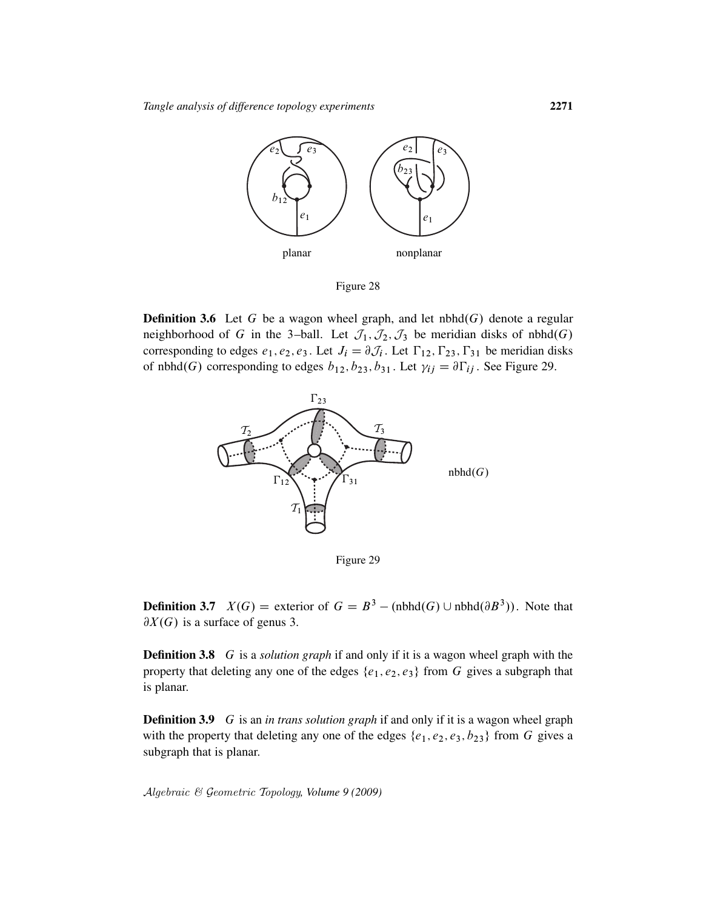

Figure 28

**Definition 3.6** Let G be a wagon wheel graph, and let nbhd $(G)$  denote a regular neighborhood of G in the 3-ball. Let  $\mathcal{J}_1$ ,  $\mathcal{J}_2$ ,  $\mathcal{J}_3$  be meridian disks of nbhd $(G)$ corresponding to edges  $e_1, e_2, e_3$ . Let  $J_i = \partial \mathcal{J}_i$ . Let  $\Gamma_{12}$ ,  $\Gamma_{23}$ ,  $\Gamma_{31}$  be meridian disks of nbhd $(G)$  corresponding to edges  $b_{12}, b_{23}, b_{31}$ . Let  $\gamma_{ij} = \partial \Gamma_{ij}$ . See Figure 29.



Figure 29

**Definition 3.7**  $X(G)$  = exterior of  $G = B^3 - (nbhd(G) \cup nbhd(\partial B^3))$ . Note that  $\partial X(G)$  is a surface of genus 3.

Definition 3.8 G is a *solution graph* if and only if it is a wagon wheel graph with the property that deleting any one of the edges  $\{e_1, e_2, e_3\}$  from G gives a subgraph that is planar.

Definition 3.9 G is an *in trans solution graph* if and only if it is a wagon wheel graph with the property that deleting any one of the edges  $\{e_1, e_2, e_3, b_{23}\}$  from G gives a subgraph that is planar.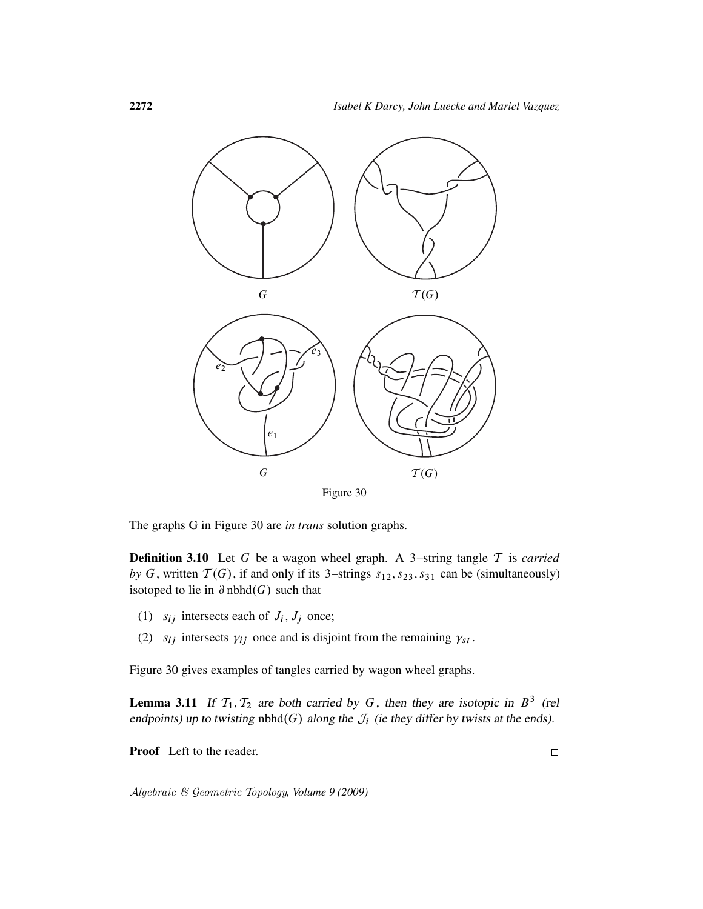

Figure 30

The graphs G in Figure 30 are *in trans* solution graphs.

Definition 3.10 Let G be a wagon wheel graph. A 3–string tangle T is *carried by* G, written  $T(G)$ , if and only if its 3–strings  $s_{12}$ ,  $s_{23}$ ,  $s_{31}$  can be (simultaneously) isotoped to lie in  $\partial$  nbhd $(G)$  such that

- (1)  $s_{ij}$  intersects each of  $J_i$ ,  $J_j$  once;
- (2)  $s_{ij}$  intersects  $\gamma_{ij}$  once and is disjoint from the remaining  $\gamma_{st}$ .

Figure 30 gives examples of tangles carried by wagon wheel graphs.

**Lemma 3.11** If  $T_1, T_2$  are both carried by G, then they are isotopic in  $B^3$  (rel endpoints) up to twisting nbhd $(G)$  along the  $\mathcal{J}_i$  (ie they differ by twists at the ends).

Proof Left to the reader.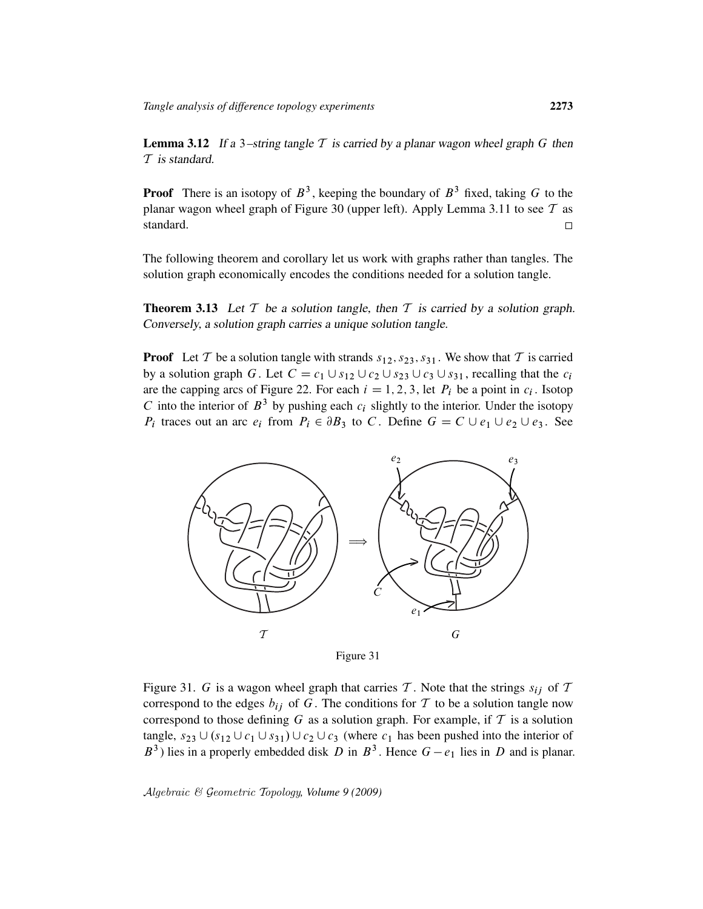**Lemma 3.12** If a 3-string tangle  $\mathcal T$  is carried by a planar wagon wheel graph  $G$  then T is standard.

**Proof** There is an isotopy of  $B^3$ , keeping the boundary of  $B^3$  fixed, taking G to the planar wagon wheel graph of Figure 30 (upper left). Apply Lemma 3.11 to see  $T$  as standard.  $\Box$ 

The following theorem and corollary let us work with graphs rather than tangles. The solution graph economically encodes the conditions needed for a solution tangle.

**Theorem 3.13** Let  $T$  be a solution tangle, then  $T$  is carried by a solution graph. Conversely, a solution graph carries a unique solution tangle.

**Proof** Let T be a solution tangle with strands  $s_{12}$ ,  $s_{23}$ ,  $s_{31}$ . We show that T is carried by a solution graph G. Let  $C = c_1 \cup s_{12} \cup c_2 \cup s_{23} \cup c_3 \cup s_{31}$ , recalling that the  $c_i$ are the capping arcs of Figure 22. For each  $i = 1, 2, 3$ , let  $P_i$  be a point in  $c_i$ . Isotop C into the interior of  $B^3$  by pushing each  $c_i$  slightly to the interior. Under the isotopy  $P_i$  traces out an arc  $e_i$  from  $P_i \in \partial B_3$  to C. Define  $G = C \cup e_1 \cup e_2 \cup e_3$ . See



Figure 31

Figure 31. G is a wagon wheel graph that carries T. Note that the strings  $s_{ij}$  of T correspond to the edges  $b_{ij}$  of G. The conditions for T to be a solution tangle now correspond to those defining  $G$  as a solution graph. For example, if  $T$  is a solution tangle,  $s_{23} \cup (s_{12} \cup c_1 \cup s_{31}) \cup c_2 \cup c_3$  (where  $c_1$  has been pushed into the interior of  $B<sup>3</sup>$ ) lies in a properly embedded disk D in  $B<sup>3</sup>$ . Hence  $G - e<sub>1</sub>$  lies in D and is planar.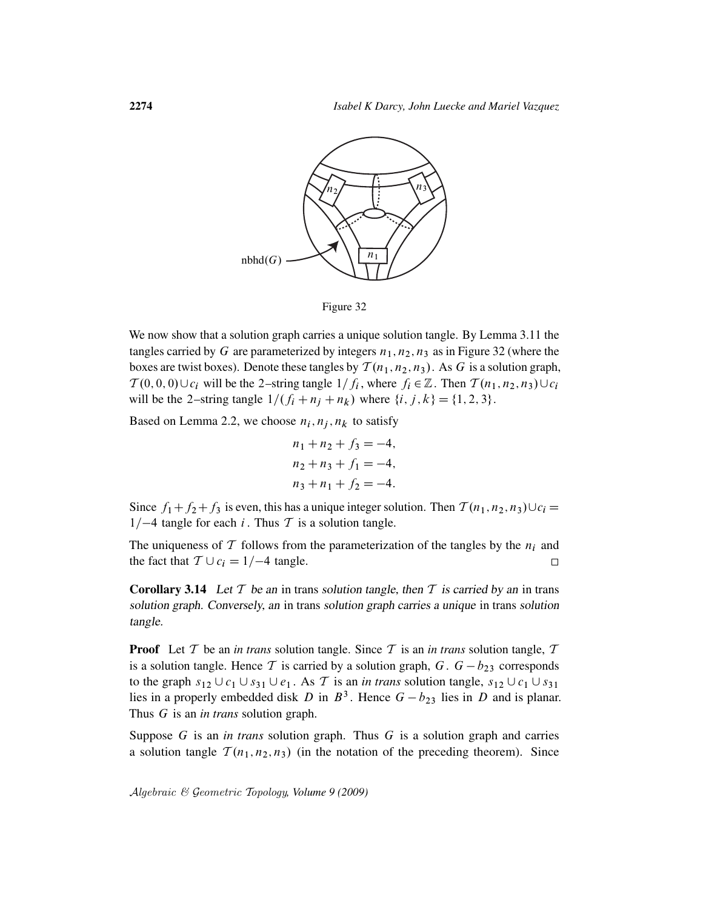



We now show that a solution graph carries a unique solution tangle. By Lemma 3.11 the tangles carried by G are parameterized by integers  $n_1, n_2, n_3$  as in Figure 32 (where the boxes are twist boxes). Denote these tangles by  $\mathcal{T}(n_1, n_2, n_3)$ . As G is a solution graph,  $T(0,0,0) \cup c_i$  will be the 2-string tangle  $1/f_i$ , where  $f_i \in \mathbb{Z}$ . Then  $T(n_1,n_2,n_3) \cup c_i$ will be the 2–string tangle  $1/(f_i + n_i + n_k)$  where  $\{i, j, k\} = \{1, 2, 3\}.$ 

Based on Lemma 2.2, we choose  $n_i$ ,  $n_j$ ,  $n_k$  to satisfy

$$
n_1 + n_2 + f_3 = -4,
$$
  
\n
$$
n_2 + n_3 + f_1 = -4,
$$
  
\n
$$
n_3 + n_1 + f_2 = -4.
$$

Since  $f_1+f_2+f_3$  is even, this has a unique integer solution. Then  $\mathcal{T}(n_1,n_2,n_3)\cup c_i$  =  $1/-4$  tangle for each i. Thus T is a solution tangle.

The uniqueness of T follows from the parameterization of the tangles by the  $n_i$  and the fact that  $T \cup c_i = 1/-4$  tangle.  $\Box$ 

**Corollary 3.14** Let  $T$  be an in trans solution tangle, then  $T$  is carried by an in trans solution graph. Conversely, an in trans solution graph carries a unique in trans solution tangle.

**Proof** Let  $T$  be an *in trans* solution tangle. Since  $T$  is an *in trans* solution tangle,  $T$ is a solution tangle. Hence T is carried by a solution graph,  $G \cdot G - b_{23}$  corresponds to the graph  $s_{12} \cup c_1 \cup s_{31} \cup e_1$ . As T is an *in trans* solution tangle,  $s_{12} \cup c_1 \cup s_{31}$ lies in a properly embedded disk D in  $B^3$ . Hence  $G - b_{23}$  lies in D and is planar. Thus G is an *in trans* solution graph.

Suppose G is an *in trans* solution graph. Thus G is a solution graph and carries a solution tangle  $T(n_1, n_2, n_3)$  (in the notation of the preceding theorem). Since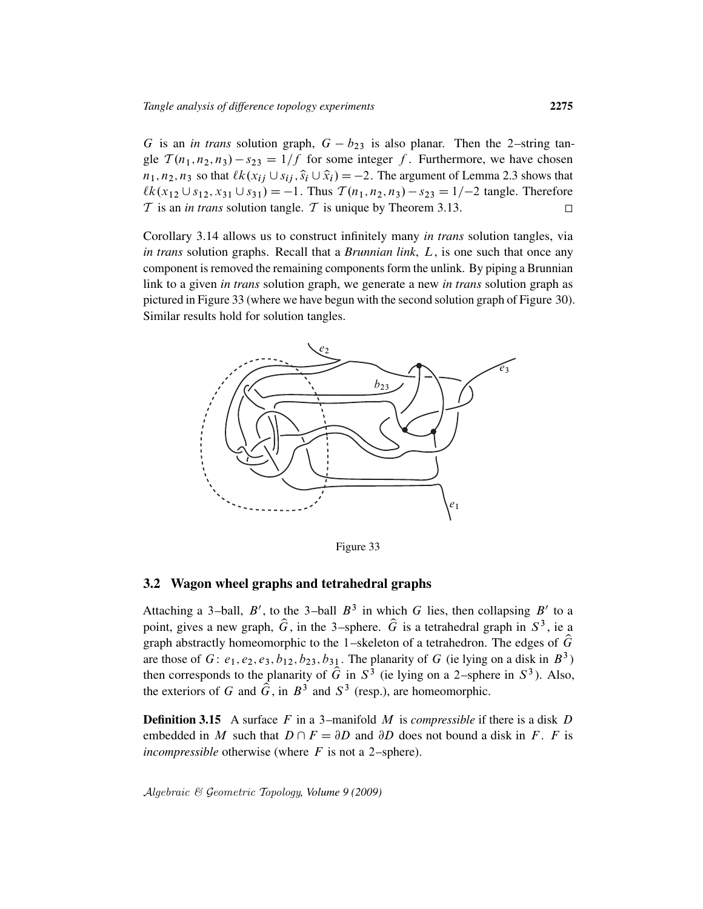G is an *in trans* solution graph,  $G - b_{23}$  is also planar. Then the 2-string tangle  $T(n_1, n_2, n_3) - s_{23} = 1/f$  for some integer f. Furthermore, we have chosen  $n_1, n_2, n_3$  so that  $\ell k(x_{ij} \cup s_{ij}, \hat{s}_i \cup \hat{x}_i) = -2$ . The argument of Lemma 2.3 shows that  $\ell k(x_{12} \cup s_{12}, x_{31} \cup s_{31}) = -1$ . Thus  $T(n_1, n_2, n_3) - s_{23} = 1/-2$  tangle. Therefore  $T$  is an *in trans* solution tangle.  $T$  is unique by Theorem 3.13.  $\Box$ 

Corollary 3.14 allows us to construct infinitely many *in trans* solution tangles, via *in trans* solution graphs. Recall that a *Brunnian link*, L, is one such that once any component is removed the remaining components form the unlink. By piping a Brunnian link to a given *in trans* solution graph, we generate a new *in trans* solution graph as pictured in Figure 33 (where we have begun with the second solution graph of Figure 30). Similar results hold for solution tangles.



Figure 33

### 3.2 Wagon wheel graphs and tetrahedral graphs

Attaching a 3-ball, B', to the 3-ball  $B^3$  in which G lies, then collapsing B' to a point, gives a new graph,  $\hat{G}$ , in the 3-sphere.  $\hat{G}$  is a tetrahedral graph in  $S^3$ , ie a graph abstractly homeomorphic to the 1–skeleton of a tetrahedron. The edges of  $\hat{G}$ are those of  $G: e_1, e_2, e_3, b_{12}, b_{23}, b_{31}$ . The planarity of  $G$  (ie lying on a disk in  $B^3$ ) then corresponds to the planarity of  $\hat{G}$  in  $S^3$  (ie lying on a 2–sphere in  $S^3$ ). Also, the exteriors of G and  $\hat{G}$ , in  $B^3$  and  $S^3$  (resp.), are homeomorphic.

**Definition 3.15** A surface F in a 3-manifold M is *compressible* if there is a disk D embedded in M such that  $D \cap F = \partial D$  and  $\partial D$  does not bound a disk in F. F is *incompressible* otherwise (where  $F$  is not a 2–sphere).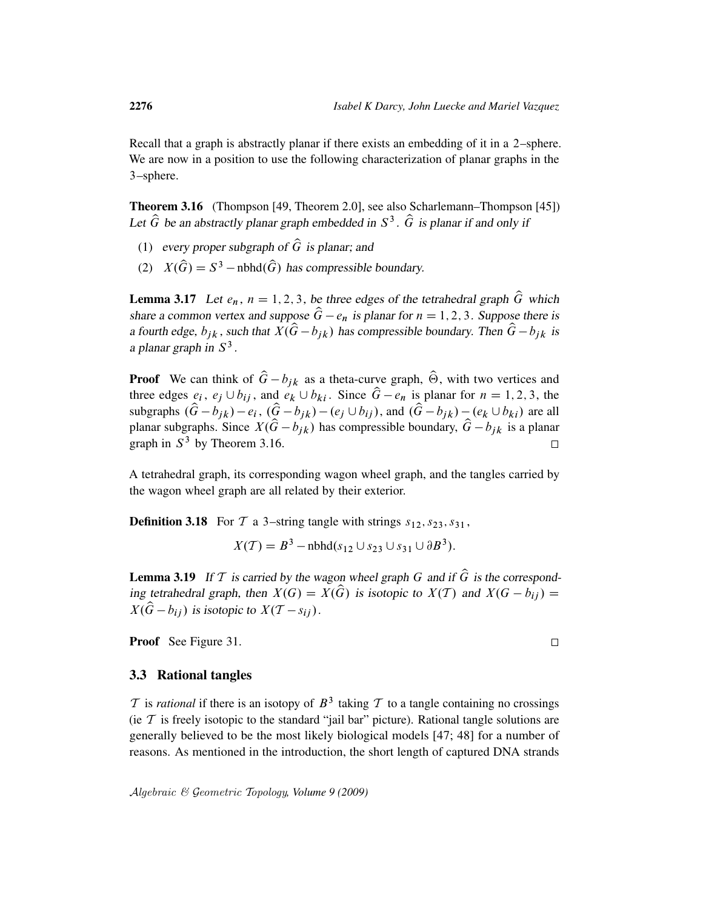Recall that a graph is abstractly planar if there exists an embedding of it in a 2–sphere. We are now in a position to use the following characterization of planar graphs in the 3–sphere.

Theorem 3.16 (Thompson [49, Theorem 2.0], see also Scharlemann–Thompson [45]) Let  $\hat{G}$  be an abstractly planar graph embedded in  $S^3$ .  $\hat{G}$  is planar if and only if

- (1) every proper subgraph of  $\hat{G}$  is planar; and
- (2)  $X(\widehat{G}) = S^3$  nbhd $(\widehat{G})$  has compressible boundary.

**Lemma 3.17** Let  $e_n$ ,  $n = 1, 2, 3$ , be three edges of the tetrahedral graph  $\hat{G}$  which share a common vertex and suppose  $\hat{G} - e_n$  is planar for  $n = 1, 2, 3$ . Suppose there is a fourth edge,  $b_{ik}$ , such that  $X(\hat{G}-b_{ik})$  has compressible boundary. Then  $\hat{G}-b_{ik}$  is a planar graph in  $S^3$ .

**Proof** We can think of  $\hat{G} - b_{ik}$  as a theta-curve graph,  $\hat{\Theta}$ , with two vertices and three edges  $e_i$ ,  $e_j \cup b_{ij}$ , and  $e_k \cup b_{ki}$ . Since  $\hat{G}-e_n$  is planar for  $n = 1, 2, 3$ , the subgraphs  $(\hat{G} - b_{jk}) - e_i$ ,  $(\hat{G} - b_{jk}) - (e_j \cup b_{ij})$ , and  $(\hat{G} - b_{jk}) - (e_k \cup b_{ki})$  are all planar subgraphs. Since  $X(\hat{G} - b_{ik})$  has compressible boundary,  $\hat{G} - b_{ik}$  is a planar graph in  $S^3$  by Theorem 3.16.  $\Box$ 

A tetrahedral graph, its corresponding wagon wheel graph, and the tangles carried by the wagon wheel graph are all related by their exterior.

**Definition 3.18** For  $T$  a 3-string tangle with strings  $s_1$ ,  $s_2$ ,  $s_3$ ,  $s_3$ ,

 $X(\mathcal{T}) = B^3 - \text{nbhd}(s_{12} \cup s_{23} \cup s_{31} \cup \partial B^3).$ 

**Lemma 3.19** If T is carried by the wagon wheel graph G and if  $\hat{G}$  is the corresponding tetrahedral graph, then  $X(G) = X(\widehat{G})$  is isotopic to  $X(T)$  and  $X(G - b_{ij}) =$  $X(\hat{G} - b_{ij})$  is isotopic to  $X(T - s_{ij})$ .

Proof See Figure 31.

### 3.3 Rational tangles

 $T$  is *rational* if there is an isotopy of  $B^3$  taking  $T$  to a tangle containing no crossings (ie  $T$  is freely isotopic to the standard "jail bar" picture). Rational tangle solutions are generally believed to be the most likely biological models [47; 48] for a number of reasons. As mentioned in the introduction, the short length of captured DNA strands

 $\Box$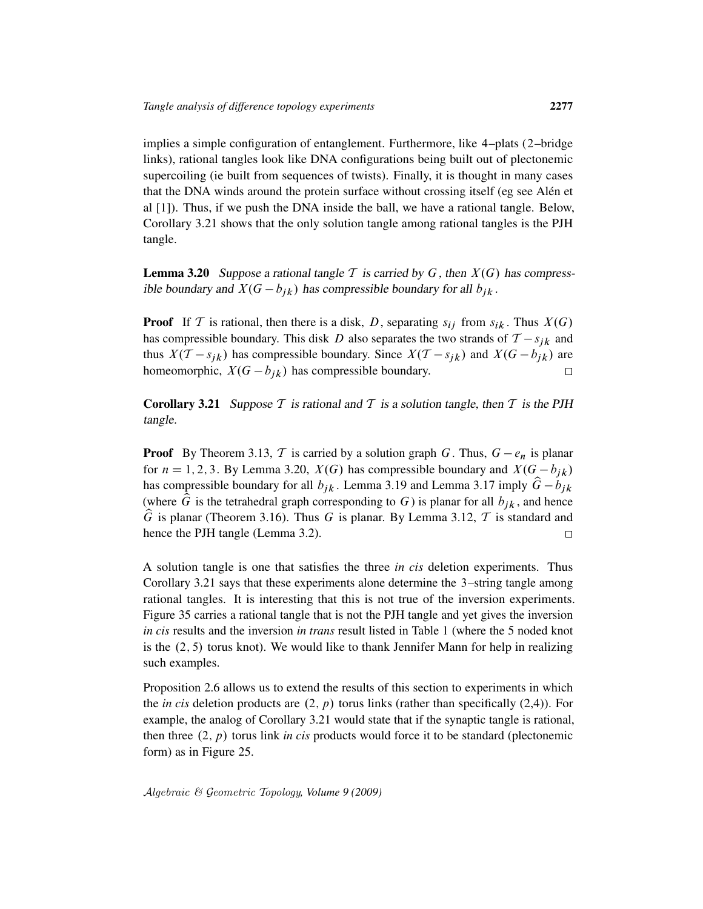implies a simple configuration of entanglement. Furthermore, like 4–plats (2–bridge links), rational tangles look like DNA configurations being built out of plectonemic supercoiling (ie built from sequences of twists). Finally, it is thought in many cases that the DNA winds around the protein surface without crossing itself (eg see Alén et al [1]). Thus, if we push the DNA inside the ball, we have a rational tangle. Below, Corollary 3.21 shows that the only solution tangle among rational tangles is the PJH tangle.

**Lemma 3.20** Suppose a rational tangle T is carried by G, then  $X(G)$  has compressible boundary and  $X(G - b_{jk})$  has compressible boundary for all  $b_{jk}$ .

**Proof** If T is rational, then there is a disk, D, separating  $s_{ij}$  from  $s_{ik}$ . Thus  $X(G)$ has compressible boundary. This disk D also separates the two strands of  $T - s_{jk}$  and thus  $X(T - s_{jk})$  has compressible boundary. Since  $X(T - s_{jk})$  and  $X(G - b_{jk})$  are homeomorphic,  $X(G - b_{ik})$  has compressible boundary.  $\Box$ 

**Corollary 3.21** Suppose T is rational and T is a solution tangle, then T is the PJH tangle.

**Proof** By Theorem 3.13, T is carried by a solution graph G. Thus,  $G - e_n$  is planar for  $n = 1, 2, 3$ . By Lemma 3.20,  $X(G)$  has compressible boundary and  $X(G - b_{ik})$ has compressible boundary for all  $b_{jk}$ . Lemma 3.19 and Lemma 3.17 imply  $\hat{G} - b_{jk}$ (where  $\hat{G}$  is the tetrahedral graph corresponding to G) is planar for all  $b_{jk}$ , and hence  $\hat{G}$  is planar (Theorem 3.16). Thus G is planar. By Lemma 3.12, T is standard and hence the PJH tangle (Lemma 3.2).  $\Box$ 

A solution tangle is one that satisfies the three *in cis* deletion experiments. Thus Corollary 3.21 says that these experiments alone determine the 3–string tangle among rational tangles. It is interesting that this is not true of the inversion experiments. Figure 35 carries a rational tangle that is not the PJH tangle and yet gives the inversion *in cis* results and the inversion *in trans* result listed in Table 1 (where the 5 noded knot is the  $(2, 5)$  torus knot). We would like to thank Jennifer Mann for help in realizing such examples.

Proposition 2.6 allows us to extend the results of this section to experiments in which the *in cis* deletion products are  $(2, p)$  torus links (rather than specifically  $(2,4)$ ). For example, the analog of Corollary 3.21 would state that if the synaptic tangle is rational, then three  $(2, p)$  torus link *in cis* products would force it to be standard (plectonemic form) as in Figure 25.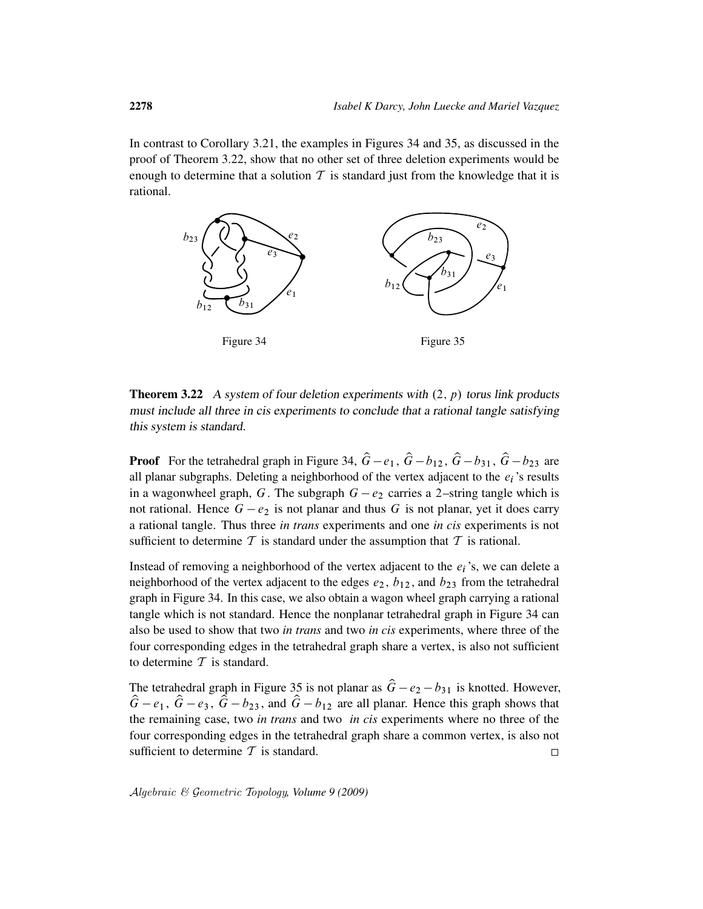In contrast to Corollary 3.21, the examples in Figures 34 and 35, as discussed in the proof of Theorem 3.22, show that no other set of three deletion experiments would be enough to determine that a solution  $T$  is standard just from the knowledge that it is rational.



**Theorem 3.22** A system of four deletion experiments with  $(2, p)$  torus link products must include all three in cis experiments to conclude that a rational tangle satisfying this system is standard.

**Proof** For the tetrahedral graph in Figure 34,  $\hat{G}-e_1$ ,  $\hat{G}-b_{12}$ ,  $\hat{G}-b_{31}$ ,  $\hat{G}-b_{23}$  are all planar subgraphs. Deleting a neighborhood of the vertex adjacent to the  $e_i$ 's results in a wagonwheel graph, G. The subgraph  $G - e_2$  carries a 2-string tangle which is not rational. Hence  $G - e_2$  is not planar and thus G is not planar, yet it does carry a rational tangle. Thus three *in trans* experiments and one *in cis* experiments is not sufficient to determine  $\mathcal T$  is standard under the assumption that  $\mathcal T$  is rational.

Instead of removing a neighborhood of the vertex adjacent to the  $e_i$ 's, we can delete a neighborhood of the vertex adjacent to the edges  $e_2$ ,  $b_{12}$ , and  $b_{23}$  from the tetrahedral graph in Figure 34. In this case, we also obtain a wagon wheel graph carrying a rational tangle which is not standard. Hence the nonplanar tetrahedral graph in Figure 34 can also be used to show that two *in trans* and two *in cis* experiments, where three of the four corresponding edges in the tetrahedral graph share a vertex, is also not sufficient to determine  $T$  is standard.

The tetrahedral graph in Figure 35 is not planar as  $\hat{G} - e_2 - b_{31}$  is knotted. However,  $\hat{G}-e_1$ ,  $\hat{G}-e_3$ ,  $\hat{G}-b_{23}$ , and  $\hat{G}-b_{12}$  are all planar. Hence this graph shows that the remaining case, two *in trans* and two *in cis* experiments where no three of the four corresponding edges in the tetrahedral graph share a common vertex, is also not sufficient to determine  $T$  is standard.  $\Box$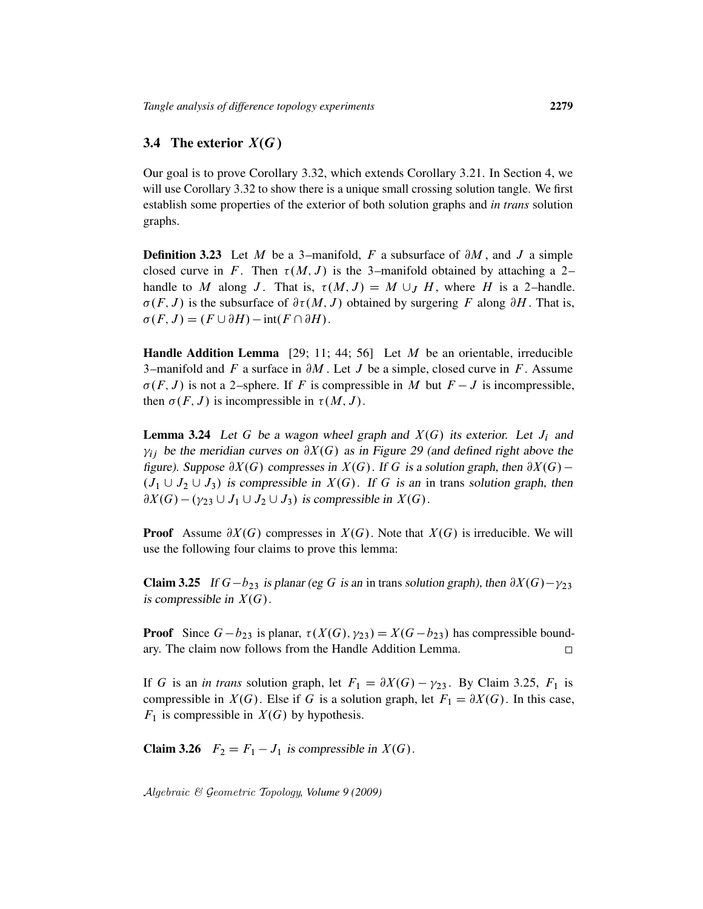### 3.4 The exterior  $X(G)$

Our goal is to prove Corollary 3.32, which extends Corollary 3.21. In Section 4, we will use Corollary 3.32 to show there is a unique small crossing solution tangle. We first establish some properties of the exterior of both solution graphs and *in trans* solution graphs.

**Definition 3.23** Let M be a 3-manifold, F a subsurface of  $\partial M$ , and J a simple closed curve in F. Then  $\tau(M, J)$  is the 3–manifold obtained by attaching a 2– handle to M along J. That is,  $\tau(M, J) = M \cup_J H$ , where H is a 2-handle.  $\sigma(F, J)$  is the subsurface of  $\partial \tau(M, J)$  obtained by surgering F along  $\partial H$ . That is,  $\sigma(F, J) = (F \cup \partial H) - \text{int}(F \cap \partial H).$ 

Handle Addition Lemma [29; 11; 44; 56] Let  $M$  be an orientable, irreducible 3-manifold and  $F$  a surface in  $\partial M$ . Let  $J$  be a simple, closed curve in  $F$ . Assume  $\sigma(F, J)$  is not a 2–sphere. If F is compressible in M but  $F - J$  is incompressible, then  $\sigma(F, J)$  is incompressible in  $\tau(M, J)$ .

**Lemma 3.24** Let G be a wagon wheel graph and  $X(G)$  its exterior. Let  $J_i$  and  $\gamma_{ij}$  be the meridian curves on  $\partial X(G)$  as in Figure 29 (and defined right above the figure). Suppose  $\partial X(G)$  compresses in  $X(G)$ . If G is a solution graph, then  $\partial X(G)$  –  $(J_1 \cup J_2 \cup J_3)$  is compressible in  $X(G)$ . If G is an in trans solution graph, then  $\partial X(G) - (\gamma_{23} \cup J_1 \cup J_2 \cup J_3)$  is compressible in  $X(G)$ .

**Proof** Assume  $\partial X(G)$  compresses in  $X(G)$ . Note that  $X(G)$  is irreducible. We will use the following four claims to prove this lemma:

**Claim 3.25** If  $G - b_{23}$  is planar (eg G is an in trans solution graph), then  $\partial X(G) - \gamma_{23}$ is compressible in  $X(G)$ .

**Proof** Since  $G - b_{23}$  is planar,  $\tau(X(G), \gamma_{23}) = X(G - b_{23})$  has compressible boundary. The claim now follows from the Handle Addition Lemma.  $\Box$ 

If G is an *in trans* solution graph, let  $F_1 = \partial X(G) - \gamma_{23}$ . By Claim 3.25,  $F_1$  is compressible in  $X(G)$ . Else if G is a solution graph, let  $F_1 = \partial X(G)$ . In this case,  $F_1$  is compressible in  $X(G)$  by hypothesis.

**Claim 3.26**  $F_2 = F_1 - J_1$  is compressible in  $X(G)$ .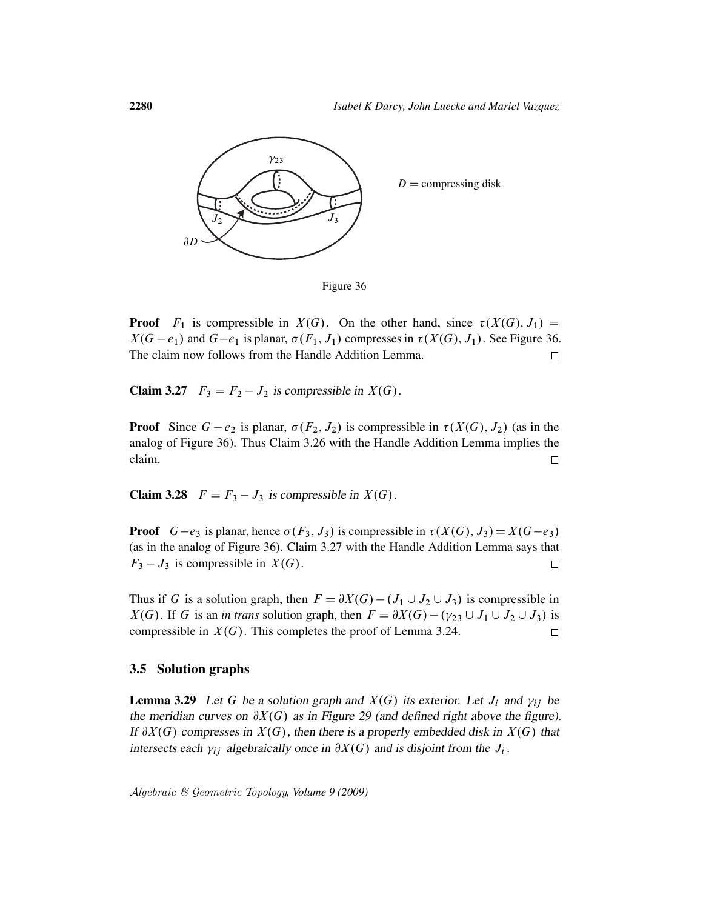

**Proof**  $F_1$  is compressible in  $X(G)$ . On the other hand, since  $\tau(X(G), J_1) =$  $X(G - e_1)$  and  $G - e_1$  is planar,  $\sigma(F_1, J_1)$  compresses in  $\tau(X(G), J_1)$ . See Figure 36. The claim now follows from the Handle Addition Lemma.  $\Box$ 

**Claim 3.27**  $F_3 = F_2 - J_2$  is compressible in  $X(G)$ .

**Proof** Since  $G - e_2$  is planar,  $\sigma(F_2, J_2)$  is compressible in  $\tau(X(G), J_2)$  (as in the analog of Figure 36). Thus Claim 3.26 with the Handle Addition Lemma implies the claim.  $\Box$ 

**Claim 3.28**  $F = F_3 - J_3$  is compressible in  $X(G)$ .

**Proof**  $G-e_3$  is planar, hence  $\sigma(F_3, J_3)$  is compressible in  $\tau(X(G), J_3) = X(G-e_3)$ . (as in the analog of Figure 36). Claim 3.27 with the Handle Addition Lemma says that  $F_3 - J_3$  is compressible in  $X(G)$ .  $\Box$ 

Thus if G is a solution graph, then  $F = \partial X(G) - (J_1 \cup J_2 \cup J_3)$  is compressible in  $X(G)$ . If G is an *in trans* solution graph, then  $F = \partial X(G) - (\gamma_{23} \cup J_1 \cup J_2 \cup J_3)$  is compressible in  $X(G)$ . This completes the proof of Lemma 3.24.  $\Box$ 

#### 3.5 Solution graphs

**Lemma 3.29** Let G be a solution graph and  $X(G)$  its exterior. Let  $J_i$  and  $\gamma_{ij}$  be the meridian curves on  $\partial X(G)$  as in Figure 29 (and defined right above the figure). If  $\partial X(G)$  compresses in  $X(G)$ , then there is a properly embedded disk in  $X(G)$  that intersects each  $\gamma_{ij}$  algebraically once in  $\partial X(G)$  and is disjoint from the  $J_i$ .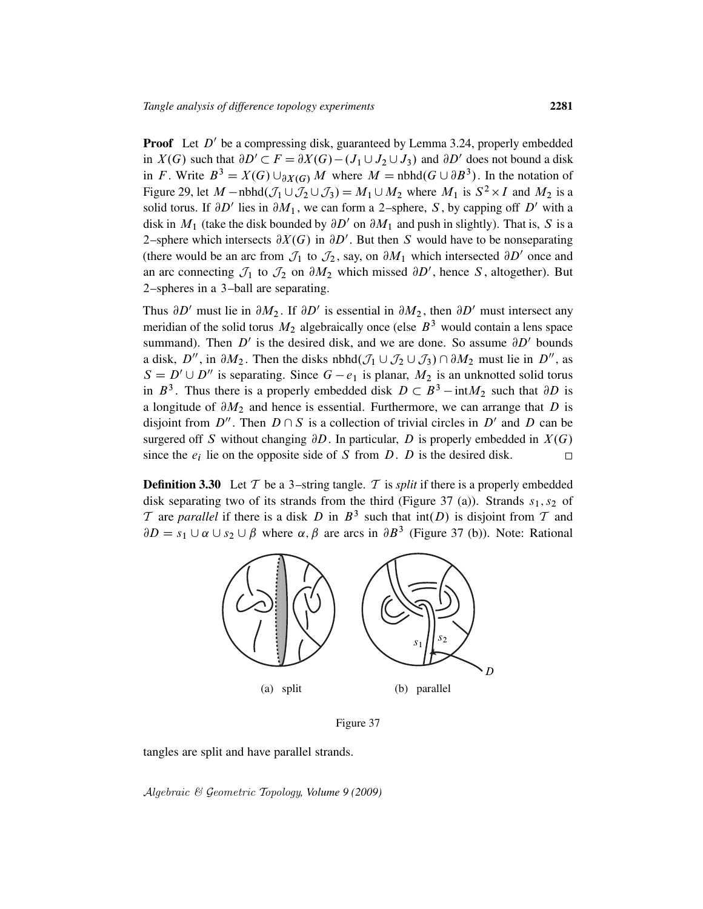**Proof** Let  $D'$  be a compressing disk, guaranteed by Lemma 3.24, properly embedded in  $X(G)$  such that  $\partial D' \subset F = \partial X(G) - (J_1 \cup J_2 \cup J_3)$  and  $\partial D'$  does not bound a disk in F. Write  $B^3 = X(G) \cup_{\partial X(G)} M$  where  $M = \text{nbhd}(G \cup \partial B^3)$ . In the notation of Figure 29, let  $M$  – nbhd $(\mathcal{J}_1 \cup \mathcal{J}_2 \cup \mathcal{J}_3) = M_1 \cup M_2$  where  $M_1$  is  $S^2 \times I$  and  $M_2$  is a solid torus. If  $\partial D'$  lies in  $\partial M_1$ , we can form a 2-sphere, S, by capping off D' with a disk in  $M_1$  (take the disk bounded by  $\partial D'$  on  $\partial M_1$  and push in slightly). That is, S is a 2-sphere which intersects  $\partial X(G)$  in  $\partial D'$ . But then S would have to be nonseparating (there would be an arc from  $\mathcal{J}_1$  to  $\mathcal{J}_2$ , say, on  $\partial M_1$  which intersected  $\partial D'$  once and an arc connecting  $\mathcal{J}_1$  to  $\mathcal{J}_2$  on  $\partial M_2$  which missed  $\partial D'$ , hence S, altogether). But 2–spheres in a 3–ball are separating.

Thus  $\partial D'$  must lie in  $\partial M_2$ . If  $\partial D'$  is essential in  $\partial M_2$ , then  $\partial D'$  must intersect any meridian of the solid torus  $M_2$  algebraically once (else  $B<sup>3</sup>$  would contain a lens space summand). Then  $D'$  is the desired disk, and we are done. So assume  $\partial D'$  bounds a disk, D'', in  $\partial M_2$ . Then the disks nbhd $(\mathcal{J}_1 \cup \mathcal{J}_2 \cup \mathcal{J}_3) \cap \partial M_2$  must lie in D'', as  $S = D' \cup D''$  is separating. Since  $G - e_1$  is planar,  $M_2$  is an unknotted solid torus in  $B^3$ . Thus there is a properly embedded disk  $D \subset B^3 - \text{int}M_2$  such that  $\partial D$  is a longitude of  $\partial M_2$  and hence is essential. Furthermore, we can arrange that D is disjoint from  $D''$ . Then  $D \cap S$  is a collection of trivial circles in  $D'$  and  $D$  can be surgered off S without changing  $\partial D$ . In particular, D is properly embedded in  $X(G)$ since the  $e_i$  lie on the opposite side of S from D. D is the desired disk.  $\Box$ 

**Definition 3.30** Let  $T$  be a 3-string tangle.  $T$  is *split* if there is a properly embedded disk separating two of its strands from the third (Figure 37 (a)). Strands  $s_1, s_2$  of T are *parallel* if there is a disk D in  $B^3$  such that  $int(D)$  is disjoint from T and  $\partial D = s_1 \cup \alpha \cup s_2 \cup \beta$  where  $\alpha, \beta$  are arcs in  $\partial B^3$  (Figure 37 (b)). Note: Rational



Figure 37

tangles are split and have parallel strands.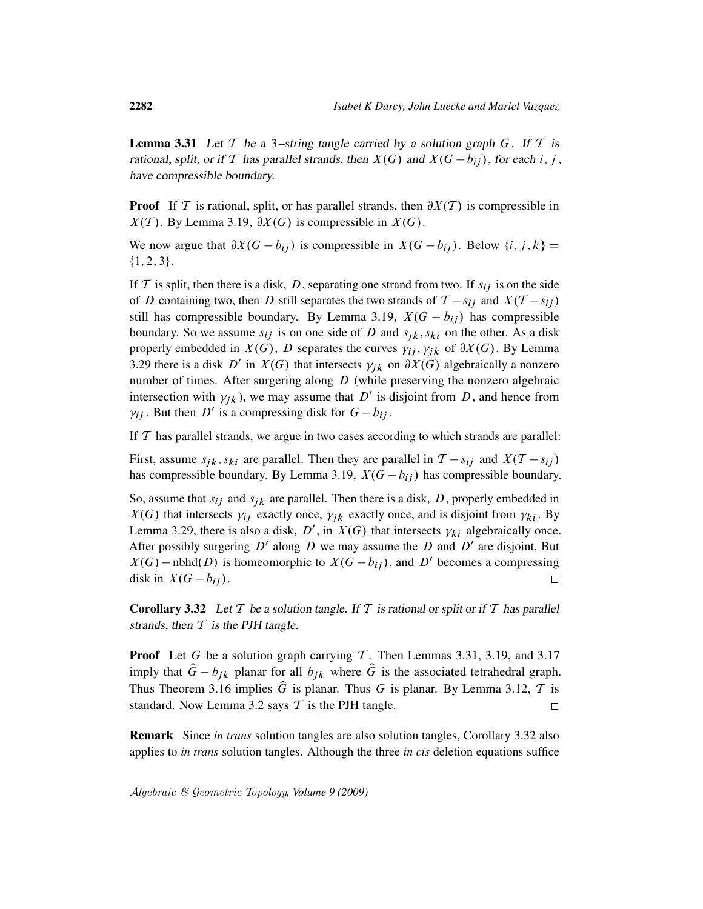**Lemma 3.31** Let T be a 3-string tangle carried by a solution graph G. If T is rational, split, or if T has parallel strands, then  $X(G)$  and  $X(G - b_{ij})$ , for each i, j, have compressible boundary.

**Proof** If T is rational, split, or has parallel strands, then  $\partial X(T)$  is compressible in  $X(T)$ . By Lemma 3.19,  $\partial X(G)$  is compressible in  $X(G)$ .

We now argue that  $\partial X(G - b_{ij})$  is compressible in  $X(G - b_{ij})$ . Below  $\{i, j, k\} =$  $\{1, 2, 3\}.$ 

If T is split, then there is a disk, D, separating one strand from two. If  $s_{ij}$  is on the side of D containing two, then D still separates the two strands of  $T - s_{ij}$  and  $X(T - s_{ij})$ still has compressible boundary. By Lemma 3.19,  $X(G - b_{ij})$  has compressible boundary. So we assume  $s_{ij}$  is on one side of D and  $s_{ik}$ ,  $s_{ki}$  on the other. As a disk properly embedded in  $X(G)$ , D separates the curves  $\gamma_{ij}$ ,  $\gamma_{jk}$  of  $\partial X(G)$ . By Lemma 3.29 there is a disk D' in  $X(G)$  that intersects  $\gamma_{jk}$  on  $\partial X(G)$  algebraically a nonzero number of times. After surgering along  $D$  (while preserving the nonzero algebraic intersection with  $\gamma_{jk}$ ), we may assume that D' is disjoint from D, and hence from  $\gamma_{ij}$ . But then D' is a compressing disk for  $G - b_{ij}$ .

If  $T$  has parallel strands, we argue in two cases according to which strands are parallel:

First, assume  $s_{jk}$ ,  $s_{ki}$  are parallel. Then they are parallel in  $T - s_{ij}$  and  $X(T - s_{ij})$ has compressible boundary. By Lemma 3.19,  $X(G - b_{ij})$  has compressible boundary.

So, assume that  $s_{ij}$  and  $s_{jk}$  are parallel. Then there is a disk, D, properly embedded in  $X(G)$  that intersects  $\gamma_{ij}$  exactly once,  $\gamma_{jk}$  exactly once, and is disjoint from  $\gamma_{ki}$ . By Lemma 3.29, there is also a disk, D', in  $X(G)$  that intersects  $\gamma_{ki}$  algebraically once. After possibly surgering  $D'$  along  $D$  we may assume the  $D$  and  $D'$  are disjoint. But  $X(G)$  – nbhd $(D)$  is homeomorphic to  $X(G - b_{ij})$ , and D' becomes a compressing disk in  $X(G - b_{ij}).$  $\Box$ 

**Corollary 3.32** Let T be a solution tangle. If T is rational or split or if T has parallel strands, then  $T$  is the PJH tangle.

**Proof** Let G be a solution graph carrying T. Then Lemmas 3.31, 3.19, and 3.17 imply that  $\hat{G} - b_{ik}$  planar for all  $b_{ik}$  where  $\hat{G}$  is the associated tetrahedral graph. Thus Theorem 3.16 implies  $\hat{G}$  is planar. Thus G is planar. By Lemma 3.12, T is standard. Now Lemma 3.2 says  $T$  is the PJH tangle.  $\Box$ 

Remark Since *in trans* solution tangles are also solution tangles, Corollary 3.32 also applies to *in trans* solution tangles. Although the three *in cis* deletion equations suffice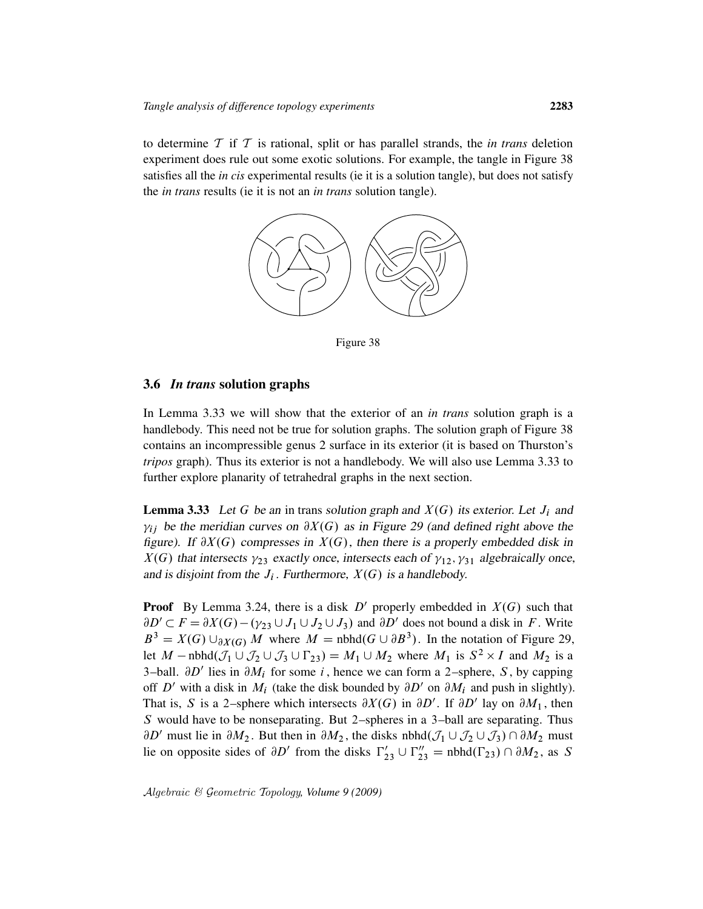to determine T if T is rational, split or has parallel strands, the *in trans* deletion experiment does rule out some exotic solutions. For example, the tangle in Figure 38 satisfies all the *in cis* experimental results (ie it is a solution tangle), but does not satisfy the *in trans* results (ie it is not an *in trans* solution tangle).



Figure 38

### 3.6 *In trans* solution graphs

In Lemma 3.33 we will show that the exterior of an *in trans* solution graph is a handlebody. This need not be true for solution graphs. The solution graph of Figure 38 contains an incompressible genus 2 surface in its exterior (it is based on Thurston's *tripos* graph). Thus its exterior is not a handlebody. We will also use Lemma 3.33 to further explore planarity of tetrahedral graphs in the next section.

**Lemma 3.33** Let G be an in trans solution graph and  $X(G)$  its exterior. Let  $J_i$  and  $\gamma_{ij}$  be the meridian curves on  $\partial X(G)$  as in Figure 29 (and defined right above the figure). If  $\partial X(G)$  compresses in  $X(G)$ , then there is a properly embedded disk in  $X(G)$  that intersects  $\gamma_{23}$  exactly once, intersects each of  $\gamma_{12}, \gamma_{31}$  algebraically once, and is disjoint from the  $J_i$ . Furthermore,  $X(G)$  is a handlebody.

**Proof** By Lemma 3.24, there is a disk  $D'$  properly embedded in  $X(G)$  such that  $\partial D' \subset F = \partial X(G) - (\gamma_{23} \cup J_1 \cup J_2 \cup J_3)$  and  $\partial D'$  does not bound a disk in F. Write  $B^3 = X(G) \cup_{\partial X(G)} M$  where  $M = \text{nbhd}(G \cup \partial B^3)$ . In the notation of Figure 29, let  $M$  – nbhd $(\mathcal{J}_1 \cup \mathcal{J}_2 \cup \mathcal{J}_3 \cup \Gamma_{23}) = M_1 \cup M_2$  where  $M_1$  is  $S^2 \times I$  and  $M_2$  is a 3-ball.  $\partial D'$  lies in  $\partial M_i$  for some i, hence we can form a 2-sphere, S, by capping off D' with a disk in  $M_i$  (take the disk bounded by  $\partial D'$  on  $\partial M_i$  and push in slightly). That is, S is a 2-sphere which intersects  $\partial X(G)$  in  $\partial D'$ . If  $\partial D'$  lay on  $\partial M_1$ , then S would have to be nonseparating. But 2–spheres in a 3–ball are separating. Thus  $\partial D'$  must lie in  $\partial M_2$ . But then in  $\partial M_2$ , the disks nbhd $(\mathcal{J}_1 \cup \mathcal{J}_2 \cup \mathcal{J}_3) \cap \partial M_2$  must lie on opposite sides of  $\partial D'$  from the disks  $\Gamma'_{23} \cup \Gamma''_{23} = \text{nbhd}(\Gamma_{23}) \cap \partial M_2$ , as S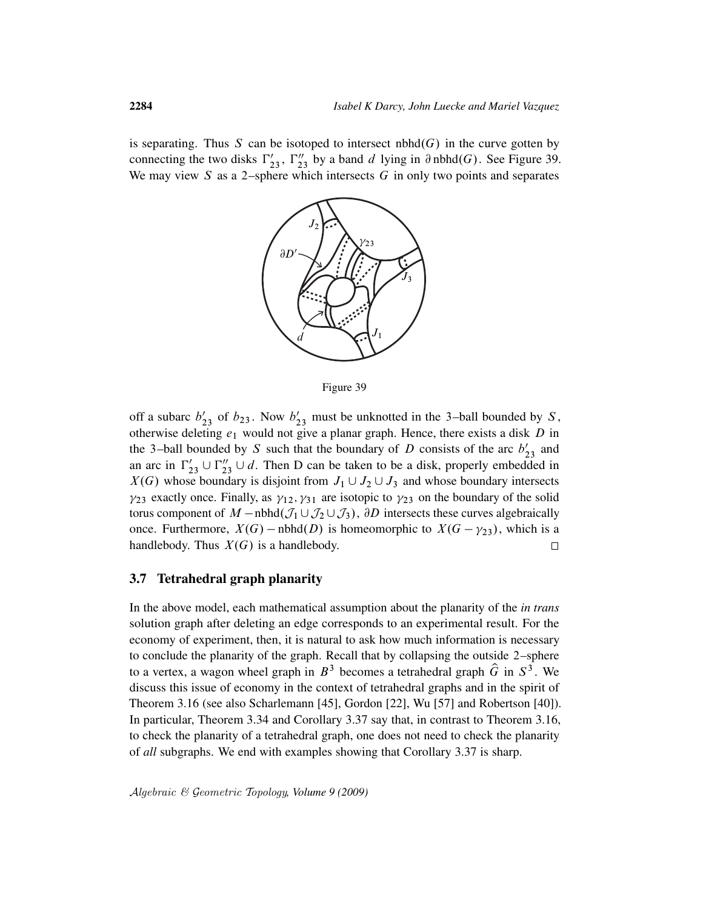is separating. Thus S can be isotoped to intersect  $n**bm**(G)$  in the curve gotten by connecting the two disks  $\Gamma'_{23}$ ,  $\Gamma''_{23}$  by a band d lying in  $\partial$  nbhd $(G)$ . See Figure 39. We may view  $S$  as a 2–sphere which intersects  $G$  in only two points and separates



Figure 39

off a subarc  $b'_{23}$  of  $b_{23}$ . Now  $b'_{23}$  must be unknotted in the 3-ball bounded by S, otherwise deleting  $e_1$  would not give a planar graph. Hence, there exists a disk  $D$  in the 3-ball bounded by S such that the boundary of D consists of the arc  $b'_{23}$  and an arc in  $\Gamma'_{23} \cup \Gamma''_{23} \cup d$ . Then D can be taken to be a disk, properly embedded in  $X(G)$  whose boundary is disjoint from  $J_1 \cup J_2 \cup J_3$  and whose boundary intersects  $\gamma_{23}$  exactly once. Finally, as  $\gamma_{12}, \gamma_{31}$  are isotopic to  $\gamma_{23}$  on the boundary of the solid torus component of  $M$  – nbhd $(\mathcal{J}_1 \cup \mathcal{J}_2 \cup \mathcal{J}_3)$ ,  $\partial D$  intersects these curves algebraically once. Furthermore,  $X(G)$  – nbhd $(D)$  is homeomorphic to  $X(G - \gamma_{23})$ , which is a handlebody. Thus  $X(G)$  is a handlebody.  $\Box$ 

### 3.7 Tetrahedral graph planarity

In the above model, each mathematical assumption about the planarity of the *in trans* solution graph after deleting an edge corresponds to an experimental result. For the economy of experiment, then, it is natural to ask how much information is necessary to conclude the planarity of the graph. Recall that by collapsing the outside 2–sphere to a vertex, a wagon wheel graph in  $B^3$  becomes a tetrahedral graph  $\hat{G}$  in  $S^3$ . We discuss this issue of economy in the context of tetrahedral graphs and in the spirit of Theorem 3.16 (see also Scharlemann [45], Gordon [22], Wu [57] and Robertson [40]). In particular, Theorem 3.34 and Corollary 3.37 say that, in contrast to Theorem 3.16, to check the planarity of a tetrahedral graph, one does not need to check the planarity of *all* subgraphs. We end with examples showing that Corollary 3.37 is sharp.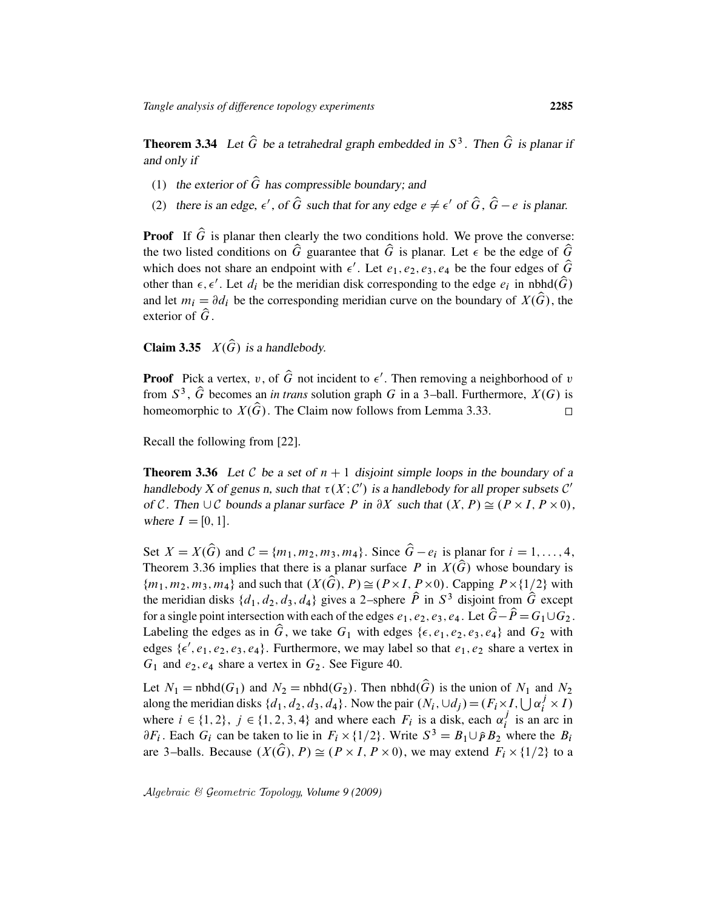**Theorem 3.34** Let  $\widehat{G}$  be a tetrahedral graph embedded in  $S^3$ . Then  $\widehat{G}$  is planar if and only if

- (1) the exterior of  $\hat{G}$  has compressible boundary; and
- (2) there is an edge,  $\epsilon'$ , of  $\hat{G}$  such that for any edge  $e \neq \epsilon'$  of  $\hat{G}$ ,  $\hat{G} e$  is planar.

**Proof** If  $\hat{G}$  is planar then clearly the two conditions hold. We prove the converse: the two listed conditions on  $\hat{G}$  guarantee that  $\hat{G}$  is planar. Let  $\epsilon$  be the edge of  $\hat{G}$ which does not share an endpoint with  $\epsilon'$ . Let  $e_1, e_2, e_3, e_4$  be the four edges of  $\hat{G}$ other than  $\epsilon, \epsilon'$ . Let  $d_i$  be the meridian disk corresponding to the edge  $e_i$  in nbhd $(\widehat{G})$ and let  $m_i = \partial d_i$  be the corresponding meridian curve on the boundary of  $X(\widehat{G})$ , the exterior of  $\hat{G}$ .

**Claim 3.35**  $X(\widehat{G})$  is a handlebody.

**Proof** Pick a vertex, v, of  $\widehat{G}$  not incident to  $\epsilon'$ . Then removing a neighborhood of v from  $S^3$ ,  $\hat{G}$  becomes an *in trans* solution graph G in a 3-ball. Furthermore,  $X(G)$  is homeomorphic to  $X(\widehat{G})$ . The Claim now follows from Lemma 3.33.  $\Box$ 

Recall the following from [22].

**Theorem 3.36** Let C be a set of  $n + 1$  disjoint simple loops in the boundary of a handlebody X of genus n, such that  $\tau(X; C')$  is a handlebody for all proper subsets C' of C. Then  $\cup$  C bounds a planar surface P in  $\partial X$  such that  $(X, P) \cong (P \times I, P \times 0)$ , where  $I = [0, 1]$ .

Set  $X = X(\widehat{G})$  and  $C = \{m_1, m_2, m_3, m_4\}$ . Since  $\widehat{G} - e_i$  is planar for  $i = 1, ..., 4$ , Theorem 3.36 implies that there is a planar surface P in  $X(\widehat{G})$  whose boundary is  ${m_1, m_2, m_3, m_4}$  and such that  $(X(\widehat{G}), P) \cong (P \times I, P \times 0)$ . Capping  $P \times \{1/2\}$  with the meridian disks  $\{d_1, d_2, d_3, d_4\}$  gives a 2-sphere  $\hat{P}$  in  $S^3$  disjoint from  $\hat{G}$  except for a single point intersection with each of the edges  $e_1, e_2, e_3, e_4$ . Let  $\hat{G} - \hat{P} = G_1 \cup G_2$ . Labeling the edges as in  $\hat{G}$ , we take  $G_1$  with edges { $\epsilon, e_1, e_2, e_3, e_4$ } and  $G_2$  with edges  $\{\epsilon', e_1, e_2, e_3, e_4\}$ . Furthermore, we may label so that  $e_1, e_2$  share a vertex in  $G_1$  and  $e_2, e_4$  share a vertex in  $G_2$ . See Figure 40.

Let  $N_1$  = nbhd $(G_1)$  and  $N_2$  = nbhd $(G_2)$ . Then nbhd $(\widehat{G})$  is the union of  $N_1$  and  $N_2$ along the meridian disks  $\{d_1, d_2, d_3, d_4\}$ . Now the pair  $(N_i, \cup d_j) = (F_i \times I, \bigcup \alpha_i^j \times I)$ where  $i \in \{1, 2\}$ ,  $j \in \{1, 2, 3, 4\}$  and where each  $F_i$  is a disk, each  $\alpha_i^j$  $i$  is an arc in  $\partial F_i$ . Each  $G_i$  can be taken to lie in  $F_i \times \{1/2\}$ . Write  $S^3 = B_1 \cup \hat{P} B_2$  where the  $B_i$ are 3-balls. Because  $(X(\widehat{G}), P) \cong (P \times I, P \times 0)$ , we may extend  $F_i \times \{1/2\}$  to a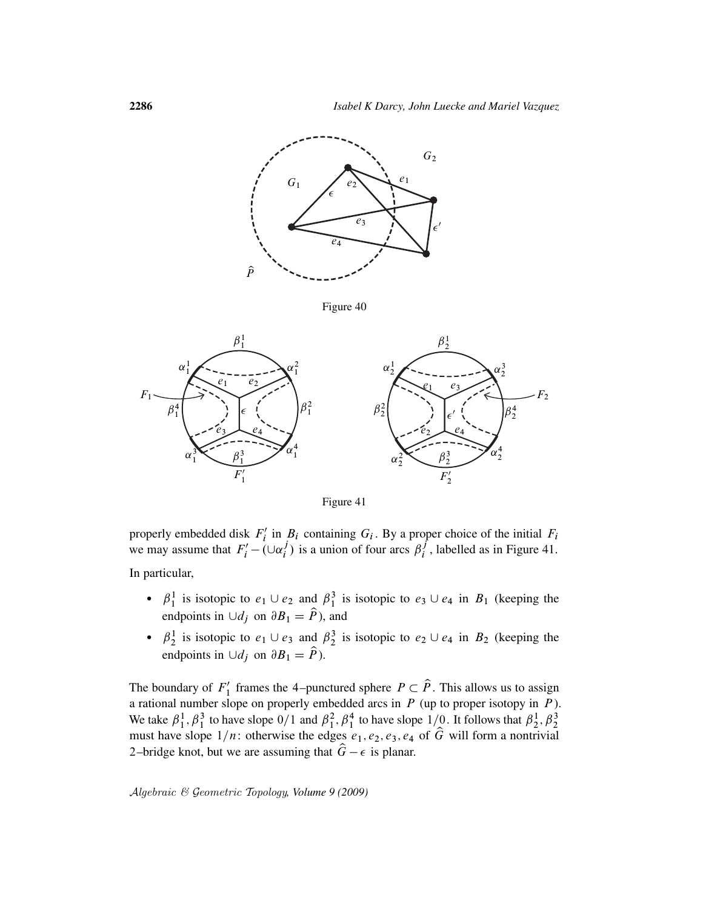

Figure 40



Figure 41

properly embedded disk  $F_i'$  $i'$  in  $B_i$  containing  $G_i$ . By a proper choice of the initial  $F_i$ we may assume that  $F'_i - (\cup \alpha_i^j)$  $\eta_i^j$ ) is a union of four arcs  $\beta_i^j$  $i<sub>i</sub>$ , labelled as in Figure 41. In particular,

- $\beta_1^1$  is isotopic to  $e_1 \cup e_2$  and  $\beta_1^3$  is isotopic to  $e_3 \cup e_4$  in  $B_1$  (keeping the endpoints in  $\bigcup d_j$  on  $\partial B_1 = \hat{P}$ ), and
- $\beta_2^1$  is isotopic to  $e_1 \cup e_3$  and  $\beta_2^3$  is isotopic to  $e_2 \cup e_4$  in  $B_2$  (keeping the endpoints in  $\cup d_j$  on  $\partial B_1 = \hat{P}$ ).

The boundary of  $F_1'$  $I_1'$  frames the 4–punctured sphere  $P \subset \hat{P}$ . This allows us to assign a rational number slope on properly embedded arcs in  $P$  (up to proper isotopy in  $P$ ). We take  $\beta_1^1$ ,  $\beta_1^3$  to have slope  $0/1$  and  $\beta_1^2$ ,  $\beta_1^4$  to have slope  $1/0$ . It follows that  $\beta_2^1$ ,  $\beta_2^3$  must have slope  $1/n$ : otherwise the edges  $e_1$ ,  $e_2$ ,  $e_3$ ,  $e_4$  of  $\hat{G}$  will form a non 2–bridge knot, but we are assuming that  $\hat{G} - \epsilon$  is planar.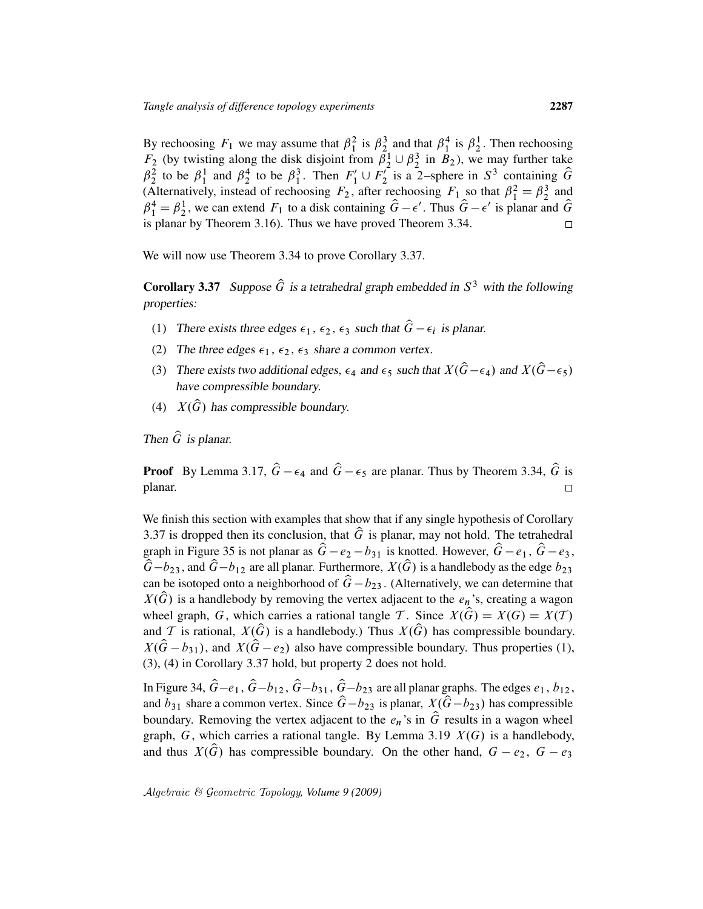By rechoosing  $F_1$  we may assume that  $\beta_1^2$  is  $\beta_2^3$  and that  $\beta_1^4$  is  $\beta_2^1$ . Then rechoosing  $F_2$  (by twisting along the disk disjoint from  $\tilde{\beta}_2^1 \cup \beta_2^3$  in  $\tilde{B}_2$ ), we may further take  $\int_{2}^{7}$  is a 2-sphere in  $S^3$  containing  $\hat{G}$  $\beta_2^2$  to be  $\beta_1^1$  and  $\beta_2^4$  to be  $\beta_1^3$ . Then  $F'_1 \cup F'_2$ (Alternatively, instead of rechoosing  $F_2$ , after rechoosing  $F_1$  so that  $\beta_1^2 = \beta_2^3$  and  $\hat{\beta}_1^4 = \beta_2^1$ , we can extend  $F_1$  to a disk containing  $\hat{G} - \epsilon'$ . Thus  $\hat{G} - \epsilon'$  is planar and  $\hat{G}$ is planar by Theorem 3.16). Thus we have proved Theorem 3.34.  $\Box$ 

We will now use Theorem 3.34 to prove Corollary 3.37.

**Corollary 3.37** Suppose  $\hat{G}$  is a tetrahedral graph embedded in  $S^3$  with the following properties:

- (1) There exists three edges  $\epsilon_1$ ,  $\epsilon_2$ ,  $\epsilon_3$  such that  $\hat{G} \epsilon_i$  is planar.
- (2) The three edges  $\epsilon_1$ ,  $\epsilon_2$ ,  $\epsilon_3$  share a common vertex.
- (3) There exists two additional edges,  $\epsilon_4$  and  $\epsilon_5$  such that  $X(\hat{G}-\epsilon_4)$  and  $X(\hat{G}-\epsilon_5)$ have compressible boundary.
- (4)  $X(\widehat{G})$  has compressible boundary.

Then  $\hat{G}$  is planar.

**Proof** By Lemma 3.17,  $\hat{G} - \epsilon_4$  and  $\hat{G} - \epsilon_5$  are planar. Thus by Theorem 3.34,  $\hat{G}$  is planar.  $\Box$ 

We finish this section with examples that show that if any single hypothesis of Corollary 3.37 is dropped then its conclusion, that  $\hat{G}$  is planar, may not hold. The tetrahedral graph in Figure 35 is not planar as  $\hat{G} - e_2 - b_{31}$  is knotted. However,  $\hat{G} - e_1$ ,  $\hat{G} - e_3$ ,  $\hat{G}-b_{23}$ , and  $\hat{G}-b_{12}$  are all planar. Furthermore,  $X(\hat{G})$  is a handlebody as the edge  $b_{23}$ can be isotoped onto a neighborhood of  $\hat{G} - b_{23}$ . (Alternatively, we can determine that  $X(\widehat{G})$  is a handlebody by removing the vertex adjacent to the  $e_n$ 's, creating a wagon wheel graph, G, which carries a rational tangle T. Since  $X(\widehat{G}) = X(G) = X(T)$ and T is rational,  $X(\widehat{G})$  is a handlebody.) Thus  $X(\widehat{G})$  has compressible boundary.  $X(\hat{G}-b_{31})$ , and  $X(\hat{G}-e_2)$  also have compressible boundary. Thus properties (1), (3), (4) in Corollary 3.37 hold, but property 2 does not hold.

In Figure 34,  $\hat{G}-e_1$ ,  $\hat{G}-b_{12}$ ,  $\hat{G}-b_{31}$ ,  $\hat{G}-b_{23}$  are all planar graphs. The edges  $e_1$ ,  $b_{12}$ , and  $b_{31}$  share a common vertex. Since  $\hat{G}-b_{23}$  is planar,  $X(\hat{G}-b_{23})$  has compressible boundary. Removing the vertex adjacent to the  $e_n$ 's in  $\hat{G}$  results in a wagon wheel graph, G, which carries a rational tangle. By Lemma 3.19  $X(G)$  is a handlebody, and thus  $X(\widehat{G})$  has compressible boundary. On the other hand,  $G - e_2$ ,  $G - e_3$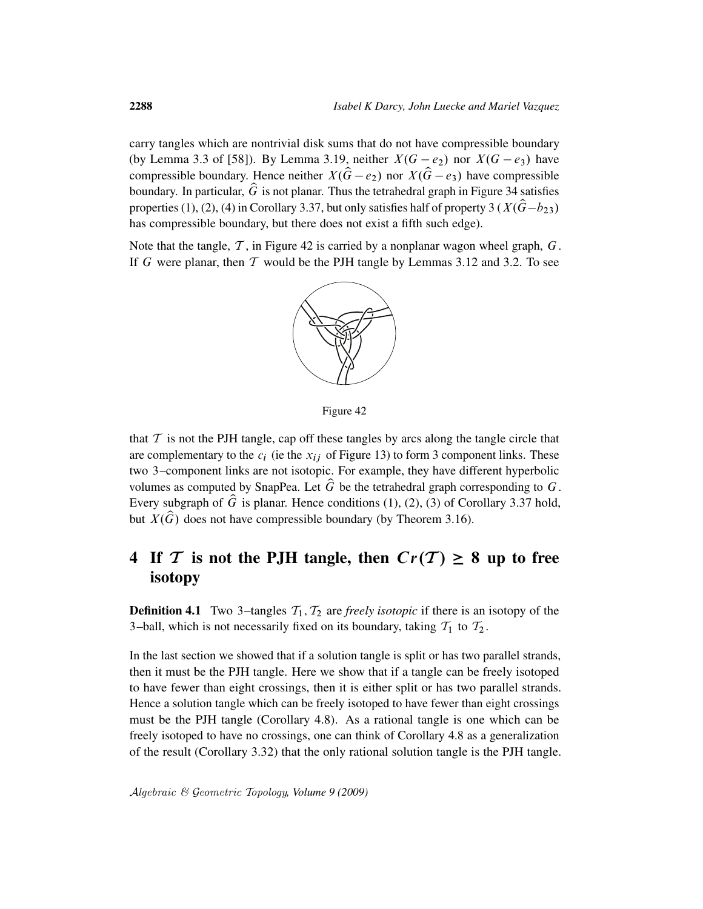carry tangles which are nontrivial disk sums that do not have compressible boundary (by Lemma 3.3 of [58]). By Lemma 3.19, neither  $X(G - e_2)$  nor  $X(G - e_3)$  have compressible boundary. Hence neither  $X(\hat{G}-e_2)$  nor  $X(\hat{G}-e_3)$  have compressible boundary. In particular,  $\hat{G}$  is not planar. Thus the tetrahedral graph in Figure 34 satisfies properties (1), (2), (4) in Corollary 3.37, but only satisfies half of property 3 ( $X(\hat{G}-b_{23})$ has compressible boundary, but there does not exist a fifth such edge).

Note that the tangle,  $\mathcal T$ , in Figure 42 is carried by a nonplanar wagon wheel graph,  $G$ . If G were planar, then  $T$  would be the PJH tangle by Lemmas 3.12 and 3.2. To see



Figure 42

that  $\mathcal T$  is not the PJH tangle, cap off these tangles by arcs along the tangle circle that are complementary to the  $c_i$  (ie the  $x_{ij}$  of Figure 13) to form 3 component links. These two 3–component links are not isotopic. For example, they have different hyperbolic volumes as computed by SnapPea. Let  $\hat{G}$  be the tetrahedral graph corresponding to  $G$ . Every subgraph of  $\hat{G}$  is planar. Hence conditions (1), (2), (3) of Corollary 3.37 hold, but  $X(\hat{G})$  does not have compressible boundary (by Theorem 3.16).

# 4 If T is not the PJH tangle, then  $Cr(T) \geq 8$  up to free isotopy

**Definition 4.1** Two 3-tangles  $T_1$ ,  $T_2$  are *freely isotopic* if there is an isotopy of the 3–ball, which is not necessarily fixed on its boundary, taking  $T_1$  to  $T_2$ .

In the last section we showed that if a solution tangle is split or has two parallel strands, then it must be the PJH tangle. Here we show that if a tangle can be freely isotoped to have fewer than eight crossings, then it is either split or has two parallel strands. Hence a solution tangle which can be freely isotoped to have fewer than eight crossings must be the PJH tangle (Corollary 4.8). As a rational tangle is one which can be freely isotoped to have no crossings, one can think of Corollary 4.8 as a generalization of the result (Corollary 3.32) that the only rational solution tangle is the PJH tangle.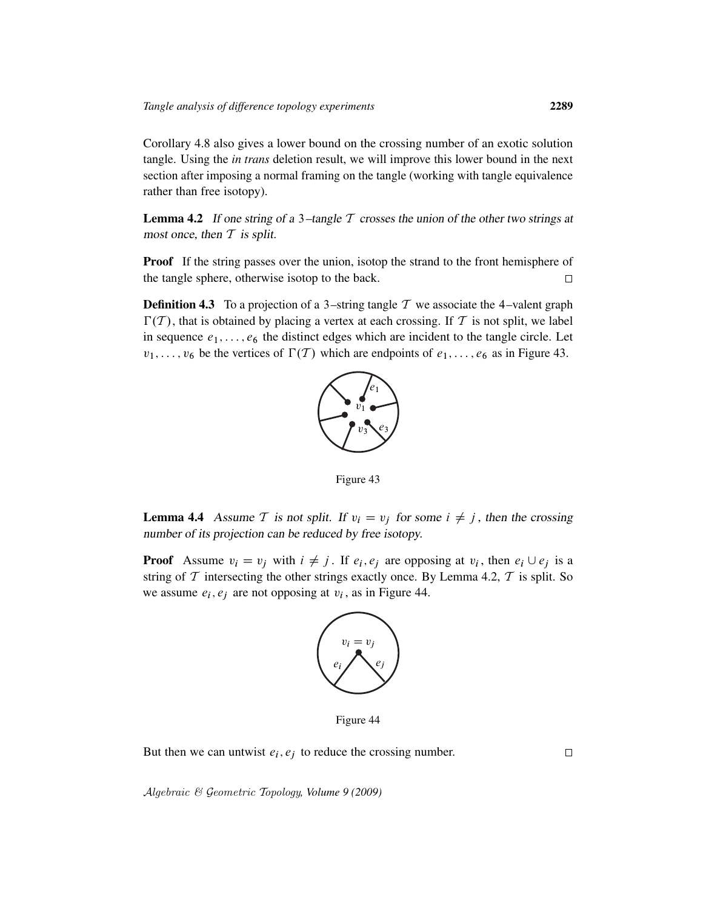Corollary 4.8 also gives a lower bound on the crossing number of an exotic solution tangle. Using the *in trans* deletion result, we will improve this lower bound in the next section after imposing a normal framing on the tangle (working with tangle equivalence rather than free isotopy).

**Lemma 4.2** If one string of a 3-tangle  $T$  crosses the union of the other two strings at most once, then  $T$  is split.

**Proof** If the string passes over the union, isotop the strand to the front hemisphere of the tangle sphere, otherwise isotop to the back.  $\Box$ 

**Definition 4.3** To a projection of a 3-string tangle T we associate the 4-valent graph  $\Gamma(T)$ , that is obtained by placing a vertex at each crossing. If T is not split, we label in sequence  $e_1, \ldots, e_6$  the distinct edges which are incident to the tangle circle. Let  $v_1, \ldots, v_6$  be the vertices of  $\Gamma(T)$  which are endpoints of  $e_1, \ldots, e_6$  as in Figure 43.



Figure 43

**Lemma 4.4** Assume T is not split. If  $v_i = v_j$  for some  $i \neq j$ , then the crossing number of its projection can be reduced by free isotopy.

**Proof** Assume  $v_i = v_j$  with  $i \neq j$ . If  $e_i, e_j$  are opposing at  $v_i$ , then  $e_i \cup e_j$  is a string of  $\mathcal T$  intersecting the other strings exactly once. By Lemma 4.2,  $\mathcal T$  is split. So we assume  $e_i$ ,  $e_j$  are not opposing at  $v_i$ , as in Figure 44.



Figure 44

But then we can untwist  $e_i, e_j$  to reduce the crossing number.

 $\Box$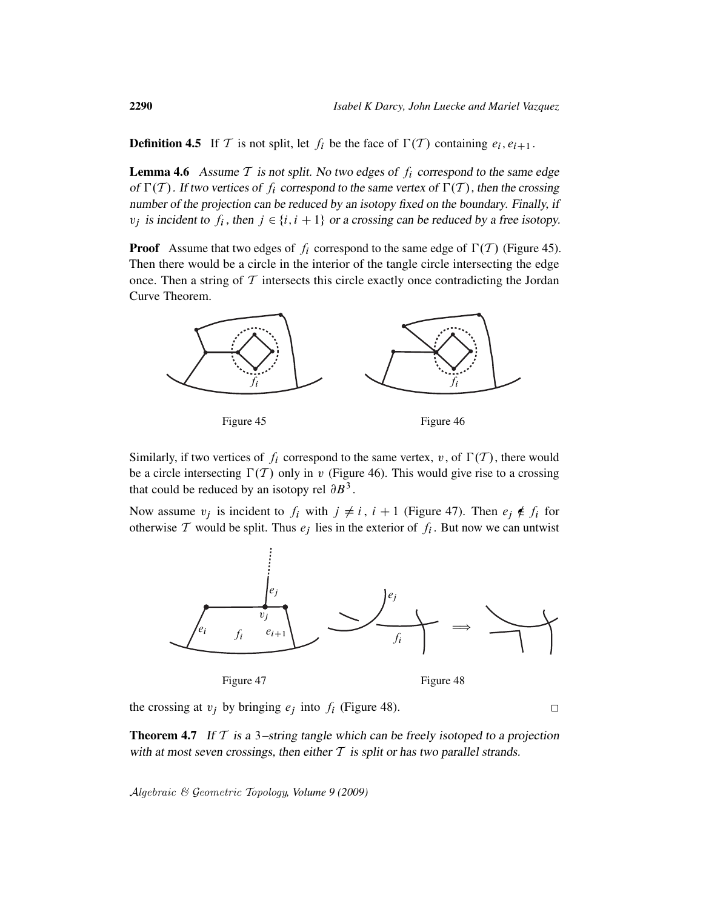**Definition 4.5** If T is not split, let  $f_i$  be the face of  $\Gamma(T)$  containing  $e_i, e_{i+1}$ .

**Lemma 4.6** Assume  $T$  is not split. No two edges of  $f_i$  correspond to the same edge of  $\Gamma(T)$ . If two vertices of  $f_i$  correspond to the same vertex of  $\Gamma(T)$ , then the crossing number of the projection can be reduced by an isotopy fixed on the boundary. Finally, if  $v_j$  is incident to  $f_i$ , then  $j \in \{i, i + 1\}$  or a crossing can be reduced by a free isotopy.

**Proof** Assume that two edges of  $f_i$  correspond to the same edge of  $\Gamma(T)$  (Figure 45). Then there would be a circle in the interior of the tangle circle intersecting the edge once. Then a string of  $T$  intersects this circle exactly once contradicting the Jordan Curve Theorem.



Similarly, if two vertices of  $f_i$  correspond to the same vertex, v, of  $\Gamma(T)$ , there would be a circle intersecting  $\Gamma(T)$  only in v (Figure 46). This would give rise to a crossing that could be reduced by an isotopy rel  $\partial B^3$ .

Now assume  $v_j$  is incident to  $f_i$  with  $j \neq i$ ,  $i + 1$  (Figure 47). Then  $e_j \notin f_i$  for otherwise T would be split. Thus  $e_j$  lies in the exterior of  $f_i$ . But now we can untwist



Figure 47

Figure 48

the crossing at  $v_j$  by bringing  $e_j$  into  $f_i$  (Figure 48).

**Theorem 4.7** If  $T$  is a 3-string tangle which can be freely isotoped to a projection with at most seven crossings, then either  $T$  is split or has two parallel strands.

Algebraic & Geometric Topology*, Volume 9 (2009)*

 $\Box$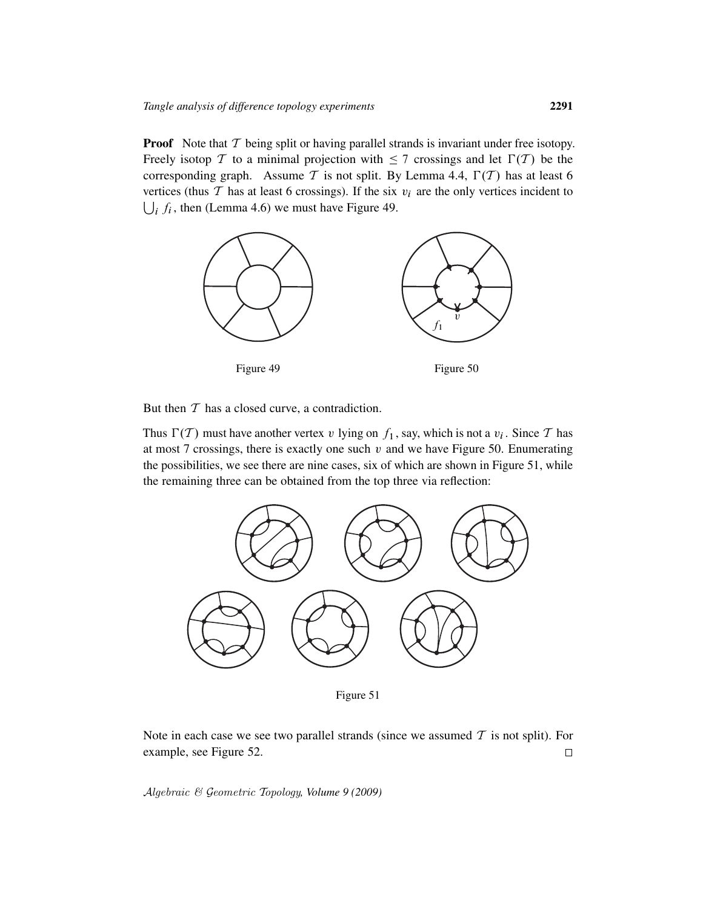**Proof** Note that  $T$  being split or having parallel strands is invariant under free isotopy. Freely isotop T to a minimal projection with  $\leq 7$  crossings and let  $\Gamma(T)$  be the corresponding graph. Assume T is not split. By Lemma 4.4,  $\Gamma(T)$  has at least 6 vertices (thus  $T$  has at least 6 crossings). If the six  $v_i$  are the only vertices incident to  $\bigcup_i f_i$ , then (Lemma 4.6) we must have Figure 49.



But then  $T$  has a closed curve, a contradiction.

Thus  $\Gamma(T)$  must have another vertex v lying on  $f_1$ , say, which is not a  $v_i$ . Since T has at most 7 crossings, there is exactly one such  $v$  and we have Figure 50. Enumerating the possibilities, we see there are nine cases, six of which are shown in Figure 51, while the remaining three can be obtained from the top three via reflection:



Figure 51

Note in each case we see two parallel strands (since we assumed  $T$  is not split). For example, see Figure 52.  $\Box$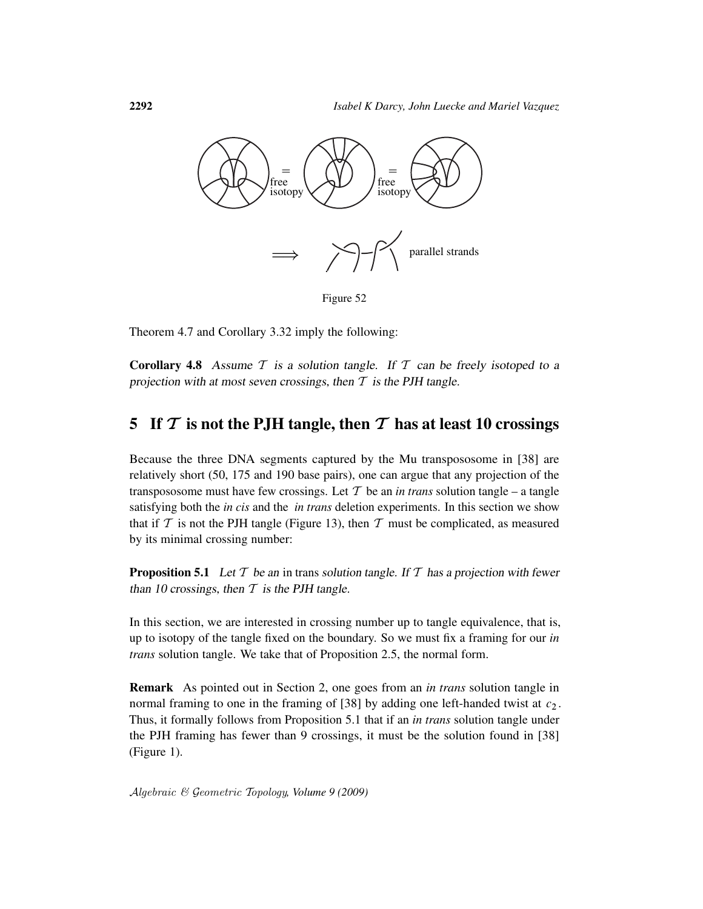

Figure 52

Theorem 4.7 and Corollary 3.32 imply the following:

**Corollary 4.8** Assume  $T$  is a solution tangle. If  $T$  can be freely isotoped to a projection with at most seven crossings, then  $T$  is the PJH tangle.

## 5 If  $\mathcal T$  is not the P.JH tangle, then  $\mathcal T$  has at least 10 crossings

Because the three DNA segments captured by the Mu transpososome in [38] are relatively short (50, 175 and 190 base pairs), one can argue that any projection of the transpososome must have few crossings. Let  $T$  be an *in trans* solution tangle – a tangle satisfying both the *in cis* and the *in trans* deletion experiments. In this section we show that if  $T$  is not the PJH tangle (Figure 13), then  $T$  must be complicated, as measured by its minimal crossing number:

**Proposition 5.1** Let  $T$  be an in trans solution tangle. If  $T$  has a projection with fewer than 10 crossings, then  $T$  is the PJH tangle.

In this section, we are interested in crossing number up to tangle equivalence, that is, up to isotopy of the tangle fixed on the boundary. So we must fix a framing for our *in trans* solution tangle. We take that of Proposition 2.5, the normal form.

Remark As pointed out in Section 2, one goes from an *in trans* solution tangle in normal framing to one in the framing of [38] by adding one left-handed twist at  $c_2$ . Thus, it formally follows from Proposition 5.1 that if an *in trans* solution tangle under the PJH framing has fewer than 9 crossings, it must be the solution found in [38] (Figure 1).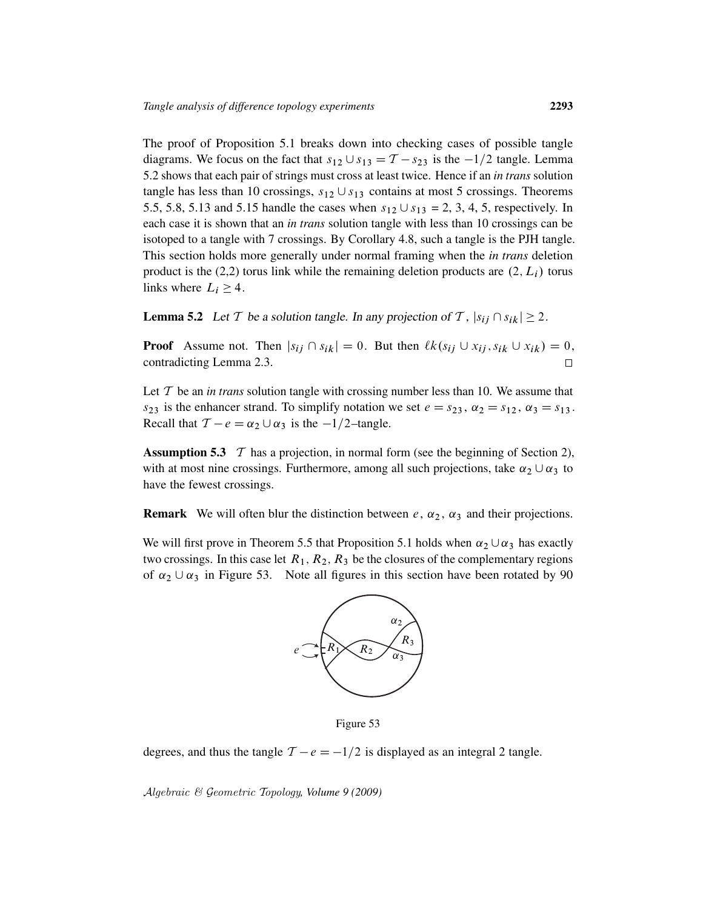The proof of Proposition 5.1 breaks down into checking cases of possible tangle diagrams. We focus on the fact that  $s_{12} \cup s_{13} = T - s_{23}$  is the  $-1/2$  tangle. Lemma 5.2 shows that each pair of strings must cross at least twice. Hence if an *in trans* solution tangle has less than 10 crossings,  $s_{12} \cup s_{13}$  contains at most 5 crossings. Theorems 5.5, 5.8, 5.13 and 5.15 handle the cases when  $s_{12} \cup s_{13} = 2, 3, 4, 5$ , respectively. In each case it is shown that an *in trans* solution tangle with less than 10 crossings can be isotoped to a tangle with 7 crossings. By Corollary 4.8, such a tangle is the PJH tangle. This section holds more generally under normal framing when the *in trans* deletion product is the (2,2) torus link while the remaining deletion products are  $(2, L_i)$  torus links where  $L_i \geq 4$ .

**Lemma 5.2** Let T be a solution tangle. In any projection of T,  $|s_{ij} \cap s_{ik}| \ge 2$ .

**Proof** Assume not. Then  $|s_{ij} \cap s_{ik}| = 0$ . But then  $\ell k(s_{ij} \cup x_{ij}, s_{ik} \cup x_{ik}) = 0$ , contradicting Lemma 2.3.  $\Box$ 

Let  $T$  be an *in trans* solution tangle with crossing number less than 10. We assume that  $s_{23}$  is the enhancer strand. To simplify notation we set  $e = s_{23}$ ,  $\alpha_2 = s_{12}$ ,  $\alpha_3 = s_{13}$ . Recall that  $T - e = \alpha_2 \cup \alpha_3$  is the  $-1/2$ -tangle.

**Assumption 5.3**  $\mathcal T$  has a projection, in normal form (see the beginning of Section 2), with at most nine crossings. Furthermore, among all such projections, take  $\alpha_2 \cup \alpha_3$  to have the fewest crossings.

**Remark** We will often blur the distinction between  $e$ ,  $\alpha_2$ ,  $\alpha_3$  and their projections.

We will first prove in Theorem 5.5 that Proposition 5.1 holds when  $\alpha_2 \cup \alpha_3$  has exactly two crossings. In this case let  $R_1, R_2, R_3$  be the closures of the complementary regions of  $\alpha_2 \cup \alpha_3$  in Figure 53. Note all figures in this section have been rotated by 90



Figure 53

degrees, and thus the tangle  $T - e = -1/2$  is displayed as an integral 2 tangle.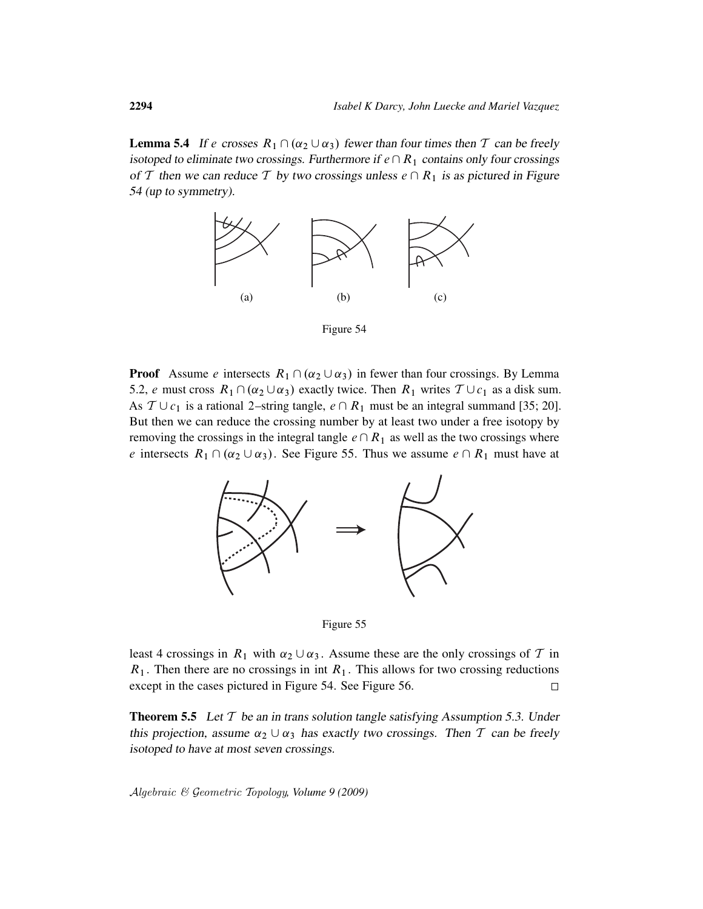**Lemma 5.4** If e crosses  $R_1 \cap (\alpha_2 \cup \alpha_3)$  fewer than four times then T can be freely isotoped to eliminate two crossings. Furthermore if  $e \cap R_1$  contains only four crossings of T then we can reduce T by two crossings unless  $e \cap R_1$  is as pictured in Figure 54 (up to symmetry).



Figure 54

**Proof** Assume e intersects  $R_1 \cap (\alpha_2 \cup \alpha_3)$  in fewer than four crossings. By Lemma 5.2, e must cross  $R_1 \cap (\alpha_2 \cup \alpha_3)$  exactly twice. Then  $R_1$  writes  $\mathcal{T} \cup c_1$  as a disk sum. As  $T \cup c_1$  is a rational 2–string tangle,  $e \cap R_1$  must be an integral summand [35; 20]. But then we can reduce the crossing number by at least two under a free isotopy by removing the crossings in the integral tangle  $e \cap R_1$  as well as the two crossings where e intersects  $R_1 \cap (\alpha_2 \cup \alpha_3)$ . See Figure 55. Thus we assume  $e \cap R_1$  must have at





least 4 crossings in  $R_1$  with  $\alpha_2 \cup \alpha_3$ . Assume these are the only crossings of  $\mathcal T$  in  $R_1$ . Then there are no crossings in int  $R_1$ . This allows for two crossing reductions except in the cases pictured in Figure 54. See Figure 56.  $\Box$ 

**Theorem 5.5** Let  $T$  be an in trans solution tangle satisfying Assumption 5.3. Under this projection, assume  $\alpha_2 \cup \alpha_3$  has exactly two crossings. Then T can be freely isotoped to have at most seven crossings.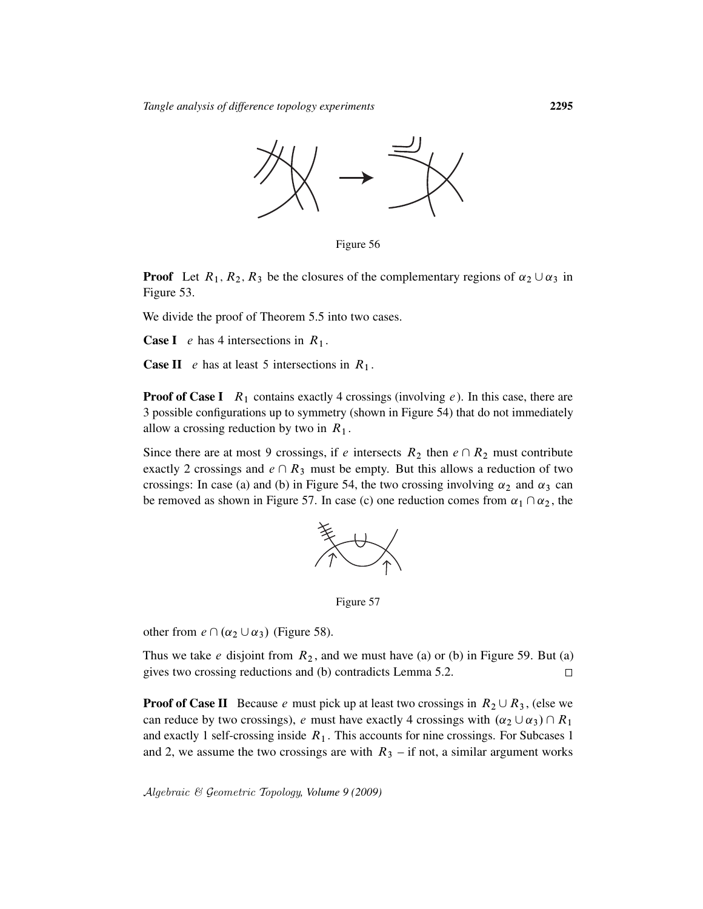

Figure 56

**Proof** Let  $R_1, R_2, R_3$  be the closures of the complementary regions of  $\alpha_2 \cup \alpha_3$  in Figure 53.

We divide the proof of Theorem 5.5 into two cases.

**Case I** e has 4 intersections in  $R_1$ .

**Case II** *e* has at least 5 intersections in  $R_1$ .

**Proof of Case I**  $R_1$  contains exactly 4 crossings (involving e). In this case, there are 3 possible configurations up to symmetry (shown in Figure 54) that do not immediately allow a crossing reduction by two in  $R_1$ .

Since there are at most 9 crossings, if e intersects  $R_2$  then  $e \cap R_2$  must contribute exactly 2 crossings and  $e \cap R_3$  must be empty. But this allows a reduction of two crossings: In case (a) and (b) in Figure 54, the two crossing involving  $\alpha_2$  and  $\alpha_3$  can be removed as shown in Figure 57. In case (c) one reduction comes from  $\alpha_1 \cap \alpha_2$ , the



Figure 57

other from  $e \cap (\alpha_2 \cup \alpha_3)$  (Figure 58).

Thus we take  $e$  disjoint from  $R_2$ , and we must have (a) or (b) in Figure 59. But (a) gives two crossing reductions and (b) contradicts Lemma 5.2.  $\Box$ 

**Proof of Case II** Because e must pick up at least two crossings in  $R_2 \cup R_3$ , (else we can reduce by two crossings), e must have exactly 4 crossings with  $(\alpha_2 \cup \alpha_3) \cap R_1$ and exactly 1 self-crossing inside  $R_1$ . This accounts for nine crossings. For Subcases 1 and 2, we assume the two crossings are with  $R_3$  – if not, a similar argument works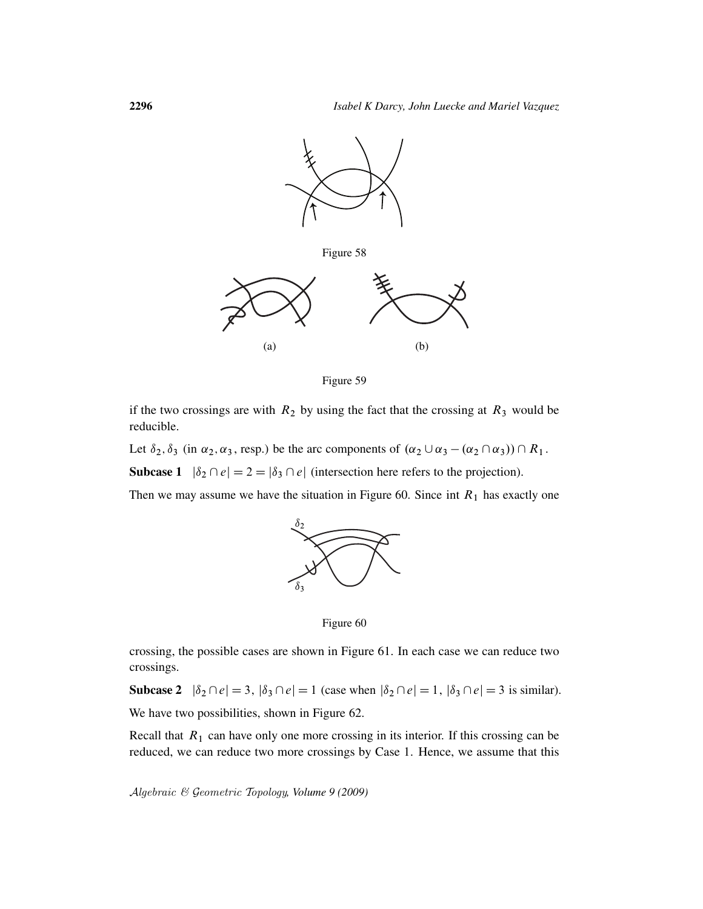

Figure 59

if the two crossings are with  $R_2$  by using the fact that the crossing at  $R_3$  would be reducible.

Let  $\delta_2$ ,  $\delta_3$  (in  $\alpha_2$ ,  $\alpha_3$ , resp.) be the arc components of  $(\alpha_2 \cup \alpha_3 - (\alpha_2 \cap \alpha_3)) \cap R_1$ .

**Subcase 1**  $|\delta_2 \cap e| = 2 = |\delta_3 \cap e|$  (intersection here refers to the projection).

Then we may assume we have the situation in Figure 60. Since int  $R_1$  has exactly one



Figure 60

crossing, the possible cases are shown in Figure 61. In each case we can reduce two crossings.

Subcase 2  $|\delta_2 \cap e| = 3$ ,  $|\delta_3 \cap e| = 1$  (case when  $|\delta_2 \cap e| = 1$ ,  $|\delta_3 \cap e| = 3$  is similar). We have two possibilities, shown in Figure 62.

Recall that  $R_1$  can have only one more crossing in its interior. If this crossing can be reduced, we can reduce two more crossings by Case 1. Hence, we assume that this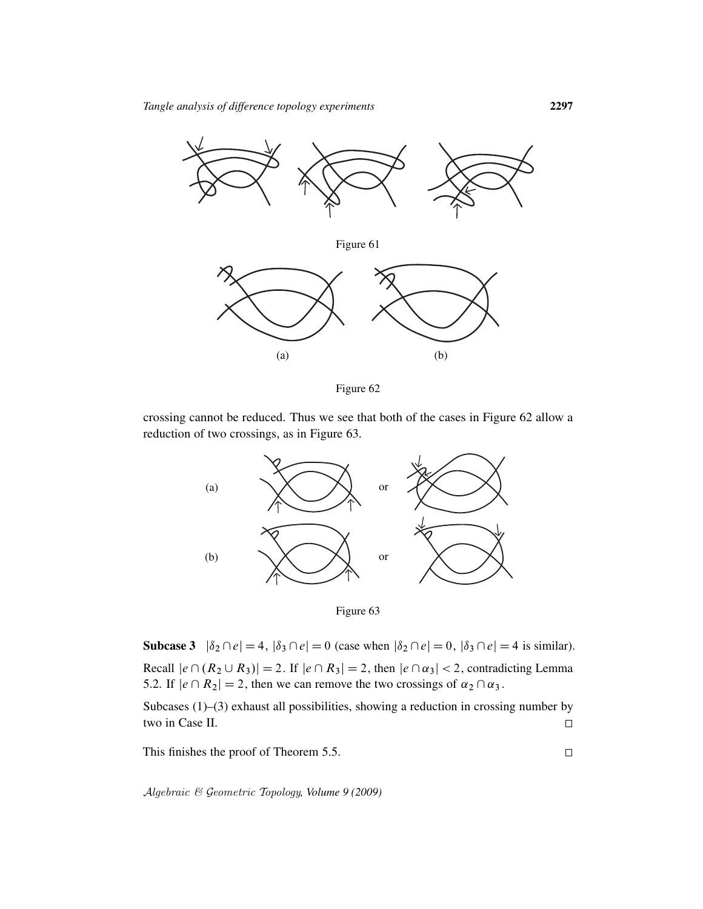



crossing cannot be reduced. Thus we see that both of the cases in Figure 62 allow a reduction of two crossings, as in Figure 63.



Subcase 3  $|\delta_2 \cap e| = 4$ ,  $|\delta_3 \cap e| = 0$  (case when  $|\delta_2 \cap e| = 0$ ,  $|\delta_3 \cap e| = 4$  is similar). Recall  $|e \cap (R_2 \cup R_3)| = 2$ . If  $|e \cap R_3| = 2$ , then  $|e \cap \alpha_3| < 2$ , contradicting Lemma 5.2. If  $|e \cap R_2| = 2$ , then we can remove the two crossings of  $\alpha_2 \cap \alpha_3$ .

Subcases (1)–(3) exhaust all possibilities, showing a reduction in crossing number by two in Case II.  $\Box$ 

This finishes the proof of Theorem 5.5.

Algebraic & Geometric Topology*, Volume 9 (2009)*

 $\Box$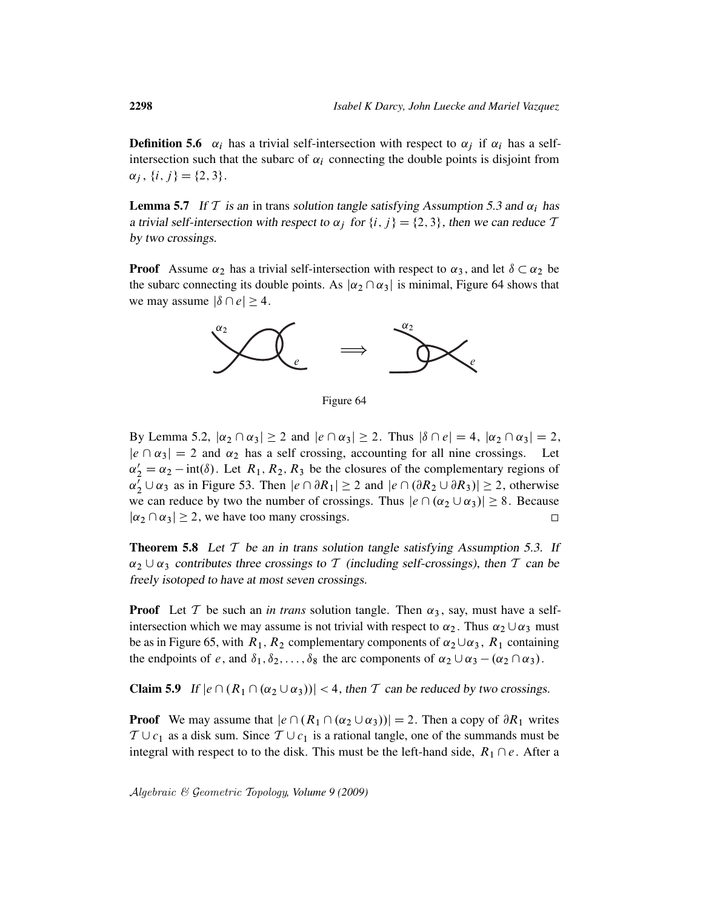**Definition 5.6**  $\alpha_i$  has a trivial self-intersection with respect to  $\alpha_j$  if  $\alpha_i$  has a selfintersection such that the subarc of  $\alpha_i$  connecting the double points is disjoint from  $\alpha_j$ ,  $\{i, j\} = \{2, 3\}.$ 

**Lemma 5.7** If T is an in trans solution tangle satisfying Assumption 5.3 and  $\alpha_i$  has a trivial self-intersection with respect to  $\alpha_j$  for  $\{i, j\} = \{2, 3\}$ , then we can reduce T by two crossings.

**Proof** Assume  $\alpha_2$  has a trivial self-intersection with respect to  $\alpha_3$ , and let  $\delta \subset \alpha_2$  be the subarc connecting its double points. As  $|\alpha_2 \cap \alpha_3|$  is minimal, Figure 64 shows that we may assume  $|\delta \cap e| \geq 4$ .



Figure 64

By Lemma 5.2,  $|\alpha_2 \cap \alpha_3| \ge 2$  and  $|e \cap \alpha_3| \ge 2$ . Thus  $|\delta \cap e| = 4$ ,  $|\alpha_2 \cap \alpha_3| = 2$ ,  $|e \cap \alpha_3| = 2$  and  $\alpha_2$  has a self crossing, accounting for all nine crossings. Let  $\alpha'_2 = \alpha_2 - \text{int}(\delta)$ . Let  $R_1, R_2, R_3$  be the closures of the complementary regions of  $\alpha_2^7 \cup \alpha_3$  as in Figure 53. Then  $|e \cap \partial R_1| \ge 2$  and  $|e \cap (\partial R_2 \cup \partial R_3)| \ge 2$ , otherwise we can reduce by two the number of crossings. Thus  $|e \cap (\alpha_2 \cup \alpha_3)| \ge 8$ . Because  $|\alpha_2 \cap \alpha_3| \geq 2$ , we have too many crossings.  $\Box$ 

**Theorem 5.8** Let  $T$  be an in trans solution tangle satisfying Assumption 5.3. If  $\alpha_2 \cup \alpha_3$  contributes three crossings to T (including self-crossings), then T can be freely isotoped to have at most seven crossings.

**Proof** Let T be such an *in trans* solution tangle. Then  $\alpha_3$ , say, must have a selfintersection which we may assume is not trivial with respect to  $\alpha_2$ . Thus  $\alpha_2 \cup \alpha_3$  must be as in Figure 65, with  $R_1$ ,  $R_2$  complementary components of  $\alpha_2 \cup \alpha_3$ ,  $R_1$  containing the endpoints of e, and  $\delta_1, \delta_2, \ldots, \delta_8$  the arc components of  $\alpha_2 \cup \alpha_3 - (\alpha_2 \cap \alpha_3)$ .

**Claim 5.9** If  $|e \cap (R_1 \cap (\alpha_2 \cup \alpha_3))|$  < 4, then T can be reduced by two crossings.

**Proof** We may assume that  $|e \cap (R_1 \cap (\alpha_2 \cup \alpha_3))| = 2$ . Then a copy of  $\partial R_1$  writes  $T \cup c_1$  as a disk sum. Since  $T \cup c_1$  is a rational tangle, one of the summands must be integral with respect to to the disk. This must be the left-hand side,  $R_1 \cap e$ . After a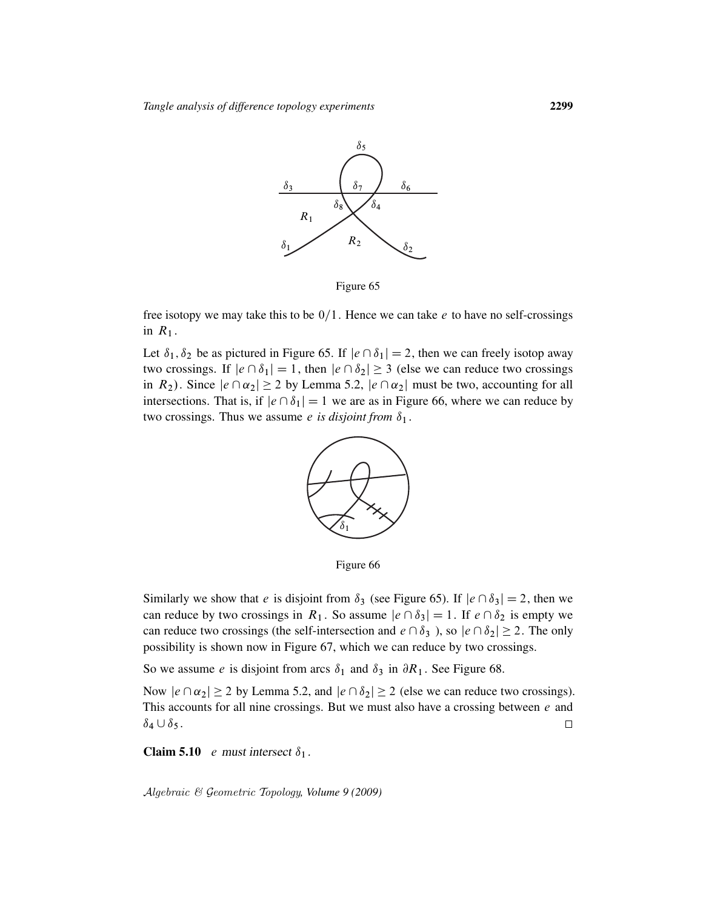

Figure 65

free isotopy we may take this to be  $0/1$ . Hence we can take e to have no self-crossings in  $R_1$ .

Let  $\delta_1$ ,  $\delta_2$  be as pictured in Figure 65. If  $|e \cap \delta_1| = 2$ , then we can freely isotop away two crossings. If  $|e \cap \delta_1| = 1$ , then  $|e \cap \delta_2| \ge 3$  (else we can reduce two crossings in  $R_2$ ). Since  $|e \cap \alpha_2| \ge 2$  by Lemma 5.2,  $|e \cap \alpha_2|$  must be two, accounting for all intersections. That is, if  $|e \cap \delta_1| = 1$  we are as in Figure 66, where we can reduce by two crossings. Thus we assume *e* is disjoint from  $\delta_1$ .



Figure 66

Similarly we show that e is disjoint from  $\delta_3$  (see Figure 65). If  $|e \cap \delta_3| = 2$ , then we can reduce by two crossings in  $R_1$ . So assume  $|e \cap \delta_3| = 1$ . If  $e \cap \delta_2$  is empty we can reduce two crossings (the self-intersection and  $e \cap \delta_3$ ), so  $|e \cap \delta_2| \ge 2$ . The only possibility is shown now in Figure 67, which we can reduce by two crossings.

So we assume *e* is disjoint from arcs  $\delta_1$  and  $\delta_3$  in  $\partial R_1$ . See Figure 68.

Now  $|e \cap \alpha_2| \ge 2$  by Lemma 5.2, and  $|e \cap \delta_2| \ge 2$  (else we can reduce two crossings). This accounts for all nine crossings. But we must also have a crossing between  $e$  and  $\delta_4 \cup \delta_5$ .  $\Box$ 

**Claim 5.10** e must intersect  $\delta_1$ .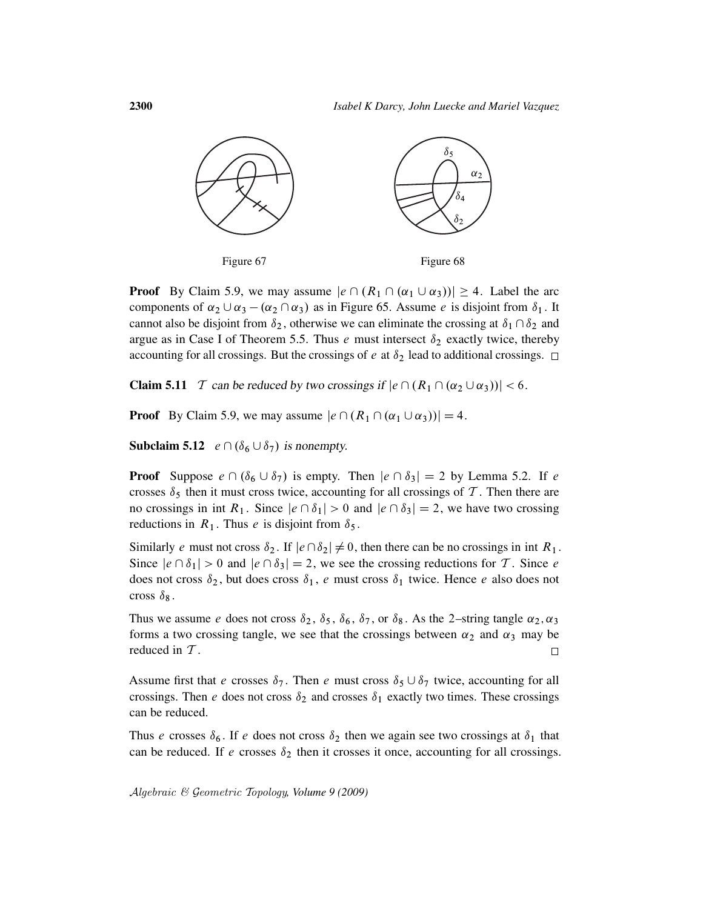

**Proof** By Claim 5.9, we may assume  $|e \cap (R_1 \cap (\alpha_1 \cup \alpha_3))| \geq 4$ . Label the arc components of  $\alpha_2 \cup \alpha_3 - (\alpha_2 \cap \alpha_3)$  as in Figure 65. Assume *e* is disjoint from  $\delta_1$ . It cannot also be disjoint from  $\delta_2$ , otherwise we can eliminate the crossing at  $\delta_1 \cap \delta_2$  and argue as in Case I of Theorem 5.5. Thus e must intersect  $\delta_2$  exactly twice, thereby accounting for all crossings. But the crossings of e at  $\delta_2$  lead to additional crossings.  $\Box$ 

**Claim 5.11** T can be reduced by two crossings if  $|e \cap (R_1 \cap (\alpha_2 \cup \alpha_3))|$  < 6.

**Proof** By Claim 5.9, we may assume  $|e \cap (R_1 \cap (\alpha_1 \cup \alpha_3))| = 4$ .

**Subclaim 5.12**  $e \cap (\delta_6 \cup \delta_7)$  is nonempty.

**Proof** Suppose  $e \cap (\delta_6 \cup \delta_7)$  is empty. Then  $|e \cap \delta_3| = 2$  by Lemma 5.2. If e crosses  $\delta_5$  then it must cross twice, accounting for all crossings of T. Then there are no crossings in int  $R_1$ . Since  $|e \cap \delta_1| > 0$  and  $|e \cap \delta_3| = 2$ , we have two crossing reductions in  $R_1$ . Thus *e* is disjoint from  $\delta_5$ .

Similarly e must not cross  $\delta_2$ . If  $|e \cap \delta_2| \neq 0$ , then there can be no crossings in int  $R_1$ . Since  $|e \cap \delta_1| > 0$  and  $|e \cap \delta_3| = 2$ , we see the crossing reductions for T. Since e does not cross  $\delta_2$ , but does cross  $\delta_1$ , e must cross  $\delta_1$  twice. Hence e also does not cross  $\delta_8$ .

Thus we assume e does not cross  $\delta_2$ ,  $\delta_5$ ,  $\delta_6$ ,  $\delta_7$ , or  $\delta_8$ . As the 2-string tangle  $\alpha_2$ ,  $\alpha_3$ forms a two crossing tangle, we see that the crossings between  $\alpha_2$  and  $\alpha_3$  may be reduced in T.  $\Box$ 

Assume first that e crosses  $\delta_7$ . Then e must cross  $\delta_5 \cup \delta_7$  twice, accounting for all crossings. Then e does not cross  $\delta_2$  and crosses  $\delta_1$  exactly two times. These crossings can be reduced.

Thus e crosses  $\delta_6$ . If e does not cross  $\delta_2$  then we again see two crossings at  $\delta_1$  that can be reduced. If e crosses  $\delta_2$  then it crosses it once, accounting for all crossings.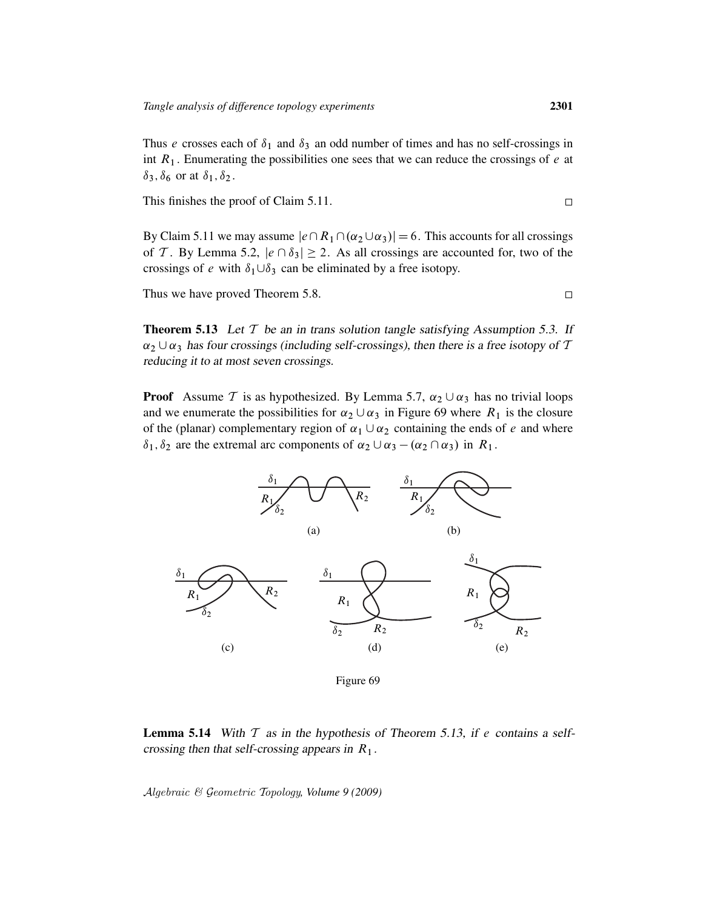Thus e crosses each of  $\delta_1$  and  $\delta_3$  an odd number of times and has no self-crossings in int  $R_1$ . Enumerating the possibilities one sees that we can reduce the crossings of  $e$  at  $\delta_3, \delta_6$  or at  $\delta_1, \delta_2$ .

This finishes the proof of Claim 5.11.

By Claim 5.11 we may assume  $|e\cap R_1\cap(\alpha_2\cup\alpha_3)|=6$ . This accounts for all crossings of T. By Lemma 5.2,  $|e \cap \delta_3| \geq 2$ . As all crossings are accounted for, two of the crossings of e with  $\delta_1 \cup \delta_3$  can be eliminated by a free isotopy.

Thus we have proved Theorem 5.8.

**Theorem 5.13** Let  $T$  be an in trans solution tangle satisfying Assumption 5.3. If  $\alpha_2 \cup \alpha_3$  has four crossings (including self-crossings), then there is a free isotopy of T reducing it to at most seven crossings.

**Proof** Assume T is as hypothesized. By Lemma 5.7,  $\alpha_2 \cup \alpha_3$  has no trivial loops and we enumerate the possibilities for  $\alpha_2 \cup \alpha_3$  in Figure 69 where  $R_1$  is the closure of the (planar) complementary region of  $\alpha_1 \cup \alpha_2$  containing the ends of e and where  $\delta_1, \delta_2$  are the extremal arc components of  $\alpha_2 \cup \alpha_3 - (\alpha_2 \cap \alpha_3)$  in  $R_1$ .



Figure 69

**Lemma 5.14** With  $T$  as in the hypothesis of Theorem 5.13, if e contains a selfcrossing then that self-crossing appears in  $R_1$ .

Algebraic & Geometric Topology*, Volume 9 (2009)*

 $\Box$ 

 $\Box$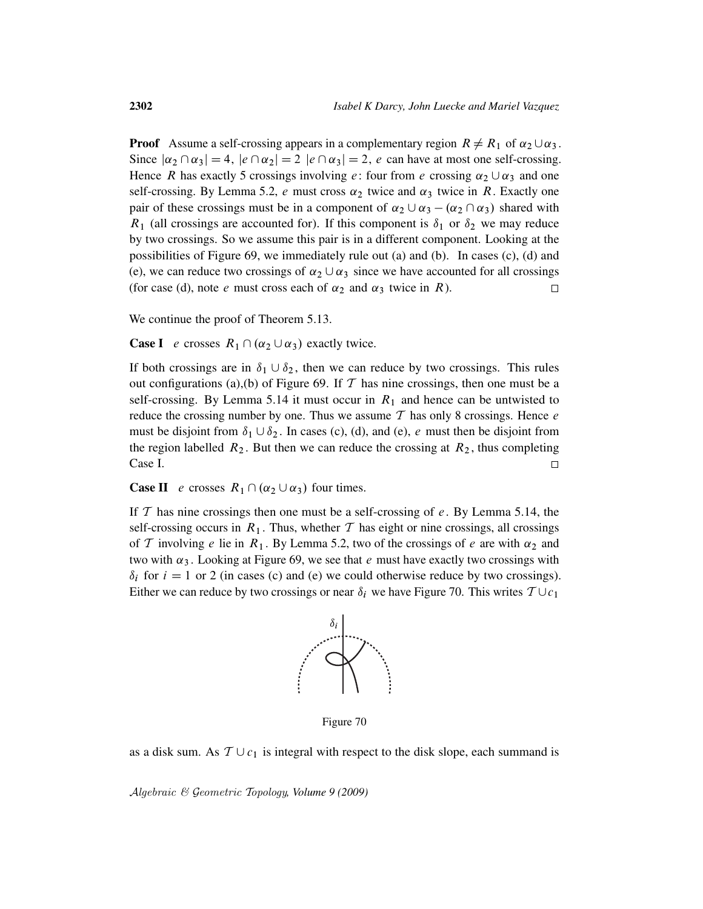**Proof** Assume a self-crossing appears in a complementary region  $R \neq R_1$  of  $\alpha_2 \cup \alpha_3$ . Since  $|\alpha_2 \cap \alpha_3| = 4$ ,  $|e \cap \alpha_2| = 2$   $|e \cap \alpha_3| = 2$ , e can have at most one self-crossing. Hence R has exactly 5 crossings involving e: four from e crossing  $\alpha_2 \cup \alpha_3$  and one self-crossing. By Lemma 5.2, e must cross  $\alpha_2$  twice and  $\alpha_3$  twice in R. Exactly one pair of these crossings must be in a component of  $\alpha_2 \cup \alpha_3 - (\alpha_2 \cap \alpha_3)$  shared with  $R_1$  (all crossings are accounted for). If this component is  $\delta_1$  or  $\delta_2$  we may reduce by two crossings. So we assume this pair is in a different component. Looking at the possibilities of Figure 69, we immediately rule out (a) and (b). In cases (c), (d) and (e), we can reduce two crossings of  $\alpha_2 \cup \alpha_3$  since we have accounted for all crossings (for case (d), note *e* must cross each of  $\alpha_2$  and  $\alpha_3$  twice in R).  $\Box$ 

We continue the proof of Theorem 5.13.

**Case I** e crosses  $R_1 \cap (\alpha_2 \cup \alpha_3)$  exactly twice.

If both crossings are in  $\delta_1 \cup \delta_2$ , then we can reduce by two crossings. This rules out configurations (a),(b) of Figure 69. If  $T$  has nine crossings, then one must be a self-crossing. By Lemma 5.14 it must occur in  $R_1$  and hence can be untwisted to reduce the crossing number by one. Thus we assume  $T$  has only 8 crossings. Hence  $e$ must be disjoint from  $\delta_1 \cup \delta_2$ . In cases (c), (d), and (e), e must then be disjoint from the region labelled  $R_2$ . But then we can reduce the crossing at  $R_2$ , thus completing Case I.  $\Box$ 

**Case II** e crosses  $R_1 \cap (\alpha_2 \cup \alpha_3)$  four times.

If  $T$  has nine crossings then one must be a self-crossing of  $e$ . By Lemma 5.14, the self-crossing occurs in  $R_1$ . Thus, whether T has eight or nine crossings, all crossings of T involving e lie in  $R_1$ . By Lemma 5.2, two of the crossings of e are with  $\alpha_2$  and two with  $\alpha_3$ . Looking at Figure 69, we see that e must have exactly two crossings with  $\delta_i$  for  $i = 1$  or 2 (in cases (c) and (e) we could otherwise reduce by two crossings). Either we can reduce by two crossings or near  $\delta_i$  we have Figure 70. This writes  $T \cup c_1$ 



Figure 70

as a disk sum. As  $T \cup c_1$  is integral with respect to the disk slope, each summand is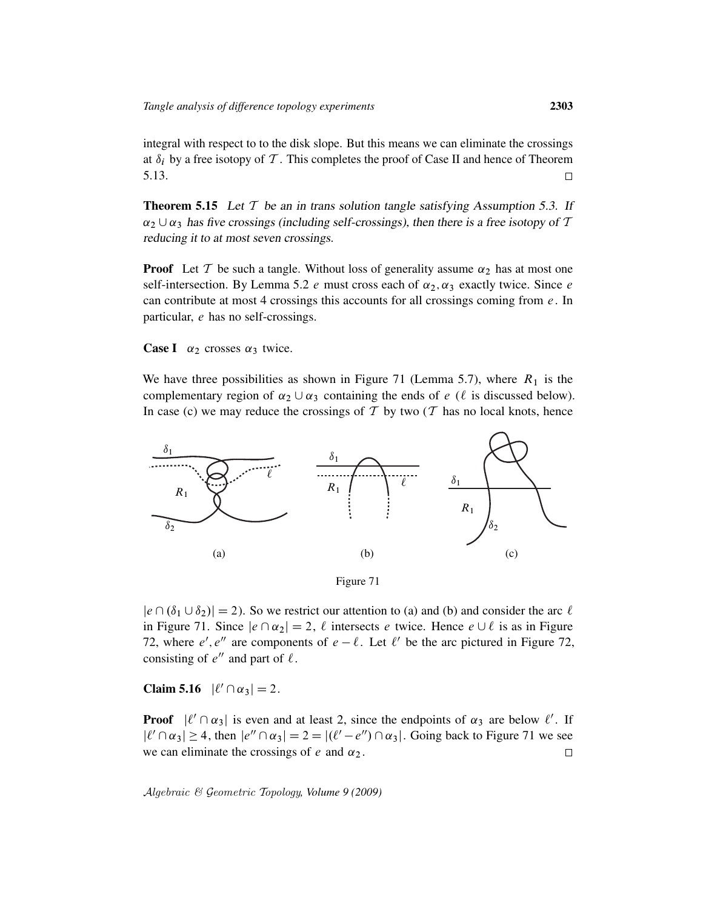integral with respect to to the disk slope. But this means we can eliminate the crossings at  $\delta_i$  by a free isotopy of T. This completes the proof of Case II and hence of Theorem 5.13.  $\Box$ 

**Theorem 5.15** Let  $T$  be an in trans solution tangle satisfying Assumption 5.3. If  $\alpha_2 \cup \alpha_3$  has five crossings (including self-crossings), then there is a free isotopy of T reducing it to at most seven crossings.

**Proof** Let T be such a tangle. Without loss of generality assume  $\alpha_2$  has at most one self-intersection. By Lemma 5.2 e must cross each of  $\alpha_2$ ,  $\alpha_3$  exactly twice. Since e can contribute at most 4 crossings this accounts for all crossings coming from  $e$ . In particular, e has no self-crossings.

**Case I**  $\alpha_2$  crosses  $\alpha_3$  twice.

We have three possibilities as shown in Figure 71 (Lemma 5.7), where  $R_1$  is the complementary region of  $\alpha_2 \cup \alpha_3$  containing the ends of e ( $\ell$  is discussed below). In case (c) we may reduce the crossings of  $T$  by two ( $T$  has no local knots, hence



Figure 71

 $|e \cap (\delta_1 \cup \delta_2)| = 2$ . So we restrict our attention to (a) and (b) and consider the arc  $\ell$ in Figure 71. Since  $|e \cap \alpha_2| = 2$ ,  $\ell$  intersects e twice. Hence  $e \cup \ell$  is as in Figure 72, where e', e'' are components of  $e - \ell$ . Let  $\ell'$  be the arc pictured in Figure 72, consisting of  $e''$  and part of  $\ell$ .

Claim 5.16  $|\ell' \cap \alpha_3| = 2$ .

**Proof**  $|\ell' \cap \alpha_3|$  is even and at least 2, since the endpoints of  $\alpha_3$  are below  $\ell'$ . If  $|\ell' \cap \alpha_3| \ge 4$ , then  $|e'' \cap \alpha_3| = 2 = |\ell' - e''| \cap \alpha_3|$ . Going back to Figure 71 we see we can eliminate the crossings of  $e$  and  $\alpha_2$ .  $\Box$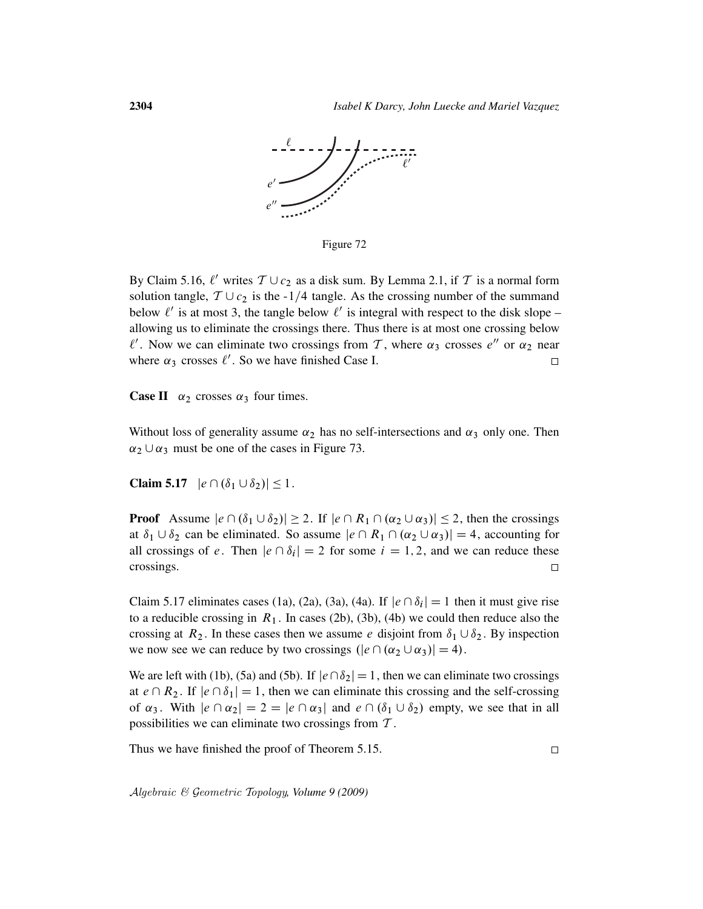

Figure 72

By Claim 5.16,  $\ell'$  writes  $\mathcal{T} \cup c_2$  as a disk sum. By Lemma 2.1, if  $\mathcal{T}$  is a normal form solution tangle,  $T \cup c_2$  is the -1/4 tangle. As the crossing number of the summand below  $\ell'$  is at most 3, the tangle below  $\ell'$  is integral with respect to the disk slope – allowing us to eliminate the crossings there. Thus there is at most one crossing below  $\ell'$ . Now we can eliminate two crossings from T, where  $\alpha_3$  crosses  $e''$  or  $\alpha_2$  near where  $\alpha_3$  crosses  $\ell'$ . So we have finished Case I.  $\Box$ 

**Case II**  $\alpha_2$  crosses  $\alpha_3$  four times.

Without loss of generality assume  $\alpha_2$  has no self-intersections and  $\alpha_3$  only one. Then  $\alpha_2 \cup \alpha_3$  must be one of the cases in Figure 73.

Claim 5.17  $|e \cap (\delta_1 \cup \delta_2)| \leq 1$ .

**Proof** Assume  $|e \cap (\delta_1 \cup \delta_2)| \ge 2$ . If  $|e \cap R_1 \cap (\alpha_2 \cup \alpha_3)| \le 2$ , then the crossings at  $\delta_1 \cup \delta_2$  can be eliminated. So assume  $|e \cap R_1 \cap (\alpha_2 \cup \alpha_3)| = 4$ , accounting for all crossings of e. Then  $|e \cap \delta_i| = 2$  for some  $i = 1, 2$ , and we can reduce these crossings.  $\Box$ 

Claim 5.17 eliminates cases (1a), (2a), (3a), (4a). If  $|e \cap \delta_i| = 1$  then it must give rise to a reducible crossing in  $R_1$ . In cases (2b), (3b), (4b) we could then reduce also the crossing at  $R_2$ . In these cases then we assume e disjoint from  $\delta_1 \cup \delta_2$ . By inspection we now see we can reduce by two crossings  $(|e \cap (\alpha_2 \cup \alpha_3)| = 4)$ .

We are left with (1b), (5a) and (5b). If  $|e \cap \delta_2| = 1$ , then we can eliminate two crossings at  $e \cap R_2$ . If  $|e \cap \delta_1| = 1$ , then we can eliminate this crossing and the self-crossing of  $\alpha_3$ . With  $|e \cap \alpha_2| = 2 = |e \cap \alpha_3|$  and  $e \cap (\delta_1 \cup \delta_2)$  empty, we see that in all possibilities we can eliminate two crossings from T .

Thus we have finished the proof of Theorem 5.15.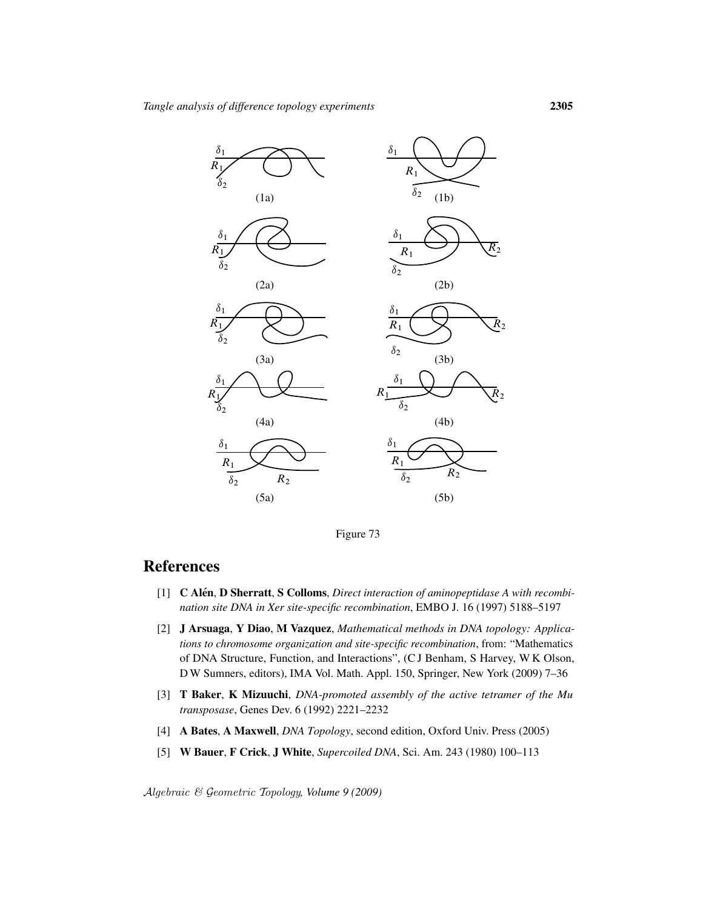

Figure 73

# **References**

- [1] **C Alén, D Sherratt, S Colloms,** *Direct interaction of aminopeptidase A with recombination site DNA in Xer site-specific recombination*, EMBO J. 16 (1997) 5188–5197
- [2] J Arsuaga, Y Diao, M Vazquez, *Mathematical methods in DNA topology: Applications to chromosome organization and site-specific recombination*, from: "Mathematics of DNA Structure, Function, and Interactions", (C J Benham, S Harvey, W K Olson, D W Sumners, editors), IMA Vol. Math. Appl. 150, Springer, New York (2009) 7–36
- [3] T Baker, K Mizuuchi, *DNA-promoted assembly of the active tetramer of the Mu transposase*, Genes Dev. 6 (1992) 2221–2232
- [4] A Bates, A Maxwell, *DNA Topology*, second edition, Oxford Univ. Press (2005)
- [5] W Bauer, F Crick, J White, *Supercoiled DNA*, Sci. Am. 243 (1980) 100–113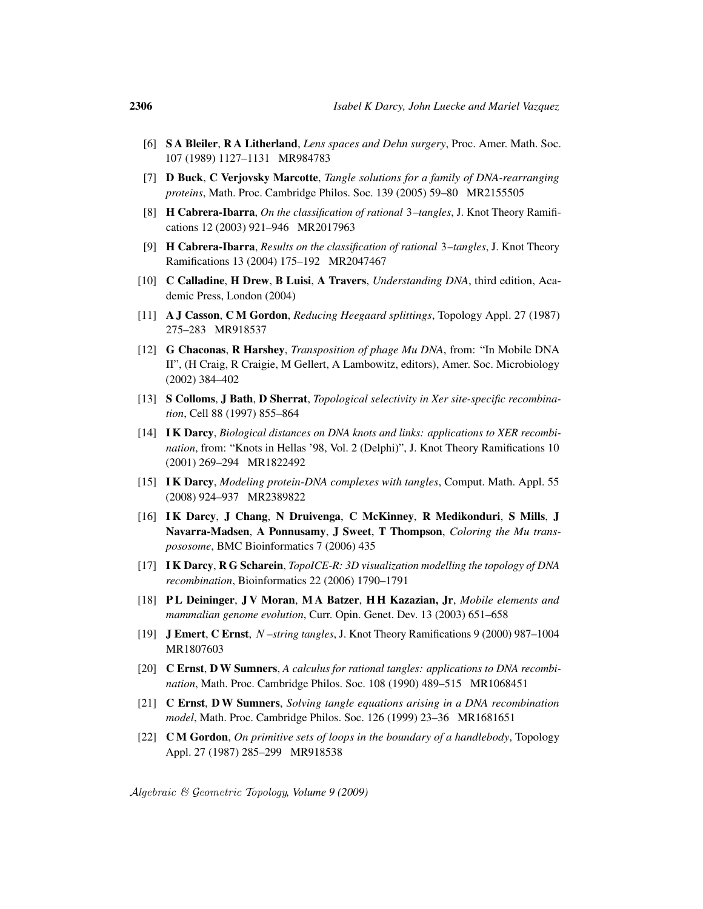- [6] S A Bleiler, R A Litherland, *Lens spaces and Dehn surgery*, Proc. Amer. Math. Soc. 107 (1989) 1127–1131 MR984783
- [7] D Buck, C Verjovsky Marcotte, *Tangle solutions for a family of DNA-rearranging proteins*, Math. Proc. Cambridge Philos. Soc. 139 (2005) 59–80 MR2155505
- [8] H Cabrera-Ibarra, *On the classification of rational* 3*–tangles*, J. Knot Theory Ramifications 12 (2003) 921–946 MR2017963
- [9] H Cabrera-Ibarra, *Results on the classification of rational* 3*–tangles*, J. Knot Theory Ramifications 13 (2004) 175–192 MR2047467
- [10] C Calladine, H Drew, B Luisi, A Travers, *Understanding DNA*, third edition, Academic Press, London (2004)
- [11] A J Casson, C M Gordon, *Reducing Heegaard splittings*, Topology Appl. 27 (1987) 275–283 MR918537
- [12] G Chaconas, R Harshey, *Transposition of phage Mu DNA*, from: "In Mobile DNA II", (H Craig, R Craigie, M Gellert, A Lambowitz, editors), Amer. Soc. Microbiology (2002) 384–402
- [13] S Colloms, J Bath, D Sherrat, *Topological selectivity in Xer site-specific recombination*, Cell 88 (1997) 855–864
- [14] I K Darcy, *Biological distances on DNA knots and links: applications to XER recombination*, from: "Knots in Hellas '98, Vol. 2 (Delphi)", J. Knot Theory Ramifications 10 (2001) 269–294 MR1822492
- [15] I K Darcy, *Modeling protein-DNA complexes with tangles*, Comput. Math. Appl. 55 (2008) 924–937 MR2389822
- [16] I K Darcy, J Chang, N Druivenga, C McKinney, R Medikonduri, S Mills, J Navarra-Madsen, A Ponnusamy, J Sweet, T Thompson, *Coloring the Mu transpososome*, BMC Bioinformatics 7 (2006) 435
- [17] I K Darcy, R G Scharein, *TopoICE-R: 3D visualization modelling the topology of DNA recombination*, Bioinformatics 22 (2006) 1790–1791
- [18] P L Deininger, J V Moran, M A Batzer, H H Kazazian, Jr, *Mobile elements and mammalian genome evolution*, Curr. Opin. Genet. Dev. 13 (2003) 651–658
- [19] J Emert, C Ernst, N *–string tangles*, J. Knot Theory Ramifications 9 (2000) 987–1004 MR1807603
- [20] C Ernst, D W Sumners, *A calculus for rational tangles: applications to DNA recombination*, Math. Proc. Cambridge Philos. Soc. 108 (1990) 489–515 MR1068451
- [21] C Ernst, D W Sumners, *Solving tangle equations arising in a DNA recombination model*, Math. Proc. Cambridge Philos. Soc. 126 (1999) 23–36 MR1681651
- [22] C M Gordon, *On primitive sets of loops in the boundary of a handlebody*, Topology Appl. 27 (1987) 285–299 MR918538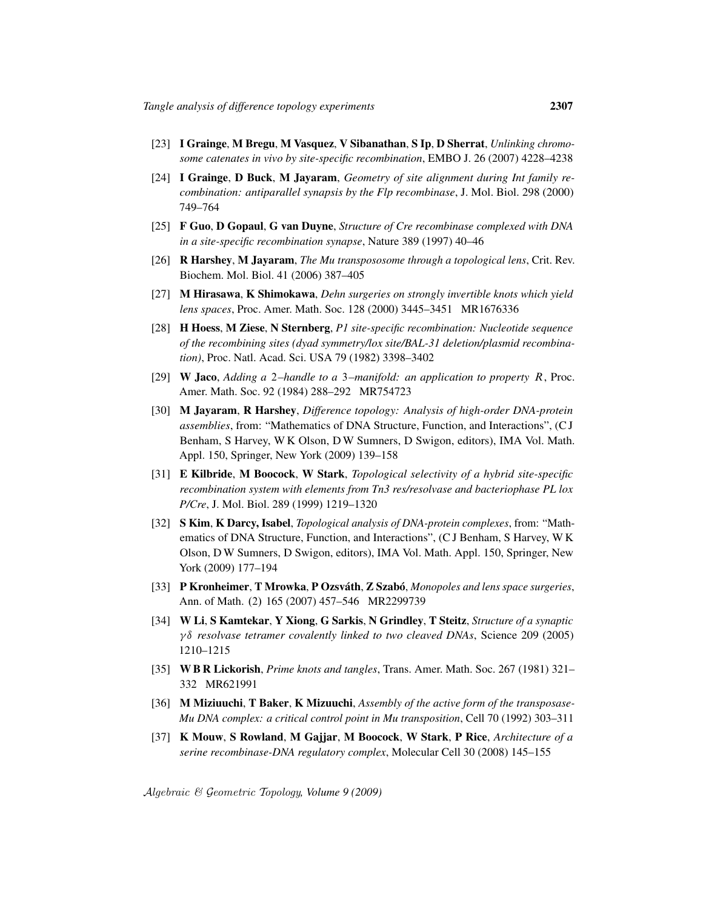- [23] I Grainge, M Bregu, M Vasquez, V Sibanathan, S Ip, D Sherrat, *Unlinking chromosome catenates in vivo by site-specific recombination*, EMBO J. 26 (2007) 4228–4238
- [24] I Grainge, D Buck, M Jayaram, *Geometry of site alignment during Int family recombination: antiparallel synapsis by the Flp recombinase*, J. Mol. Biol. 298 (2000) 749–764
- [25] F Guo, D Gopaul, G van Duyne, *Structure of Cre recombinase complexed with DNA in a site-specific recombination synapse*, Nature 389 (1997) 40–46
- [26] R Harshey, M Jayaram, *The Mu transpososome through a topological lens*, Crit. Rev. Biochem. Mol. Biol. 41 (2006) 387–405
- [27] M Hirasawa, K Shimokawa, *Dehn surgeries on strongly invertible knots which yield lens spaces*, Proc. Amer. Math. Soc. 128 (2000) 3445–3451 MR1676336
- [28] H Hoess, M Ziese, N Sternberg, *P1 site-specific recombination: Nucleotide sequence of the recombining sites (dyad symmetry/lox site/BAL-31 deletion/plasmid recombination)*, Proc. Natl. Acad. Sci. USA 79 (1982) 3398–3402
- [29] W Jaco, *Adding a* 2*–handle to a* 3*–manifold: an application to property* R, Proc. Amer. Math. Soc. 92 (1984) 288–292 MR754723
- [30] M Jayaram, R Harshey, *Difference topology: Analysis of high-order DNA-protein assemblies*, from: "Mathematics of DNA Structure, Function, and Interactions", (C J Benham, S Harvey, W K Olson, D W Sumners, D Swigon, editors), IMA Vol. Math. Appl. 150, Springer, New York (2009) 139–158
- [31] E Kilbride, M Boocock, W Stark, *Topological selectivity of a hybrid site-specific recombination system with elements from Tn3 res/resolvase and bacteriophase PL lox P/Cre*, J. Mol. Biol. 289 (1999) 1219–1320
- [32] S Kim, K Darcy, Isabel, *Topological analysis of DNA-protein complexes*, from: "Mathematics of DNA Structure, Function, and Interactions", (C J Benham, S Harvey, W K Olson, D W Sumners, D Swigon, editors), IMA Vol. Math. Appl. 150, Springer, New York (2009) 177–194
- [33] P Kronheimer, T Mrowka, P Ozsváth, Z Szabó, *Monopoles and lens space surgeries*, Ann. of Math. (2) 165 (2007) 457–546 MR2299739
- [34] W Li, S Kamtekar, Y Xiong, G Sarkis, N Grindley, T Steitz, *Structure of a synaptic* ı *resolvase tetramer covalently linked to two cleaved DNAs*, Science 209 (2005) 1210–1215
- [35] W B R Lickorish, *Prime knots and tangles*, Trans. Amer. Math. Soc. 267 (1981) 321– 332 MR621991
- [36] M Miziuuchi, T Baker, K Mizuuchi, *Assembly of the active form of the transposase-Mu DNA complex: a critical control point in Mu transposition*, Cell 70 (1992) 303–311
- [37] K Mouw, S Rowland, M Gajjar, M Boocock, W Stark, P Rice, *Architecture of a serine recombinase-DNA regulatory complex*, Molecular Cell 30 (2008) 145–155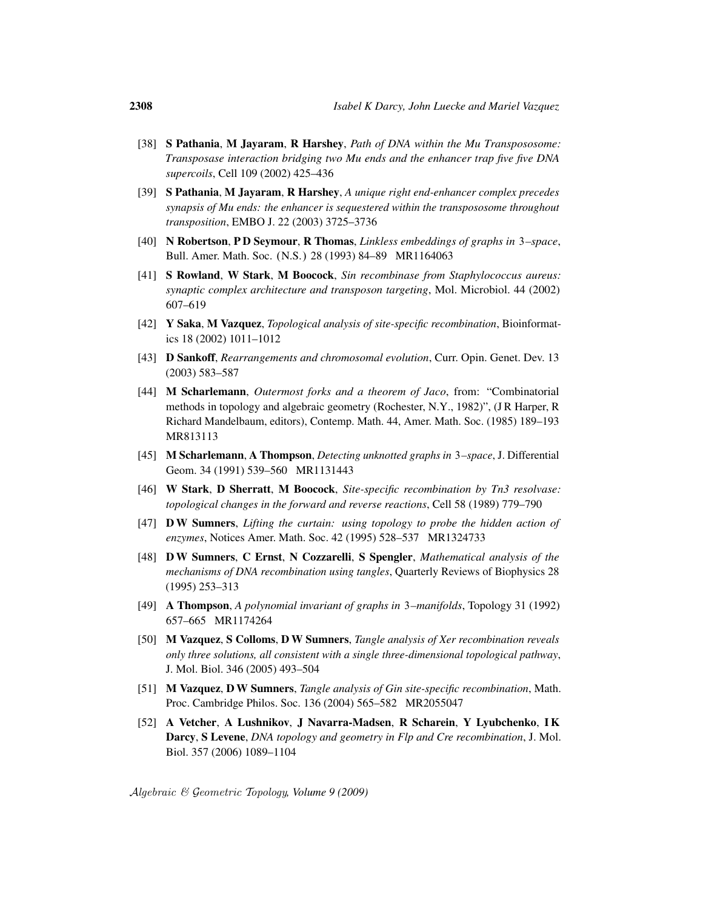- [38] S Pathania, M Jayaram, R Harshey, *Path of DNA within the Mu Transpososome: Transposase interaction bridging two Mu ends and the enhancer trap five five DNA supercoils*, Cell 109 (2002) 425–436
- [39] S Pathania, M Jayaram, R Harshey, *A unique right end-enhancer complex precedes synapsis of Mu ends: the enhancer is sequestered within the transpososome throughout transposition*, EMBO J. 22 (2003) 3725–3736
- [40] N Robertson, P D Seymour, R Thomas, *Linkless embeddings of graphs in* 3*–space*, Bull. Amer. Math. Soc. (N.S.) 28 (1993) 84–89 MR1164063
- [41] S Rowland, W Stark, M Boocock, *Sin recombinase from Staphylococcus aureus: synaptic complex architecture and transposon targeting*, Mol. Microbiol. 44 (2002) 607–619
- [42] Y Saka, M Vazquez, *Topological analysis of site-specific recombination*, Bioinformatics 18 (2002) 1011–1012
- [43] D Sankoff, *Rearrangements and chromosomal evolution*, Curr. Opin. Genet. Dev. 13 (2003) 583–587
- [44] M Scharlemann, *Outermost forks and a theorem of Jaco*, from: "Combinatorial methods in topology and algebraic geometry (Rochester, N.Y., 1982)", (JR Harper, R Richard Mandelbaum, editors), Contemp. Math. 44, Amer. Math. Soc. (1985) 189–193 MR813113
- [45] M Scharlemann, A Thompson, *Detecting unknotted graphs in* 3*–space*, J. Differential Geom. 34 (1991) 539–560 MR1131443
- [46] W Stark, D Sherratt, M Boocock, *Site-specific recombination by Tn3 resolvase: topological changes in the forward and reverse reactions*, Cell 58 (1989) 779–790
- [47] D W Sumners, *Lifting the curtain: using topology to probe the hidden action of enzymes*, Notices Amer. Math. Soc. 42 (1995) 528–537 MR1324733
- [48] D W Sumners, C Ernst, N Cozzarelli, S Spengler, *Mathematical analysis of the mechanisms of DNA recombination using tangles*, Quarterly Reviews of Biophysics 28 (1995) 253–313
- [49] A Thompson, *A polynomial invariant of graphs in* 3*–manifolds*, Topology 31 (1992) 657–665 MR1174264
- [50] M Vazquez, S Colloms, D W Sumners, *Tangle analysis of Xer recombination reveals only three solutions, all consistent with a single three-dimensional topological pathway*, J. Mol. Biol. 346 (2005) 493–504
- [51] M Vazquez, D W Sumners, *Tangle analysis of Gin site-specific recombination*, Math. Proc. Cambridge Philos. Soc. 136 (2004) 565–582 MR2055047
- [52] A Vetcher, A Lushnikov, J Navarra-Madsen, R Scharein, Y Lyubchenko, I K Darcy, S Levene, *DNA topology and geometry in Flp and Cre recombination*, J. Mol. Biol. 357 (2006) 1089–1104